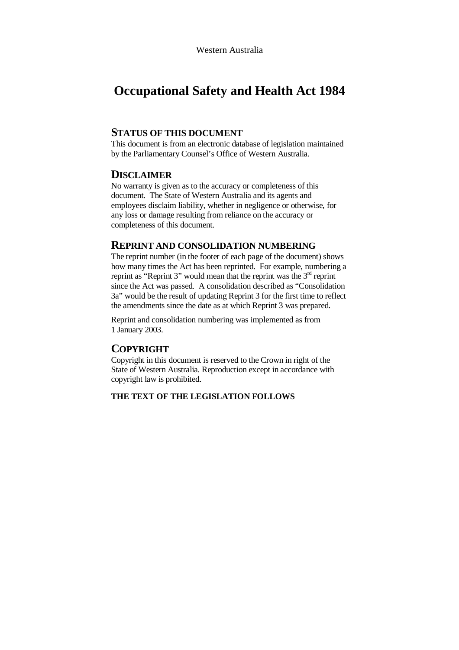# **Occupational Safety and Health Act 1984**

### **STATUS OF THIS DOCUMENT**

This document is from an electronic database of legislation maintained by the Parliamentary Counsel's Office of Western Australia.

### **DISCLAIMER**

No warranty is given as to the accuracy or completeness of this document. The State of Western Australia and its agents and employees disclaim liability, whether in negligence or otherwise, for any loss or damage resulting from reliance on the accuracy or completeness of this document.

### **REPRINT AND CONSOLIDATION NUMBERING**

The reprint number (in the footer of each page of the document) shows how many times the Act has been reprinted. For example, numbering a reprint as "Reprint 3" would mean that the reprint was the  $3<sup>rd</sup>$  reprint since the Act was passed. A consolidation described as "Consolidation 3a" would be the result of updating Reprint 3 for the first time to reflect the amendments since the date as at which Reprint 3 was prepared.

Reprint and consolidation numbering was implemented as from 1 January 2003.

### **COPYRIGHT**

Copyright in this document is reserved to the Crown in right of the State of Western Australia. Reproduction except in accordance with copyright law is prohibited.

#### **THE TEXT OF THE LEGISLATION FOLLOWS**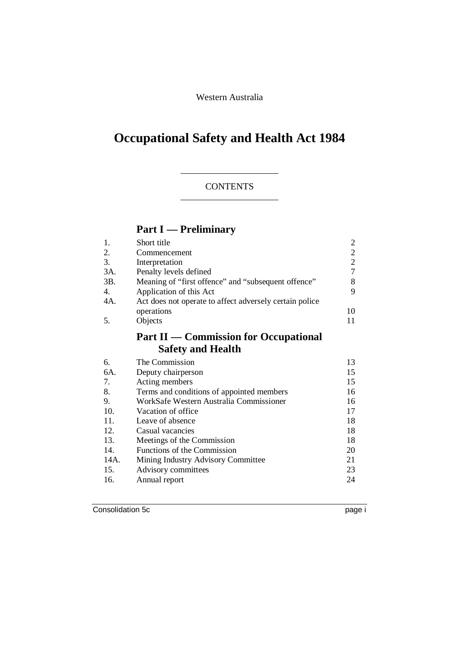Western Australia

# **Occupational Safety and Health Act 1984**

# **CONTENTS**

# **Part I — Preliminary**

|     | Short title                                             | 2  |  |  |
|-----|---------------------------------------------------------|----|--|--|
| 2.  | Commencement                                            | 2  |  |  |
| 3.  | Interpretation                                          |    |  |  |
| 3A. | Penalty levels defined                                  |    |  |  |
| 3B. | Meaning of "first offence" and "subsequent offence"     |    |  |  |
| 4.  | Application of this Act                                 | 9  |  |  |
| 4A. | Act does not operate to affect adversely certain police |    |  |  |
|     | operations                                              | 10 |  |  |
|     | Objects                                                 |    |  |  |
|     | <b>Part II — Commission for Occupational</b>            |    |  |  |

# **Safety and Health**

| 6.   | The Commission                            | 13 |
|------|-------------------------------------------|----|
| 6A.  | Deputy chairperson                        | 15 |
| 7.   | Acting members                            | 15 |
| 8.   | Terms and conditions of appointed members | 16 |
| 9.   | WorkSafe Western Australia Commissioner   | 16 |
| 10.  | Vacation of office                        | 17 |
| 11.  | Leave of absence                          | 18 |
| 12.  | Casual vacancies                          | 18 |
| 13.  | Meetings of the Commission                | 18 |
| 14.  | Functions of the Commission               | 20 |
| 14A. | Mining Industry Advisory Committee        | 21 |
| 15.  | Advisory committees                       | 23 |
| 16.  | Annual report                             | 24 |
|      |                                           |    |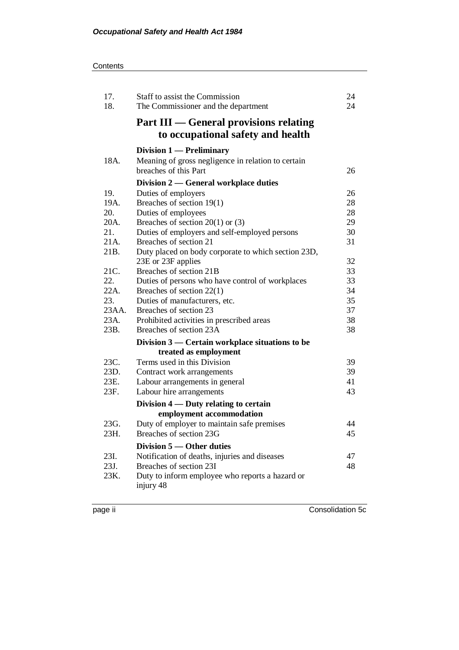| 17.<br>18.  | 24<br>Staff to assist the Commission<br>24<br>The Commissioner and the department  |          |  |  |
|-------------|------------------------------------------------------------------------------------|----------|--|--|
|             | <b>Part III - General provisions relating</b><br>to occupational safety and health |          |  |  |
|             | Division 1 — Preliminary                                                           |          |  |  |
| 18A.        | Meaning of gross negligence in relation to certain<br>breaches of this Part        | 26       |  |  |
|             | Division 2 — General workplace duties                                              |          |  |  |
| 19.         | Duties of employers                                                                | 26       |  |  |
| 19A.        | Breaches of section 19(1)                                                          | 28       |  |  |
| 20.         | Duties of employees                                                                | 28       |  |  |
| 20A.        | Breaches of section $20(1)$ or (3)                                                 | 29       |  |  |
| 21.         | Duties of employers and self-employed persons                                      | 30       |  |  |
| 21A.        | Breaches of section 21                                                             | 31       |  |  |
| 21B.        | Duty placed on body corporate to which section 23D,                                |          |  |  |
|             | 23E or 23F applies                                                                 | 32       |  |  |
| 21C.        | Breaches of section 21B                                                            | 33       |  |  |
| 22.<br>22A. | Duties of persons who have control of workplaces                                   | 33<br>34 |  |  |
| 23.         | Breaches of section $22(1)$<br>Duties of manufacturers, etc.                       | 35       |  |  |
| 23AA.       | Breaches of section 23                                                             | 37       |  |  |
| 23A.        | Prohibited activities in prescribed areas                                          | 38       |  |  |
| 23B.        | Breaches of section 23A                                                            | 38       |  |  |
|             | Division 3 — Certain workplace situations to be                                    |          |  |  |
|             | treated as employment                                                              |          |  |  |
| 23C.        | Terms used in this Division                                                        | 39       |  |  |
| 23D.        | Contract work arrangements                                                         | 39       |  |  |
| 23E.        | Labour arrangements in general                                                     | 41       |  |  |
| 23F.        | Labour hire arrangements                                                           | 43       |  |  |
|             | Division 4 — Duty relating to certain                                              |          |  |  |
|             | employment accommodation                                                           |          |  |  |
| 23G.        | Duty of employer to maintain safe premises                                         | 44       |  |  |
| 23H         | Breaches of section 23G                                                            | 45       |  |  |
|             | Division 5 - Other duties                                                          |          |  |  |
| 23I.        | Notification of deaths, injuries and diseases                                      | 47       |  |  |
| 23J.        | Breaches of section 23I                                                            | 48       |  |  |
| 23K.        | Duty to inform employee who reports a hazard or                                    |          |  |  |
|             | injury 48                                                                          |          |  |  |
|             |                                                                                    |          |  |  |

page ii Consolidation 5c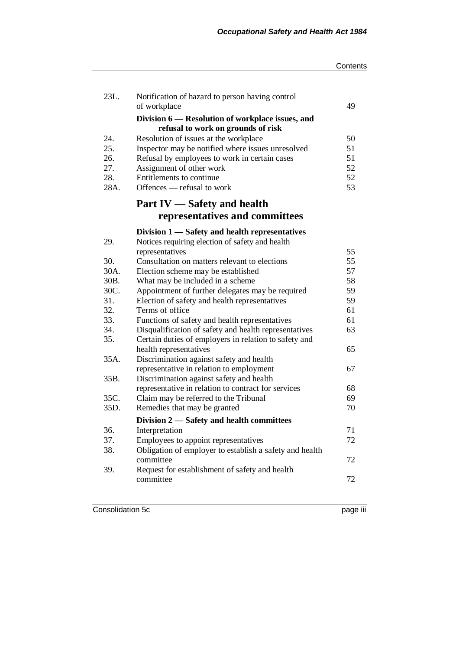|              |                                                                                        | Contents |
|--------------|----------------------------------------------------------------------------------------|----------|
| 23L.         | Notification of hazard to person having control<br>of workplace                        | 49       |
|              | Division 6 – Resolution of workplace issues, and<br>refusal to work on grounds of risk |          |
| 24.          | Resolution of issues at the workplace                                                  | 50       |
| 25.          | Inspector may be notified where issues unresolved                                      | 51       |
| 26.          | Refusal by employees to work in certain cases                                          | 51       |
| 27.          | Assignment of other work                                                               | 52       |
| 28.          | Entitlements to continue                                                               | 52       |
| 28A.         | Offences — refusal to work                                                             | 53       |
|              | Part IV - Safety and health                                                            |          |
|              | representatives and committees                                                         |          |
|              | Division 1 — Safety and health representatives                                         |          |
| 29.          | Notices requiring election of safety and health                                        |          |
|              | representatives                                                                        | 55       |
| 30.          | Consultation on matters relevant to elections                                          | 55       |
| 30A.         | Election scheme may be established                                                     | 57       |
| 30B.         | What may be included in a scheme                                                       | 58       |
| 30C.         | Appointment of further delegates may be required                                       | 59       |
| 31.          | Election of safety and health representatives                                          | 59       |
| 32.          | Terms of office                                                                        | 61       |
| 33.          | Functions of safety and health representatives                                         | 61       |
| 34.          | Disqualification of safety and health representatives                                  | 63       |
| 35.          | Certain duties of employers in relation to safety and                                  |          |
|              | health representatives                                                                 | 65       |
| 35A.         | Discrimination against safety and health                                               |          |
|              | representative in relation to employment                                               | 67       |
| 35B.         | Discrimination against safety and health                                               |          |
|              | representative in relation to contract for services                                    | 68       |
| 35C.<br>35D. | Claim may be referred to the Tribunal                                                  | 69       |
|              | Remedies that may be granted                                                           | 70       |
| 36.          | Division 2 - Safety and health committees<br>Interpretation                            | 71       |
| 37.          | Employees to appoint representatives                                                   | 72       |
| 38.          | Obligation of employer to establish a safety and health                                |          |
|              | committee                                                                              | 72       |
| 39.          | Request for establishment of safety and health                                         |          |
|              | committee                                                                              | 72       |
|              |                                                                                        |          |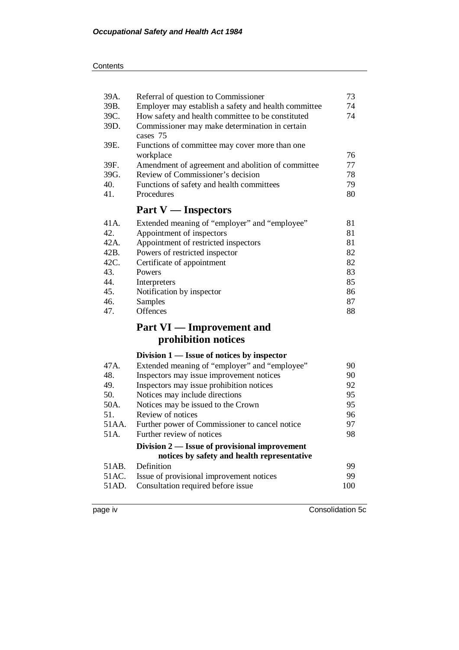| 39A. | 73<br>Referral of question to Commissioner                  |    |  |  |  |
|------|-------------------------------------------------------------|----|--|--|--|
| 39B. | Employer may establish a safety and health committee        |    |  |  |  |
| 39C. | How safety and health committee to be constituted           |    |  |  |  |
| 39D. | Commissioner may make determination in certain<br>cases 75  |    |  |  |  |
| 39E. | Functions of committee may cover more than one<br>workplace | 76 |  |  |  |
| 39F. | Amendment of agreement and abolition of committee           | 77 |  |  |  |
| 39G. | Review of Commissioner's decision                           | 78 |  |  |  |
| 40.  | Functions of safety and health committees                   | 79 |  |  |  |
| 41.  | Procedures                                                  | 80 |  |  |  |
|      | <b>Part V</b> — Inspectors                                  |    |  |  |  |
| 41A. | Extended meaning of "employer" and "employee"               | 81 |  |  |  |
| 42.  | Appointment of inspectors                                   | 81 |  |  |  |
| 42A. | Appointment of restricted inspectors                        | 81 |  |  |  |
| 42B. | Powers of restricted inspector                              | 82 |  |  |  |
| 42C. | Certificate of appointment                                  |    |  |  |  |
| 43.  | Powers                                                      |    |  |  |  |
| 44.  | Interpreters                                                | 85 |  |  |  |
| 45.  | Notification by inspector                                   | 86 |  |  |  |
| 46.  | Samples                                                     |    |  |  |  |
| 47.  | <b>Offences</b>                                             | 88 |  |  |  |
|      | <b>Part VI</b> — Improvement and                            |    |  |  |  |
|      | prohibition notices                                         |    |  |  |  |
|      | Division $1$ — Issue of notices by inspector                |    |  |  |  |
| 47A. | Extended meaning of "employer" and "employee"               | 90 |  |  |  |
| 48.  | Inspectors may issue improvement notices                    | 90 |  |  |  |
| 49.  | Inspectors may issue prohibition notices                    | 92 |  |  |  |
| 50.  | Notices may include directions                              |    |  |  |  |
| 50A. | Notices may be issued to the Crown                          | 95 |  |  |  |
|      |                                                             |    |  |  |  |

51. Review of notices 96<br>51AA. Further power of Commissioner to cancel notice 97 Further power of Commissioner to cancel notice 51A. Further review of notices 98

### **Division 2 — Issue of provisional improvement notices by safety and health representative**

| 51AB. Definition                               | -99 |
|------------------------------------------------|-----|
| 51AC. Issue of provisional improvement notices | QQ. |
| 51AD. Consultation required before issue       | 100 |
|                                                |     |

page iv Consolidation 5c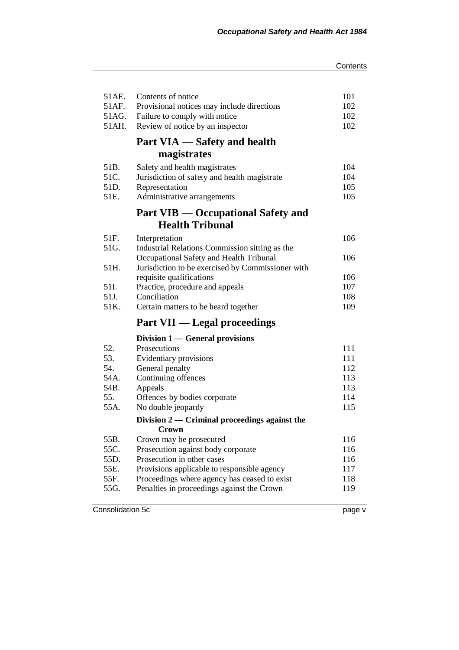| 51AE.<br>51AF.<br>51AG.<br>51AH. | Contents of notice<br>Provisional notices may include directions<br>Failure to comply with notice<br>Review of notice by an inspector | 101<br>102<br>102<br>102 |  |  |
|----------------------------------|---------------------------------------------------------------------------------------------------------------------------------------|--------------------------|--|--|
|                                  | Part VIA — Safety and health                                                                                                          |                          |  |  |
|                                  | magistrates                                                                                                                           |                          |  |  |
| 51B.                             | Safety and health magistrates                                                                                                         | 104                      |  |  |
| 51C.                             | Jurisdiction of safety and health magistrate                                                                                          | 104                      |  |  |
| 51D.<br>51E.                     | Representation                                                                                                                        | 105<br>105               |  |  |
|                                  | Administrative arrangements                                                                                                           |                          |  |  |
|                                  | <b>Part VIB — Occupational Safety and</b><br><b>Health Tribunal</b>                                                                   |                          |  |  |
| 51F.                             | Interpretation                                                                                                                        | 106                      |  |  |
| 51G.                             | Industrial Relations Commission sitting as the                                                                                        |                          |  |  |
|                                  | Occupational Safety and Health Tribunal                                                                                               | 106                      |  |  |
| 51H.                             | Jurisdiction to be exercised by Commissioner with                                                                                     |                          |  |  |
|                                  | requisite qualifications                                                                                                              | 106                      |  |  |
| 51I.<br>51J.                     | Practice, procedure and appeals<br>Conciliation                                                                                       | 107<br>108               |  |  |
| 51K.                             | Certain matters to be heard together                                                                                                  | 109                      |  |  |
|                                  |                                                                                                                                       |                          |  |  |
|                                  | <b>Part VII — Legal proceedings</b>                                                                                                   |                          |  |  |
|                                  | Division 1 — General provisions                                                                                                       |                          |  |  |
| 52.                              | Prosecutions                                                                                                                          | 111                      |  |  |
| 53.                              | Evidentiary provisions                                                                                                                | 111                      |  |  |
| 54.<br>54A.                      | General penalty<br>Continuing offences                                                                                                | 112<br>113               |  |  |
| 54B.                             | Appeals                                                                                                                               | 113                      |  |  |
| 55.                              | Offences by bodies corporate                                                                                                          | 114                      |  |  |
| 55A.                             | No double jeopardy                                                                                                                    | 115                      |  |  |
|                                  | Division $2$ — Criminal proceedings against the                                                                                       |                          |  |  |
|                                  | Crown                                                                                                                                 |                          |  |  |
| 55B.                             | Crown may be prosecuted                                                                                                               | 116                      |  |  |
| 55C.                             | Prosecution against body corporate                                                                                                    | 116<br>116               |  |  |
| 55D.                             | Prosecution in other cases<br>117<br>Provisions applicable to responsible agency<br>Proceedings where agency has ceased to exist      |                          |  |  |
| 55E.<br>55F.                     |                                                                                                                                       |                          |  |  |
| 55G.                             | 118<br>Penalties in proceedings against the Crown<br>119                                                                              |                          |  |  |
|                                  |                                                                                                                                       |                          |  |  |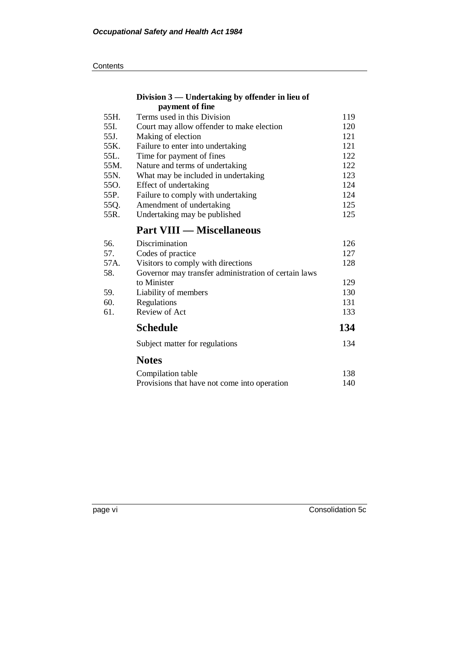### **Division 3 — Undertaking by offender in lieu of payment of fine**

| Terms used in this Division               | 119 |
|-------------------------------------------|-----|
| Court may allow offender to make election | 120 |
| Making of election                        | 121 |
| Failure to enter into undertaking         | 121 |
| Time for payment of fines                 | 122 |
| Nature and terms of undertaking           | 122 |
| What may be included in undertaking       | 123 |
| Effect of undertaking                     | 124 |
| Failure to comply with undertaking        | 124 |
| Amendment of undertaking                  | 125 |
| Undertaking may be published              | 125 |
|                                           |     |

# **Part VIII — Miscellaneous**

| 56.  | Discrimination                                       | 126 |  |  |  |
|------|------------------------------------------------------|-----|--|--|--|
| 57.  | Codes of practice                                    |     |  |  |  |
| 57A. | Visitors to comply with directions                   |     |  |  |  |
| 58.  | Governor may transfer administration of certain laws |     |  |  |  |
|      | to Minister                                          | 129 |  |  |  |
| 59.  | Liability of members                                 | 130 |  |  |  |
| 60.  | Regulations                                          |     |  |  |  |
| 61.  | Review of Act                                        | 133 |  |  |  |
|      | <b>Schedule</b>                                      | 134 |  |  |  |
|      | Subject matter for regulations                       | 134 |  |  |  |
|      | <b>Notes</b>                                         |     |  |  |  |
|      | Compilation table                                    | 138 |  |  |  |
|      | Provisions that have not come into operation         | 140 |  |  |  |

page vi Consolidation 5c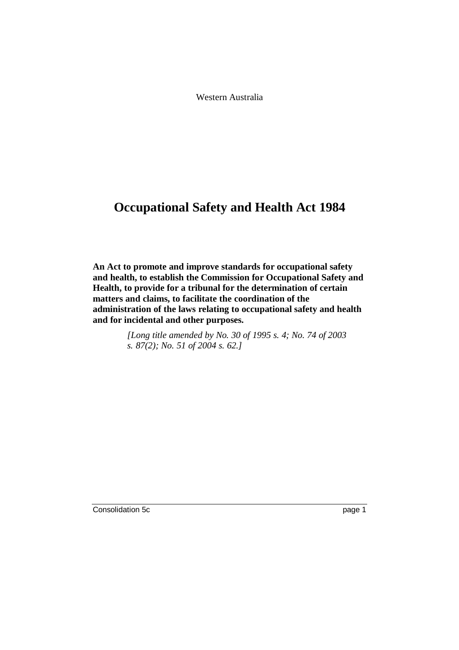Western Australia

# **Occupational Safety and Health Act 1984**

**An Act to promote and improve standards for occupational safety and health, to establish the Commission for Occupational Safety and Health, to provide for a tribunal for the determination of certain matters and claims, to facilitate the coordination of the administration of the laws relating to occupational safety and health and for incidental and other purposes.**

> *[Long title amended by No. 30 of 1995 s. 4; No. 74 of 2003 s. 87(2); No. 51 of 2004 s. 62.]*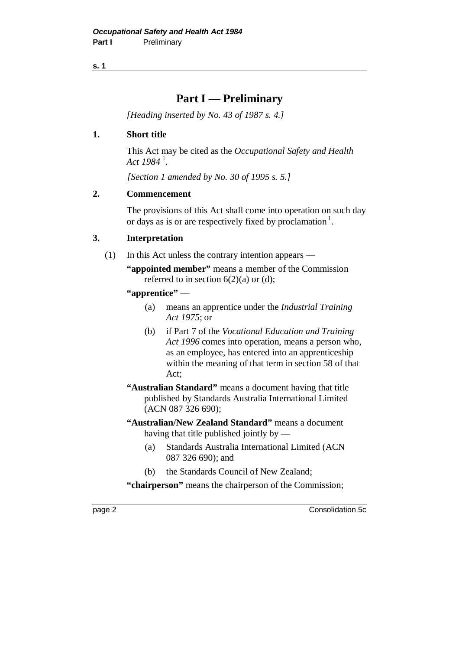# **Part I — Preliminary**

*[Heading inserted by No. 43 of 1987 s. 4.]*

# **1. Short title**

This Act may be cited as the *Occupational Safety and Health Act 1984* <sup>1</sup> .

*[Section 1 amended by No. 30 of 1995 s. 5.]*

# **2. Commencement**

The provisions of this Act shall come into operation on such day or days as is or are respectively fixed by proclamation<sup>1</sup>.

# **3. Interpretation**

- (1) In this Act unless the contrary intention appears
	- **"appointed member"** means a member of the Commission referred to in section  $6(2)(a)$  or (d);

## **"apprentice"** —

- (a) means an apprentice under the *Industrial Training Act 1975*; or
- (b) if Part 7 of the *Vocational Education and Training Act 1996* comes into operation, means a person who, as an employee, has entered into an apprenticeship within the meaning of that term in section 58 of that Act;
- **"Australian Standard"** means a document having that title published by Standards Australia International Limited (ACN 087 326 690);
- **"Australian/New Zealand Standard"** means a document having that title published jointly by —
	- (a) Standards Australia International Limited (ACN 087 326 690); and
	- (b) the Standards Council of New Zealand;

**"chairperson"** means the chairperson of the Commission;

page 2 Consolidation 5c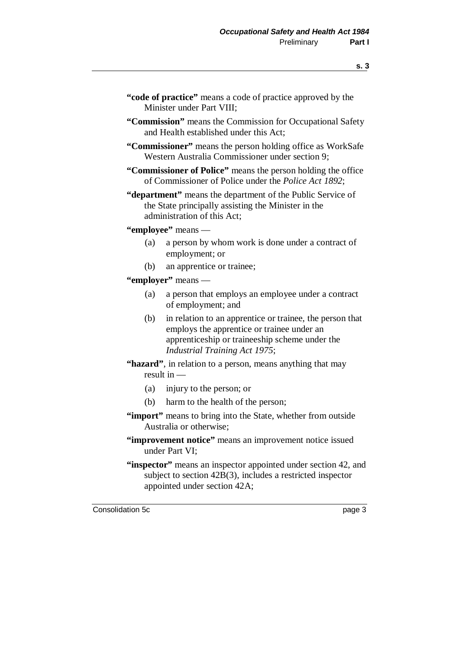- **"code of practice"** means a code of practice approved by the Minister under Part VIII;
- **"Commission"** means the Commission for Occupational Safety and Health established under this Act;
- **"Commissioner"** means the person holding office as WorkSafe Western Australia Commissioner under section 9;
- **"Commissioner of Police"** means the person holding the office of Commissioner of Police under the *Police Act 1892*;
- **"department"** means the department of the Public Service of the State principally assisting the Minister in the administration of this Act;

**"employee"** means —

- (a) a person by whom work is done under a contract of employment; or
- (b) an apprentice or trainee;
- **"employer"** means
	- (a) a person that employs an employee under a contract of employment; and
	- (b) in relation to an apprentice or trainee, the person that employs the apprentice or trainee under an apprenticeship or traineeship scheme under the *Industrial Training Act 1975*;
- **"hazard"**, in relation to a person, means anything that may result in —
	- (a) injury to the person; or
	- (b) harm to the health of the person;
- **"import"** means to bring into the State, whether from outside Australia or otherwise;
- **"improvement notice"** means an improvement notice issued under Part VI;
- **"inspector"** means an inspector appointed under section 42, and subject to section 42B(3), includes a restricted inspector appointed under section 42A;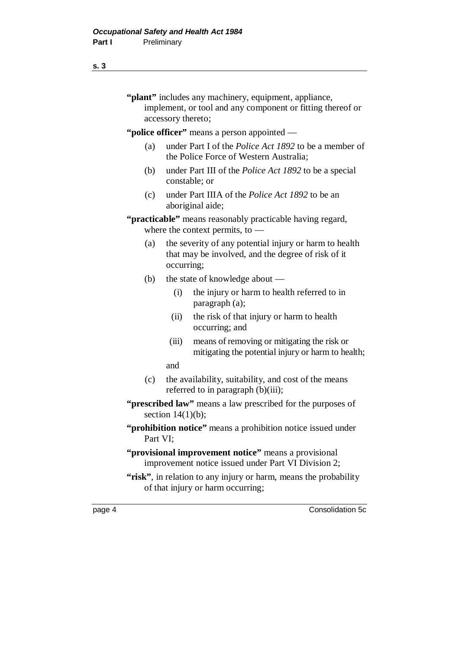# **s. 3**

|        |                                                                                                             | accessory thereto; | "plant" includes any machinery, equipment, appliance,<br>implement, or tool and any component or fitting thereof or |  |  |
|--------|-------------------------------------------------------------------------------------------------------------|--------------------|---------------------------------------------------------------------------------------------------------------------|--|--|
|        |                                                                                                             |                    | "police officer" means a person appointed —                                                                         |  |  |
|        | (a)                                                                                                         |                    | under Part I of the <i>Police Act 1892</i> to be a member of<br>the Police Force of Western Australia;              |  |  |
|        | (b)                                                                                                         |                    | under Part III of the <i>Police Act 1892</i> to be a special<br>constable; or                                       |  |  |
|        | (c)                                                                                                         |                    | under Part IIIA of the <i>Police Act 1892</i> to be an<br>aboriginal aide;                                          |  |  |
|        |                                                                                                             |                    | " <b>practicable</b> " means reasonably practicable having regard,<br>where the context permits, to $-$             |  |  |
|        | (a)                                                                                                         | occurring;         | the severity of any potential injury or harm to health<br>that may be involved, and the degree of risk of it        |  |  |
|        | (b)                                                                                                         |                    | the state of knowledge about —                                                                                      |  |  |
|        |                                                                                                             | (i)                | the injury or harm to health referred to in<br>paragraph (a);                                                       |  |  |
|        |                                                                                                             | (ii)               | the risk of that injury or harm to health<br>occurring; and                                                         |  |  |
|        |                                                                                                             | (iii)              | means of removing or mitigating the risk or<br>mitigating the potential injury or harm to health;                   |  |  |
|        |                                                                                                             | and                |                                                                                                                     |  |  |
|        | (c)                                                                                                         |                    | the availability, suitability, and cost of the means<br>referred to in paragraph (b)(iii);                          |  |  |
|        | "prescribed law" means a law prescribed for the purposes of<br>section $14(1)(b)$ ;                         |                    |                                                                                                                     |  |  |
|        | "prohibition notice" means a prohibition notice issued under<br>Part VI;                                    |                    |                                                                                                                     |  |  |
|        | "provisional improvement notice" means a provisional<br>improvement notice issued under Part VI Division 2; |                    |                                                                                                                     |  |  |
|        |                                                                                                             |                    | "risk", in relation to any injury or harm, means the probability<br>of that injury or harm occurring;               |  |  |
| page 4 |                                                                                                             |                    | Consolidation 5c                                                                                                    |  |  |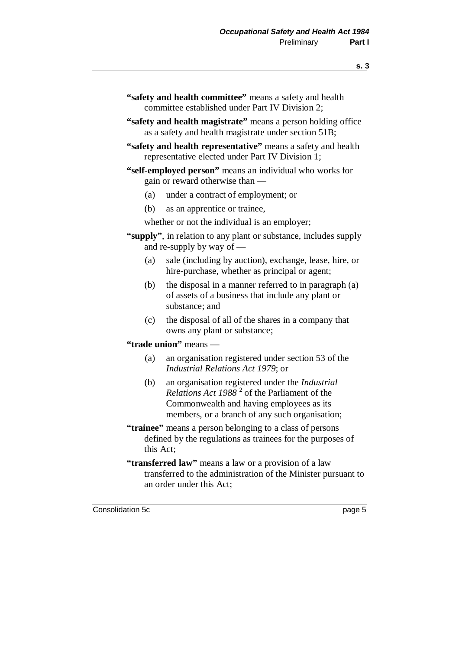- **"safety and health committee"** means a safety and health committee established under Part IV Division 2;
- **"safety and health magistrate"** means a person holding office as a safety and health magistrate under section 51B;
- **"safety and health representative"** means a safety and health representative elected under Part IV Division 1;
- **"self-employed person"** means an individual who works for gain or reward otherwise than —
	- (a) under a contract of employment; or
	- (b) as an apprentice or trainee,
	- whether or not the individual is an employer;
- **"supply"**, in relation to any plant or substance, includes supply and re-supply by way of —
	- (a) sale (including by auction), exchange, lease, hire, or hire-purchase, whether as principal or agent;
	- (b) the disposal in a manner referred to in paragraph (a) of assets of a business that include any plant or substance; and
	- (c) the disposal of all of the shares in a company that owns any plant or substance;

### **"trade union"** means —

- (a) an organisation registered under section 53 of the *Industrial Relations Act 1979*; or
- (b) an organisation registered under the *Industrial* Relations Act 1988<sup>2</sup> of the Parliament of the Commonwealth and having employees as its members, or a branch of any such organisation;
- **"trainee"** means a person belonging to a class of persons defined by the regulations as trainees for the purposes of this Act;
- **"transferred law"** means a law or a provision of a law transferred to the administration of the Minister pursuant to an order under this Act;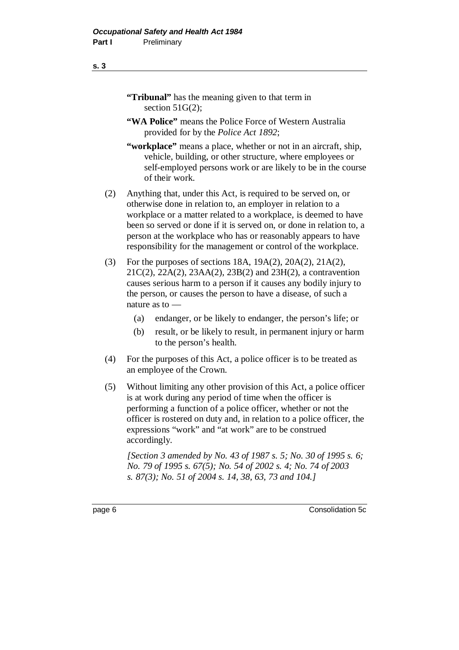# **"Tribunal"** has the meaning given to that term in section 51G(2):

- **"WA Police"** means the Police Force of Western Australia provided for by the *Police Act 1892*;
- **"workplace"** means a place, whether or not in an aircraft, ship, vehicle, building, or other structure, where employees or self-employed persons work or are likely to be in the course of their work.
- (2) Anything that, under this Act, is required to be served on, or otherwise done in relation to, an employer in relation to a workplace or a matter related to a workplace, is deemed to have been so served or done if it is served on, or done in relation to, a person at the workplace who has or reasonably appears to have responsibility for the management or control of the workplace.
- (3) For the purposes of sections 18A, 19A(2), 20A(2), 21A(2), 21C(2), 22A(2), 23AA(2), 23B(2) and 23H(2), a contravention causes serious harm to a person if it causes any bodily injury to the person, or causes the person to have a disease, of such a nature as to —
	- (a) endanger, or be likely to endanger, the person's life; or
	- (b) result, or be likely to result, in permanent injury or harm to the person's health.
- (4) For the purposes of this Act, a police officer is to be treated as an employee of the Crown.
- (5) Without limiting any other provision of this Act, a police officer is at work during any period of time when the officer is performing a function of a police officer, whether or not the officer is rostered on duty and, in relation to a police officer, the expressions "work" and "at work" are to be construed accordingly.

*[Section 3 amended by No. 43 of 1987 s. 5; No. 30 of 1995 s. 6; No. 79 of 1995 s. 67(5); No. 54 of 2002 s. 4; No. 74 of 2003 s. 87(3); No. 51 of 2004 s. 14, 38, 63, 73 and 104.]*

#### **s. 3**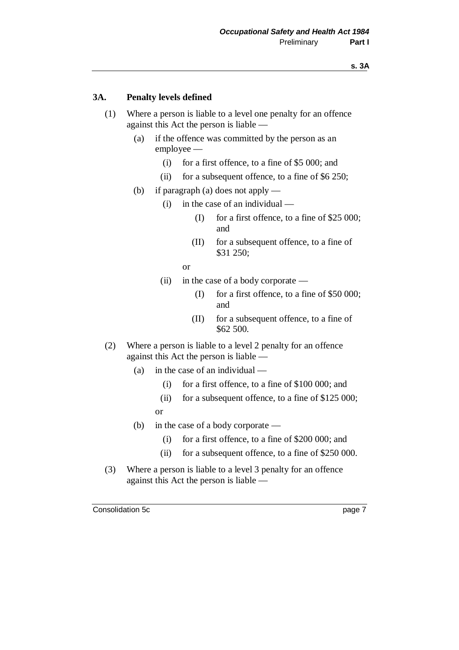### **3A. Penalty levels defined**

- (1) Where a person is liable to a level one penalty for an offence against this Act the person is liable —
	- (a) if the offence was committed by the person as an employee —
		- (i) for a first offence, to a fine of \$5 000; and
		- (ii) for a subsequent offence, to a fine of \$6 250;
	- (b) if paragraph (a) does not apply
		- (i) in the case of an individual
			- (I) for a first offence, to a fine of \$25 000; and
			- (II) for a subsequent offence, to a fine of \$31 250;
			- or
		- (ii) in the case of a body corporate
			- (I) for a first offence, to a fine of \$50 000; and
			- (II) for a subsequent offence, to a fine of \$62 500.
- (2) Where a person is liable to a level 2 penalty for an offence against this Act the person is liable —
	- (a) in the case of an individual
		- (i) for a first offence, to a fine of \$100 000; and
		- (ii) for a subsequent offence, to a fine of \$125 000; or
	- (b) in the case of a body corporate
		- (i) for a first offence, to a fine of \$200 000; and
		- (ii) for a subsequent offence, to a fine of \$250 000.
- (3) Where a person is liable to a level 3 penalty for an offence against this Act the person is liable —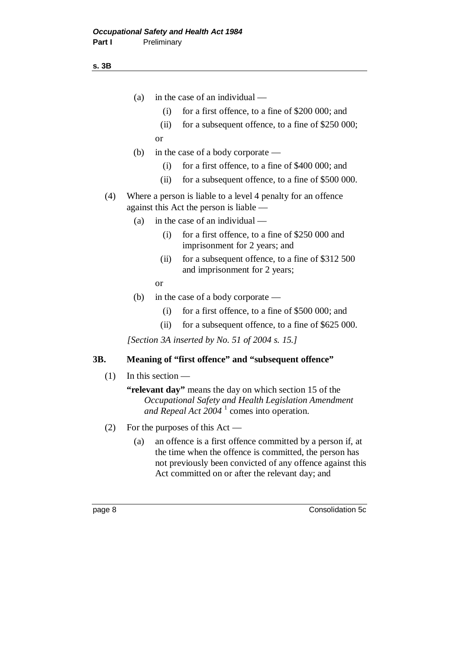**s. 3B**

- (a) in the case of an individual
	- (i) for a first offence, to a fine of \$200 000; and
	- (ii) for a subsequent offence, to a fine of \$250 000; or
- (b) in the case of a body corporate
	- (i) for a first offence, to a fine of \$400 000; and
	- (ii) for a subsequent offence, to a fine of \$500 000.
- (4) Where a person is liable to a level 4 penalty for an offence against this Act the person is liable —
	- (a) in the case of an individual
		- (i) for a first offence, to a fine of \$250 000 and imprisonment for 2 years; and
		- (ii) for a subsequent offence, to a fine of \$312 500 and imprisonment for 2 years;

or

- (b) in the case of a body corporate
	- (i) for a first offence, to a fine of \$500 000; and
	- (ii) for a subsequent offence, to a fine of \$625 000.

*[Section 3A inserted by No. 51 of 2004 s. 15.]*

## **3B. Meaning of "first offence" and "subsequent offence"**

(1) In this section —

**"relevant day"** means the day on which section 15 of the *Occupational Safety and Health Legislation Amendment* and Repeal Act 2004<sup>1</sup> comes into operation.

- (2) For the purposes of this Act
	- (a) an offence is a first offence committed by a person if, at the time when the offence is committed, the person has not previously been convicted of any offence against this Act committed on or after the relevant day; and

page 8 Consolidation 5c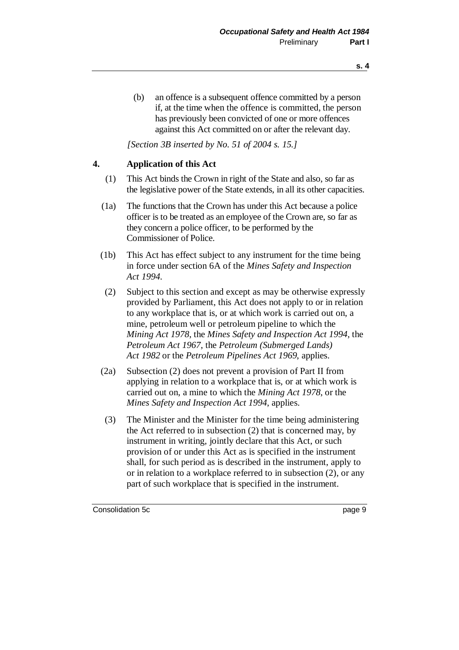(b) an offence is a subsequent offence committed by a person if, at the time when the offence is committed, the person has previously been convicted of one or more offences against this Act committed on or after the relevant day.

*[Section 3B inserted by No. 51 of 2004 s. 15.]*

### **4. Application of this Act**

- (1) This Act binds the Crown in right of the State and also, so far as the legislative power of the State extends, in all its other capacities.
- (1a) The functions that the Crown has under this Act because a police officer is to be treated as an employee of the Crown are, so far as they concern a police officer, to be performed by the Commissioner of Police.
- (1b) This Act has effect subject to any instrument for the time being in force under section 6A of the *Mines Safety and Inspection Act 1994*.
- (2) Subject to this section and except as may be otherwise expressly provided by Parliament, this Act does not apply to or in relation to any workplace that is, or at which work is carried out on, a mine, petroleum well or petroleum pipeline to which the *Mining Act 1978*, the *Mines Safety and Inspection Act 1994*, the *Petroleum Act 1967*, the *Petroleum (Submerged Lands) Act 1982* or the *Petroleum Pipelines Act 1969*, applies.
- (2a) Subsection (2) does not prevent a provision of Part II from applying in relation to a workplace that is, or at which work is carried out on, a mine to which the *Mining Act 1978*, or the *Mines Safety and Inspection Act 1994*, applies.
- (3) The Minister and the Minister for the time being administering the Act referred to in subsection (2) that is concerned may, by instrument in writing, jointly declare that this Act, or such provision of or under this Act as is specified in the instrument shall, for such period as is described in the instrument, apply to or in relation to a workplace referred to in subsection (2), or any part of such workplace that is specified in the instrument.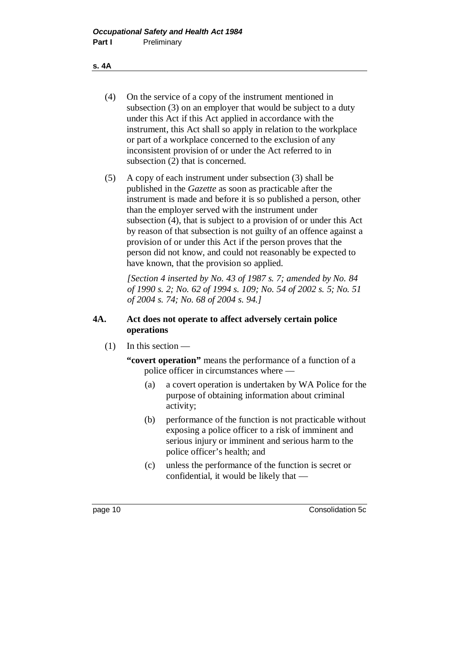### **s. 4A**

- (4) On the service of a copy of the instrument mentioned in subsection (3) on an employer that would be subject to a duty under this Act if this Act applied in accordance with the instrument, this Act shall so apply in relation to the workplace or part of a workplace concerned to the exclusion of any inconsistent provision of or under the Act referred to in subsection (2) that is concerned.
- (5) A copy of each instrument under subsection (3) shall be published in the *Gazette* as soon as practicable after the instrument is made and before it is so published a person, other than the employer served with the instrument under subsection (4), that is subject to a provision of or under this Act by reason of that subsection is not guilty of an offence against a provision of or under this Act if the person proves that the person did not know, and could not reasonably be expected to have known, that the provision so applied.

*[Section 4 inserted by No. 43 of 1987 s. 7; amended by No. 84 of 1990 s. 2; No. 62 of 1994 s. 109; No. 54 of 2002 s. 5; No. 51 of 2004 s. 74; No. 68 of 2004 s. 94.]*

## **4A. Act does not operate to affect adversely certain police operations**

 $(1)$  In this section —

**"covert operation"** means the performance of a function of a police officer in circumstances where —

- (a) a covert operation is undertaken by WA Police for the purpose of obtaining information about criminal activity;
- (b) performance of the function is not practicable without exposing a police officer to a risk of imminent and serious injury or imminent and serious harm to the police officer's health; and
- (c) unless the performance of the function is secret or confidential, it would be likely that —

page 10 Consolidation 5c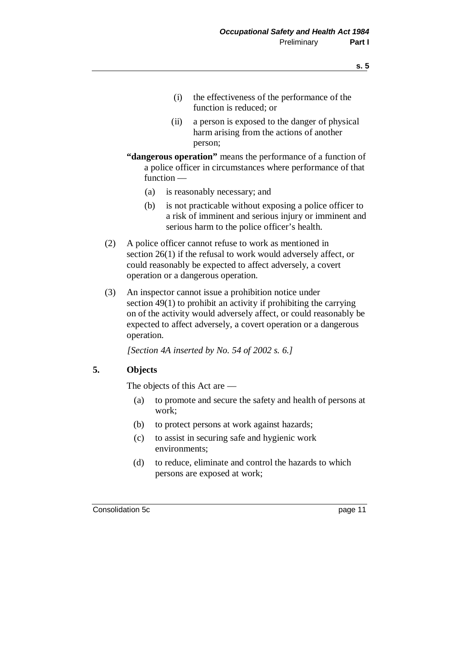- (i) the effectiveness of the performance of the function is reduced; or
- (ii) a person is exposed to the danger of physical harm arising from the actions of another person;
- **"dangerous operation"** means the performance of a function of a police officer in circumstances where performance of that function —
	- (a) is reasonably necessary; and
	- (b) is not practicable without exposing a police officer to a risk of imminent and serious injury or imminent and serious harm to the police officer's health.
- (2) A police officer cannot refuse to work as mentioned in section 26(1) if the refusal to work would adversely affect, or could reasonably be expected to affect adversely, a covert operation or a dangerous operation.
- (3) An inspector cannot issue a prohibition notice under section 49(1) to prohibit an activity if prohibiting the carrying on of the activity would adversely affect, or could reasonably be expected to affect adversely, a covert operation or a dangerous operation.

*[Section 4A inserted by No. 54 of 2002 s. 6.]*

### **5. Objects**

The objects of this Act are —

- (a) to promote and secure the safety and health of persons at work;
- (b) to protect persons at work against hazards;
- (c) to assist in securing safe and hygienic work environments;
- (d) to reduce, eliminate and control the hazards to which persons are exposed at work;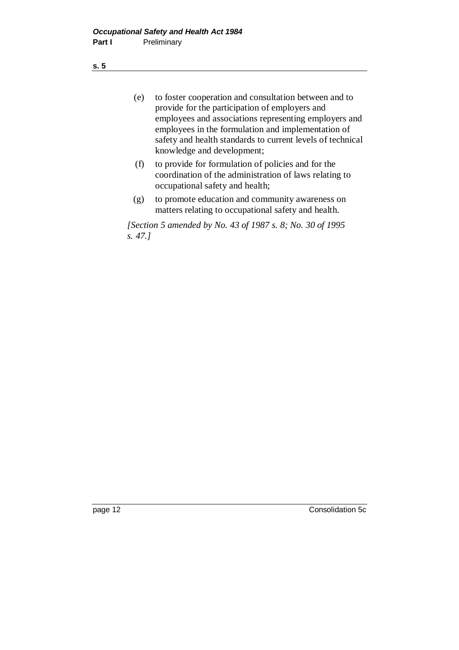(e) to foster cooperation and consultation between and to provide for the participation of employers and employees and associations representing employers and employees in the formulation and implementation of safety and health standards to current levels of technical knowledge and development;

- (f) to provide for formulation of policies and for the coordination of the administration of laws relating to occupational safety and health;
- (g) to promote education and community awareness on matters relating to occupational safety and health.

*[Section 5 amended by No. 43 of 1987 s. 8; No. 30 of 1995 s. 47.]*

**s. 5**

page 12 Consolidation 5c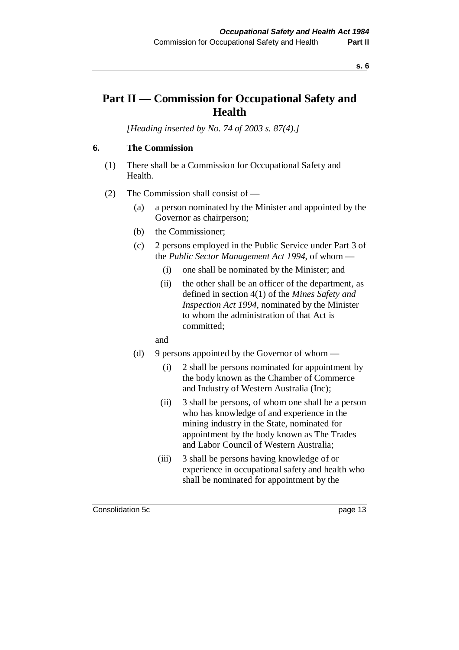# **Part II — Commission for Occupational Safety and Health**

*[Heading inserted by No. 74 of 2003 s. 87(4).]*

# **6. The Commission**

- (1) There shall be a Commission for Occupational Safety and Health.
- (2) The Commission shall consist of
	- (a) a person nominated by the Minister and appointed by the Governor as chairperson;
	- (b) the Commissioner;
	- (c) 2 persons employed in the Public Service under Part 3 of the *Public Sector Management Act 1994*, of whom —
		- (i) one shall be nominated by the Minister; and
		- (ii) the other shall be an officer of the department, as defined in section 4(1) of the *Mines Safety and Inspection Act 1994*, nominated by the Minister to whom the administration of that Act is committed;
		- and
	- (d) 9 persons appointed by the Governor of whom  $-$ 
		- (i) 2 shall be persons nominated for appointment by the body known as the Chamber of Commerce and Industry of Western Australia (Inc);
		- (ii) 3 shall be persons, of whom one shall be a person who has knowledge of and experience in the mining industry in the State, nominated for appointment by the body known as The Trades and Labor Council of Western Australia;
		- (iii) 3 shall be persons having knowledge of or experience in occupational safety and health who shall be nominated for appointment by the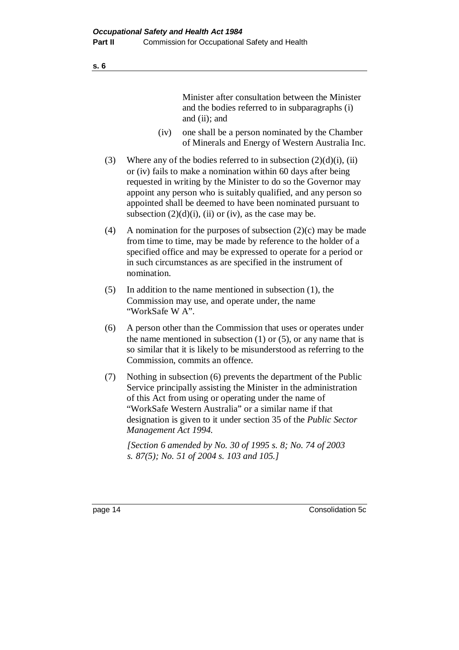Minister after consultation between the Minister and the bodies referred to in subparagraphs (i) and (ii); and

- (iv) one shall be a person nominated by the Chamber of Minerals and Energy of Western Australia Inc.
- (3) Where any of the bodies referred to in subsection  $(2)(d)(i)$ , (ii) or (iv) fails to make a nomination within 60 days after being requested in writing by the Minister to do so the Governor may appoint any person who is suitably qualified, and any person so appointed shall be deemed to have been nominated pursuant to subsection  $(2)(d)(i)$ , (ii) or (iv), as the case may be.
- (4) A nomination for the purposes of subsection  $(2)(c)$  may be made from time to time, may be made by reference to the holder of a specified office and may be expressed to operate for a period or in such circumstances as are specified in the instrument of nomination.
- (5) In addition to the name mentioned in subsection (1), the Commission may use, and operate under, the name "WorkSafe W A".
- (6) A person other than the Commission that uses or operates under the name mentioned in subsection  $(1)$  or  $(5)$ , or any name that is so similar that it is likely to be misunderstood as referring to the Commission, commits an offence.
- (7) Nothing in subsection (6) prevents the department of the Public Service principally assisting the Minister in the administration of this Act from using or operating under the name of "WorkSafe Western Australia" or a similar name if that designation is given to it under section 35 of the *Public Sector Management Act 1994.*

*[Section 6 amended by No. 30 of 1995 s. 8; No. 74 of 2003 s. 87(5); No. 51 of 2004 s. 103 and 105.]*

page 14 Consolidation 5c

**s. 6**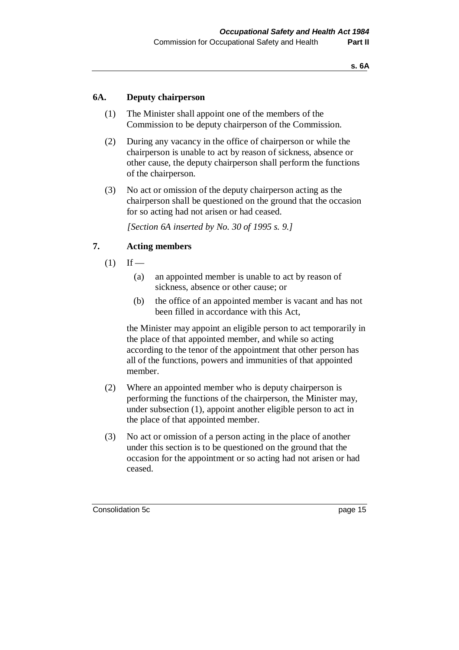### **6A. Deputy chairperson**

- (1) The Minister shall appoint one of the members of the Commission to be deputy chairperson of the Commission.
- (2) During any vacancy in the office of chairperson or while the chairperson is unable to act by reason of sickness, absence or other cause, the deputy chairperson shall perform the functions of the chairperson.
- (3) No act or omission of the deputy chairperson acting as the chairperson shall be questioned on the ground that the occasion for so acting had not arisen or had ceased.

*[Section 6A inserted by No. 30 of 1995 s. 9.]*

## **7. Acting members**

- $(1)$  If
	- (a) an appointed member is unable to act by reason of sickness, absence or other cause; or
	- (b) the office of an appointed member is vacant and has not been filled in accordance with this Act,

the Minister may appoint an eligible person to act temporarily in the place of that appointed member, and while so acting according to the tenor of the appointment that other person has all of the functions, powers and immunities of that appointed member.

- (2) Where an appointed member who is deputy chairperson is performing the functions of the chairperson, the Minister may, under subsection (1), appoint another eligible person to act in the place of that appointed member.
- (3) No act or omission of a person acting in the place of another under this section is to be questioned on the ground that the occasion for the appointment or so acting had not arisen or had ceased.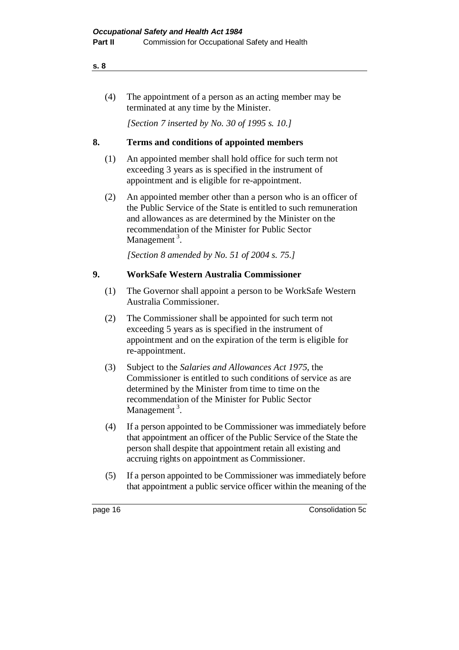(4) The appointment of a person as an acting member may be terminated at any time by the Minister.

*[Section 7 inserted by No. 30 of 1995 s. 10.]*

# **8. Terms and conditions of appointed members**

- (1) An appointed member shall hold office for such term not exceeding 3 years as is specified in the instrument of appointment and is eligible for re-appointment.
- (2) An appointed member other than a person who is an officer of the Public Service of the State is entitled to such remuneration and allowances as are determined by the Minister on the recommendation of the Minister for Public Sector Management  $3$ .

*[Section 8 amended by No. 51 of 2004 s. 75.]*

## **9. WorkSafe Western Australia Commissioner**

- (1) The Governor shall appoint a person to be WorkSafe Western Australia Commissioner.
- (2) The Commissioner shall be appointed for such term not exceeding 5 years as is specified in the instrument of appointment and on the expiration of the term is eligible for re-appointment.
- (3) Subject to the *Salaries and Allowances Act 1975*, the Commissioner is entitled to such conditions of service as are determined by the Minister from time to time on the recommendation of the Minister for Public Sector Management<sup>3</sup>.
- (4) If a person appointed to be Commissioner was immediately before that appointment an officer of the Public Service of the State the person shall despite that appointment retain all existing and accruing rights on appointment as Commissioner.
- (5) If a person appointed to be Commissioner was immediately before that appointment a public service officer within the meaning of the

page 16 Consolidation 5c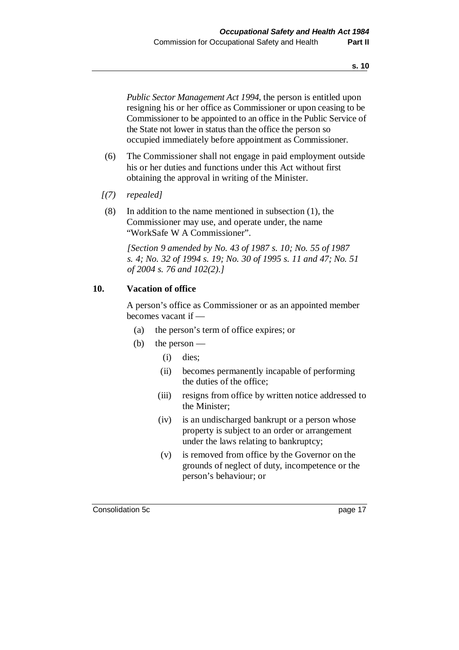*Public Sector Management Act 1994*, the person is entitled upon resigning his or her office as Commissioner or upon ceasing to be Commissioner to be appointed to an office in the Public Service of the State not lower in status than the office the person so occupied immediately before appointment as Commissioner.

- (6) The Commissioner shall not engage in paid employment outside his or her duties and functions under this Act without first obtaining the approval in writing of the Minister.
- *[(7) repealed]*
- (8) In addition to the name mentioned in subsection (1), the Commissioner may use, and operate under, the name "WorkSafe W A Commissioner".

*[Section 9 amended by No. 43 of 1987 s. 10; No. 55 of 1987 s. 4; No. 32 of 1994 s. 19; No. 30 of 1995 s. 11 and 47; No. 51 of 2004 s. 76 and 102(2).]*

### **10. Vacation of office**

A person's office as Commissioner or as an appointed member becomes vacant if —

- (a) the person's term of office expires; or
- (b) the person
	- (i) dies;
	- (ii) becomes permanently incapable of performing the duties of the office;
	- (iii) resigns from office by written notice addressed to the Minister;
	- (iv) is an undischarged bankrupt or a person whose property is subject to an order or arrangement under the laws relating to bankruptcy;
	- (v) is removed from office by the Governor on the grounds of neglect of duty, incompetence or the person's behaviour; or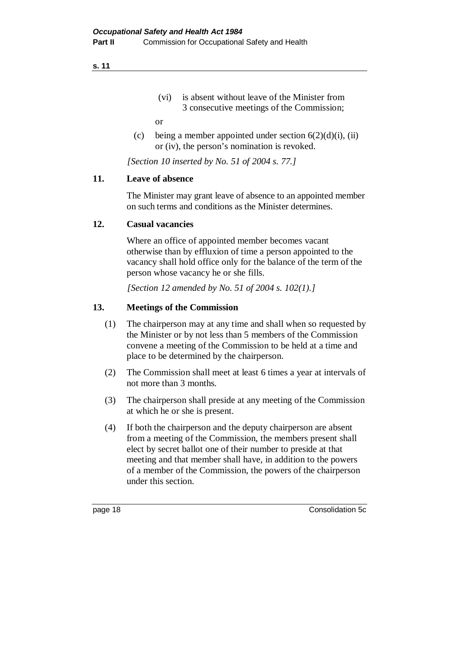(vi) is absent without leave of the Minister from 3 consecutive meetings of the Commission;

or

(c) being a member appointed under section  $6(2)(d)(i)$ , (ii) or (iv), the person's nomination is revoked.

*[Section 10 inserted by No. 51 of 2004 s. 77.]*

### **11. Leave of absence**

The Minister may grant leave of absence to an appointed member on such terms and conditions as the Minister determines.

### **12. Casual vacancies**

Where an office of appointed member becomes vacant otherwise than by effluxion of time a person appointed to the vacancy shall hold office only for the balance of the term of the person whose vacancy he or she fills.

*[Section 12 amended by No. 51 of 2004 s. 102(1).]*

### **13. Meetings of the Commission**

- (1) The chairperson may at any time and shall when so requested by the Minister or by not less than 5 members of the Commission convene a meeting of the Commission to be held at a time and place to be determined by the chairperson.
- (2) The Commission shall meet at least 6 times a year at intervals of not more than 3 months.
- (3) The chairperson shall preside at any meeting of the Commission at which he or she is present.
- (4) If both the chairperson and the deputy chairperson are absent from a meeting of the Commission, the members present shall elect by secret ballot one of their number to preside at that meeting and that member shall have, in addition to the powers of a member of the Commission, the powers of the chairperson under this section.

page 18 Consolidation 5c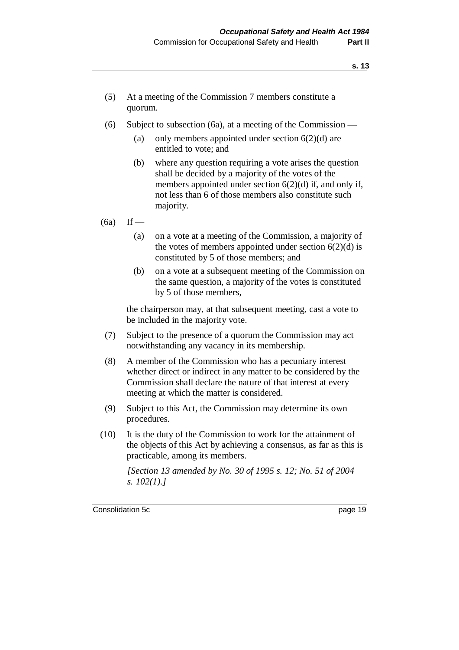- (5) At a meeting of the Commission 7 members constitute a quorum.
- (6) Subject to subsection (6a), at a meeting of the Commission
	- (a) only members appointed under section  $6(2)(d)$  are entitled to vote; and
	- (b) where any question requiring a vote arises the question shall be decided by a majority of the votes of the members appointed under section 6(2)(d) if, and only if, not less than 6 of those members also constitute such majority.

 $(6a)$  If —

- (a) on a vote at a meeting of the Commission, a majority of the votes of members appointed under section  $6(2)(d)$  is constituted by 5 of those members; and
- (b) on a vote at a subsequent meeting of the Commission on the same question, a majority of the votes is constituted by 5 of those members,

the chairperson may, at that subsequent meeting, cast a vote to be included in the majority vote.

- (7) Subject to the presence of a quorum the Commission may act notwithstanding any vacancy in its membership.
- (8) A member of the Commission who has a pecuniary interest whether direct or indirect in any matter to be considered by the Commission shall declare the nature of that interest at every meeting at which the matter is considered.
- (9) Subject to this Act, the Commission may determine its own procedures.
- (10) It is the duty of the Commission to work for the attainment of the objects of this Act by achieving a consensus, as far as this is practicable, among its members.

*[Section 13 amended by No. 30 of 1995 s. 12; No. 51 of 2004 s. 102(1).]*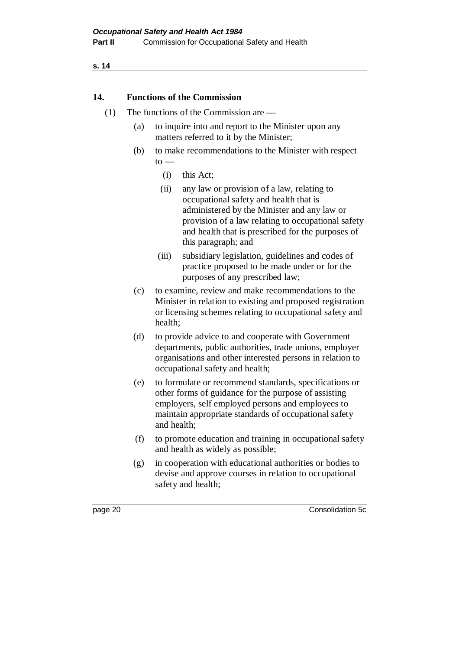### **14. Functions of the Commission**

- (1) The functions of the Commission are
	- (a) to inquire into and report to the Minister upon any matters referred to it by the Minister;
	- (b) to make recommendations to the Minister with respect  $to -$ 
		- (i) this Act;
		- (ii) any law or provision of a law, relating to occupational safety and health that is administered by the Minister and any law or provision of a law relating to occupational safety and health that is prescribed for the purposes of this paragraph; and
		- (iii) subsidiary legislation, guidelines and codes of practice proposed to be made under or for the purposes of any prescribed law;
	- (c) to examine, review and make recommendations to the Minister in relation to existing and proposed registration or licensing schemes relating to occupational safety and health;
	- (d) to provide advice to and cooperate with Government departments, public authorities, trade unions, employer organisations and other interested persons in relation to occupational safety and health;
	- (e) to formulate or recommend standards, specifications or other forms of guidance for the purpose of assisting employers, self employed persons and employees to maintain appropriate standards of occupational safety and health;
	- (f) to promote education and training in occupational safety and health as widely as possible;
	- (g) in cooperation with educational authorities or bodies to devise and approve courses in relation to occupational safety and health;

page 20 Consolidation 5c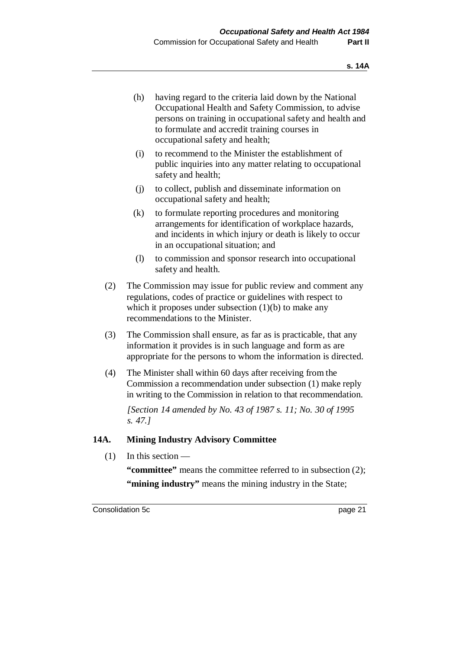- (h) having regard to the criteria laid down by the National Occupational Health and Safety Commission, to advise persons on training in occupational safety and health and to formulate and accredit training courses in occupational safety and health;
- (i) to recommend to the Minister the establishment of public inquiries into any matter relating to occupational safety and health;
- (j) to collect, publish and disseminate information on occupational safety and health;
- (k) to formulate reporting procedures and monitoring arrangements for identification of workplace hazards, and incidents in which injury or death is likely to occur in an occupational situation; and
- (l) to commission and sponsor research into occupational safety and health.
- (2) The Commission may issue for public review and comment any regulations, codes of practice or guidelines with respect to which it proposes under subsection  $(1)(b)$  to make any recommendations to the Minister.
- (3) The Commission shall ensure, as far as is practicable, that any information it provides is in such language and form as are appropriate for the persons to whom the information is directed.
- (4) The Minister shall within 60 days after receiving from the Commission a recommendation under subsection (1) make reply in writing to the Commission in relation to that recommendation.

*[Section 14 amended by No. 43 of 1987 s. 11; No. 30 of 1995 s. 47.]*

### **14A. Mining Industry Advisory Committee**

(1) In this section —

**"committee"** means the committee referred to in subsection (2); **"mining industry"** means the mining industry in the State;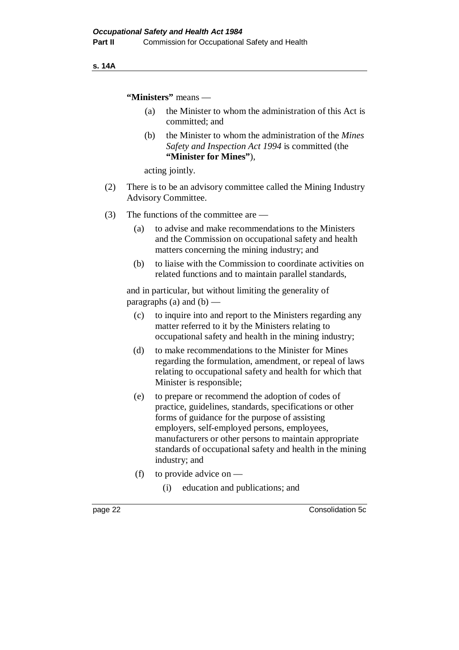### **s. 14A**

**"Ministers"** means —

- (a) the Minister to whom the administration of this Act is committed; and
- (b) the Minister to whom the administration of the *Mines Safety and Inspection Act 1994* is committed (the **"Minister for Mines"**),

acting jointly.

- (2) There is to be an advisory committee called the Mining Industry Advisory Committee.
- (3) The functions of the committee are
	- (a) to advise and make recommendations to the Ministers and the Commission on occupational safety and health matters concerning the mining industry; and
	- (b) to liaise with the Commission to coordinate activities on related functions and to maintain parallel standards,

and in particular, but without limiting the generality of paragraphs (a) and  $(b)$  —

- (c) to inquire into and report to the Ministers regarding any matter referred to it by the Ministers relating to occupational safety and health in the mining industry;
- (d) to make recommendations to the Minister for Mines regarding the formulation, amendment, or repeal of laws relating to occupational safety and health for which that Minister is responsible;
- (e) to prepare or recommend the adoption of codes of practice, guidelines, standards, specifications or other forms of guidance for the purpose of assisting employers, self-employed persons, employees, manufacturers or other persons to maintain appropriate standards of occupational safety and health in the mining industry; and
- (f) to provide advice on
	- (i) education and publications; and

page 22 Consolidation 5c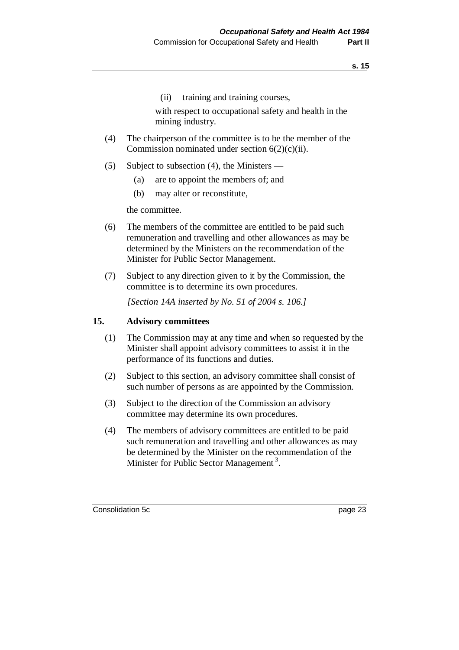(ii) training and training courses,

with respect to occupational safety and health in the mining industry.

- (4) The chairperson of the committee is to be the member of the Commission nominated under section  $6(2)(c)(ii)$ .
- (5) Subject to subsection (4), the Ministers
	- (a) are to appoint the members of; and
	- (b) may alter or reconstitute,

the committee.

- (6) The members of the committee are entitled to be paid such remuneration and travelling and other allowances as may be determined by the Ministers on the recommendation of the Minister for Public Sector Management.
- (7) Subject to any direction given to it by the Commission, the committee is to determine its own procedures.

*[Section 14A inserted by No. 51 of 2004 s. 106.]*

### **15. Advisory committees**

- (1) The Commission may at any time and when so requested by the Minister shall appoint advisory committees to assist it in the performance of its functions and duties.
- (2) Subject to this section, an advisory committee shall consist of such number of persons as are appointed by the Commission.
- (3) Subject to the direction of the Commission an advisory committee may determine its own procedures.
- (4) The members of advisory committees are entitled to be paid such remuneration and travelling and other allowances as may be determined by the Minister on the recommendation of the Minister for Public Sector Management<sup>3</sup>.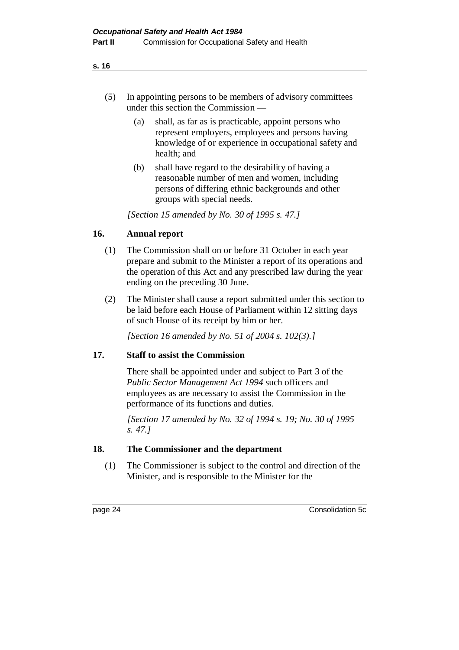- (5) In appointing persons to be members of advisory committees under this section the Commission —
	- (a) shall, as far as is practicable, appoint persons who represent employers, employees and persons having knowledge of or experience in occupational safety and health; and
	- (b) shall have regard to the desirability of having a reasonable number of men and women, including persons of differing ethnic backgrounds and other groups with special needs.

*[Section 15 amended by No. 30 of 1995 s. 47.]*

# **16. Annual report**

- (1) The Commission shall on or before 31 October in each year prepare and submit to the Minister a report of its operations and the operation of this Act and any prescribed law during the year ending on the preceding 30 June.
- (2) The Minister shall cause a report submitted under this section to be laid before each House of Parliament within 12 sitting days of such House of its receipt by him or her.

*[Section 16 amended by No. 51 of 2004 s. 102(3).]*

## **17. Staff to assist the Commission**

There shall be appointed under and subject to Part 3 of the *Public Sector Management Act 1994* such officers and employees as are necessary to assist the Commission in the performance of its functions and duties.

*[Section 17 amended by No. 32 of 1994 s. 19; No. 30 of 1995 s. 47.]*

## **18. The Commissioner and the department**

(1) The Commissioner is subject to the control and direction of the Minister, and is responsible to the Minister for the

page 24 Consolidation 5c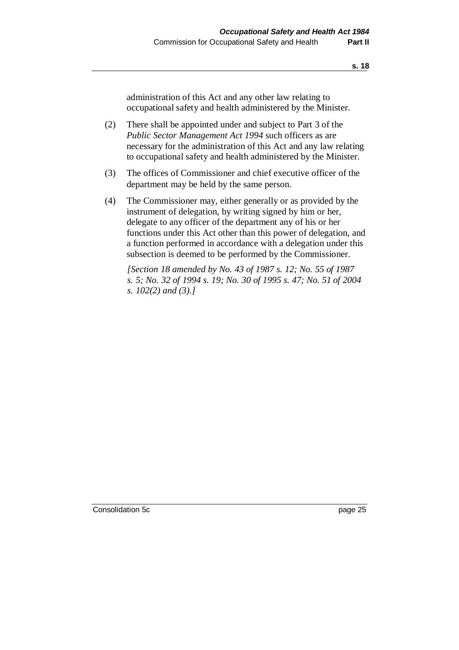administration of this Act and any other law relating to occupational safety and health administered by the Minister.

- (2) There shall be appointed under and subject to Part 3 of the *Public Sector Management Act 1994* such officers as are necessary for the administration of this Act and any law relating to occupational safety and health administered by the Minister.
- (3) The offices of Commissioner and chief executive officer of the department may be held by the same person.
- (4) The Commissioner may, either generally or as provided by the instrument of delegation, by writing signed by him or her, delegate to any officer of the department any of his or her functions under this Act other than this power of delegation, and a function performed in accordance with a delegation under this subsection is deemed to be performed by the Commissioner.

*[Section 18 amended by No. 43 of 1987 s. 12; No. 55 of 1987 s. 5; No. 32 of 1994 s. 19; No. 30 of 1995 s. 47; No. 51 of 2004 s. 102(2) and (3).]*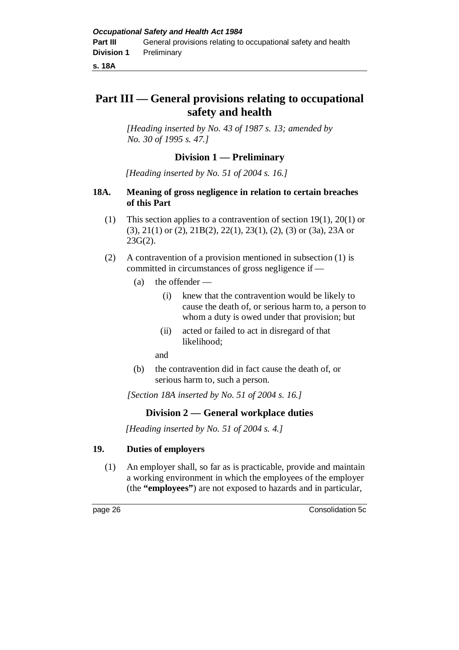**s. 18A**

# **Part III — General provisions relating to occupational safety and health**

*[Heading inserted by No. 43 of 1987 s. 13; amended by No. 30 of 1995 s. 47.]*

# **Division 1 — Preliminary**

*[Heading inserted by No. 51 of 2004 s. 16.]*

### **18A. Meaning of gross negligence in relation to certain breaches of this Part**

- (1) This section applies to a contravention of section 19(1), 20(1) or (3), 21(1) or (2), 21B(2), 22(1), 23(1), (2), (3) or (3a), 23A or 23G(2).
- (2) A contravention of a provision mentioned in subsection (1) is committed in circumstances of gross negligence if —
	- (a) the offender
		- (i) knew that the contravention would be likely to cause the death of, or serious harm to, a person to whom a duty is owed under that provision; but
		- (ii) acted or failed to act in disregard of that likelihood;

and

(b) the contravention did in fact cause the death of, or serious harm to, such a person.

*[Section 18A inserted by No. 51 of 2004 s. 16.]*

# **Division 2 — General workplace duties**

*[Heading inserted by No. 51 of 2004 s. 4.]*

## **19. Duties of employers**

(1) An employer shall, so far as is practicable, provide and maintain a working environment in which the employees of the employer (the **"employees"**) are not exposed to hazards and in particular,

page 26 Consolidation 5c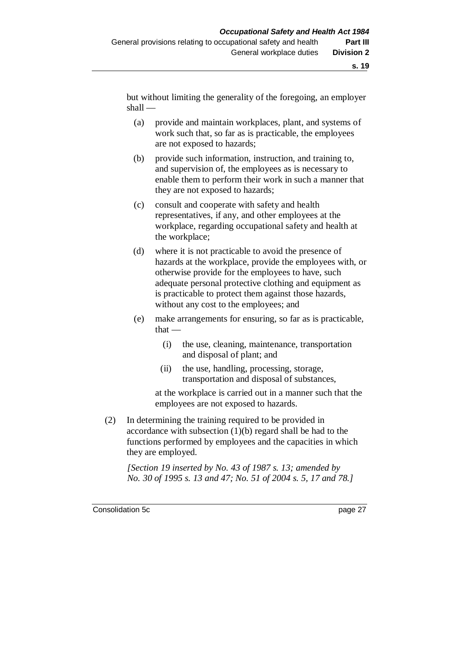but without limiting the generality of the foregoing, an employer shall —

- (a) provide and maintain workplaces, plant, and systems of work such that, so far as is practicable, the employees are not exposed to hazards;
- (b) provide such information, instruction, and training to, and supervision of, the employees as is necessary to enable them to perform their work in such a manner that they are not exposed to hazards;
- (c) consult and cooperate with safety and health representatives, if any, and other employees at the workplace, regarding occupational safety and health at the workplace;
- (d) where it is not practicable to avoid the presence of hazards at the workplace, provide the employees with, or otherwise provide for the employees to have, such adequate personal protective clothing and equipment as is practicable to protect them against those hazards, without any cost to the employees; and
- (e) make arrangements for ensuring, so far as is practicable, that —
	- (i) the use, cleaning, maintenance, transportation and disposal of plant; and
	- (ii) the use, handling, processing, storage, transportation and disposal of substances,

at the workplace is carried out in a manner such that the employees are not exposed to hazards.

(2) In determining the training required to be provided in accordance with subsection (1)(b) regard shall be had to the functions performed by employees and the capacities in which they are employed.

*[Section 19 inserted by No. 43 of 1987 s. 13; amended by No. 30 of 1995 s. 13 and 47; No. 51 of 2004 s. 5, 17 and 78.]*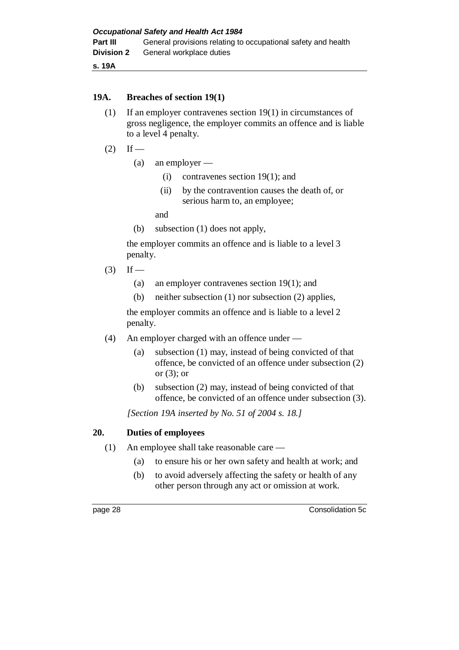**s. 19A**

### **19A. Breaches of section 19(1)**

- (1) If an employer contravenes section 19(1) in circumstances of gross negligence, the employer commits an offence and is liable to a level 4 penalty.
- $(2)$  If
	- (a) an employer
		- (i) contravenes section 19(1); and
		- (ii) by the contravention causes the death of, or serious harm to, an employee;

and

(b) subsection (1) does not apply,

the employer commits an offence and is liable to a level 3 penalty.

 $(3)$  If —

- (a) an employer contravenes section 19(1); and
- (b) neither subsection (1) nor subsection (2) applies,

the employer commits an offence and is liable to a level 2 penalty.

- (4) An employer charged with an offence under
	- (a) subsection (1) may, instead of being convicted of that offence, be convicted of an offence under subsection (2) or  $(3)$ ; or
	- (b) subsection (2) may, instead of being convicted of that offence, be convicted of an offence under subsection (3).

*[Section 19A inserted by No. 51 of 2004 s. 18.]*

## **20. Duties of employees**

- (1) An employee shall take reasonable care
	- (a) to ensure his or her own safety and health at work; and
	- (b) to avoid adversely affecting the safety or health of any other person through any act or omission at work.

page 28 Consolidation 5c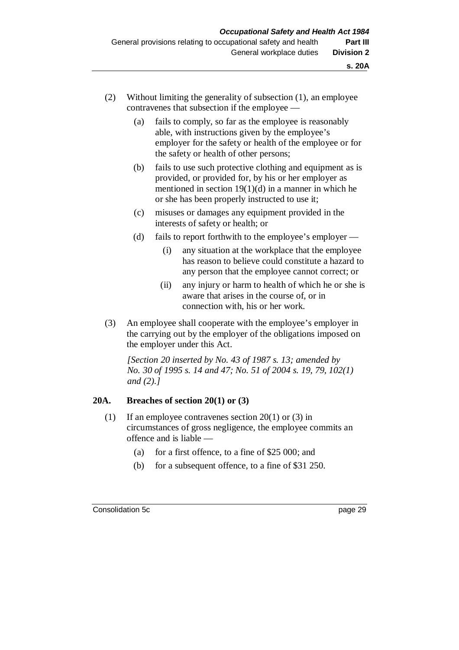- (2) Without limiting the generality of subsection (1), an employee contravenes that subsection if the employee —
	- (a) fails to comply, so far as the employee is reasonably able, with instructions given by the employee's employer for the safety or health of the employee or for the safety or health of other persons;
	- (b) fails to use such protective clothing and equipment as is provided, or provided for, by his or her employer as mentioned in section  $19(1)(d)$  in a manner in which he or she has been properly instructed to use it;
	- (c) misuses or damages any equipment provided in the interests of safety or health; or
	- (d) fails to report forthwith to the employee's employer
		- (i) any situation at the workplace that the employee has reason to believe could constitute a hazard to any person that the employee cannot correct; or
		- (ii) any injury or harm to health of which he or she is aware that arises in the course of, or in connection with, his or her work.
- (3) An employee shall cooperate with the employee's employer in the carrying out by the employer of the obligations imposed on the employer under this Act.

*[Section 20 inserted by No. 43 of 1987 s. 13; amended by No. 30 of 1995 s. 14 and 47; No. 51 of 2004 s. 19, 79, 102(1) and (2).]*

### **20A. Breaches of section 20(1) or (3)**

- (1) If an employee contravenes section 20(1) or (3) in circumstances of gross negligence, the employee commits an offence and is liable —
	- (a) for a first offence, to a fine of \$25 000; and
	- (b) for a subsequent offence, to a fine of \$31 250.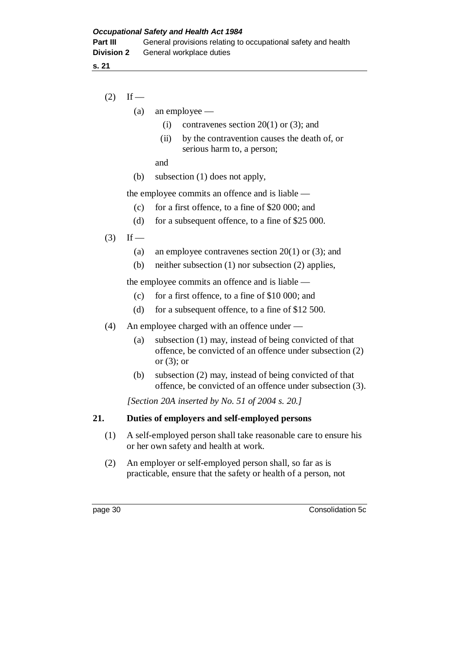- $(2)$  If
	- (a) an employee
		- (i) contravenes section  $20(1)$  or (3); and
		- (ii) by the contravention causes the death of, or serious harm to, a person;

and

(b) subsection (1) does not apply,

the employee commits an offence and is liable —

- (c) for a first offence, to a fine of \$20 000; and
- (d) for a subsequent offence, to a fine of \$25 000.
- $(3)$  If
	- (a) an employee contravenes section  $20(1)$  or (3); and
	- (b) neither subsection (1) nor subsection (2) applies,

the employee commits an offence and is liable —

- (c) for a first offence, to a fine of \$10 000; and
- (d) for a subsequent offence, to a fine of \$12 500.
- (4) An employee charged with an offence under
	- (a) subsection (1) may, instead of being convicted of that offence, be convicted of an offence under subsection (2) or  $(3)$ ; or
	- (b) subsection (2) may, instead of being convicted of that offence, be convicted of an offence under subsection (3).

*[Section 20A inserted by No. 51 of 2004 s. 20.]*

#### **21. Duties of employers and self-employed persons**

- (1) A self-employed person shall take reasonable care to ensure his or her own safety and health at work.
- (2) An employer or self-employed person shall, so far as is practicable, ensure that the safety or health of a person, not

page 30 Consolidation 5c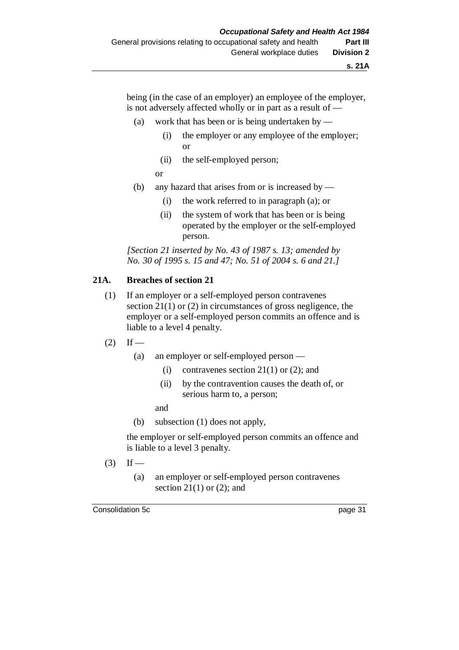being (in the case of an employer) an employee of the employer, is not adversely affected wholly or in part as a result of —

- (a) work that has been or is being undertaken by
	- (i) the employer or any employee of the employer; or
	- (ii) the self-employed person;
	- or
- (b) any hazard that arises from or is increased by
	- (i) the work referred to in paragraph (a); or
	- (ii) the system of work that has been or is being operated by the employer or the self-employed person.

*[Section 21 inserted by No. 43 of 1987 s. 13; amended by No. 30 of 1995 s. 15 and 47; No. 51 of 2004 s. 6 and 21.]*

### **21A. Breaches of section 21**

- (1) If an employer or a self-employed person contravenes section 21(1) or (2) in circumstances of gross negligence, the employer or a self-employed person commits an offence and is liable to a level 4 penalty.
- $(2)$  If
	- (a) an employer or self-employed person
		- (i) contravenes section  $21(1)$  or (2); and
		- (ii) by the contravention causes the death of, or serious harm to, a person;

and

(b) subsection (1) does not apply,

the employer or self-employed person commits an offence and is liable to a level 3 penalty.

- $(3)$  If
	- (a) an employer or self-employed person contravenes section 21(1) or  $(2)$ ; and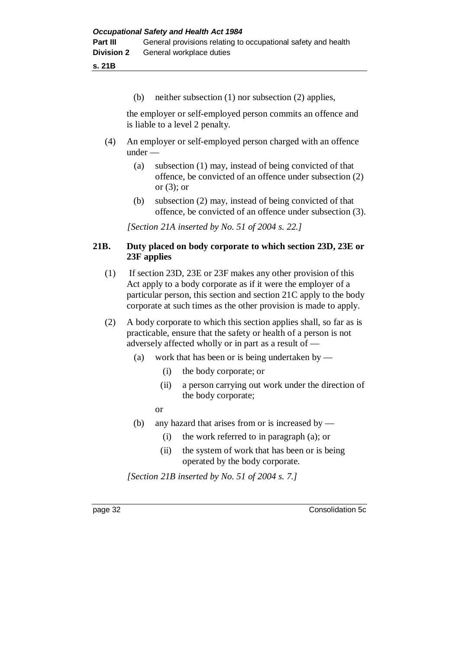**s. 21B**

(b) neither subsection (1) nor subsection (2) applies,

the employer or self-employed person commits an offence and is liable to a level 2 penalty.

- (4) An employer or self-employed person charged with an offence under —
	- (a) subsection (1) may, instead of being convicted of that offence, be convicted of an offence under subsection (2) or  $(3)$ ; or
	- (b) subsection (2) may, instead of being convicted of that offence, be convicted of an offence under subsection (3).

*[Section 21A inserted by No. 51 of 2004 s. 22.]*

### **21B. Duty placed on body corporate to which section 23D, 23E or 23F applies**

- (1) If section 23D, 23E or 23F makes any other provision of this Act apply to a body corporate as if it were the employer of a particular person, this section and section 21C apply to the body corporate at such times as the other provision is made to apply.
- (2) A body corporate to which this section applies shall, so far as is practicable, ensure that the safety or health of a person is not adversely affected wholly or in part as a result of —
	- (a) work that has been or is being undertaken by
		- (i) the body corporate; or
		- (ii) a person carrying out work under the direction of the body corporate;
		- or
	- (b) any hazard that arises from or is increased by
		- (i) the work referred to in paragraph (a); or
		- (ii) the system of work that has been or is being operated by the body corporate.

*[Section 21B inserted by No. 51 of 2004 s. 7.]*

page 32 Consolidation 5c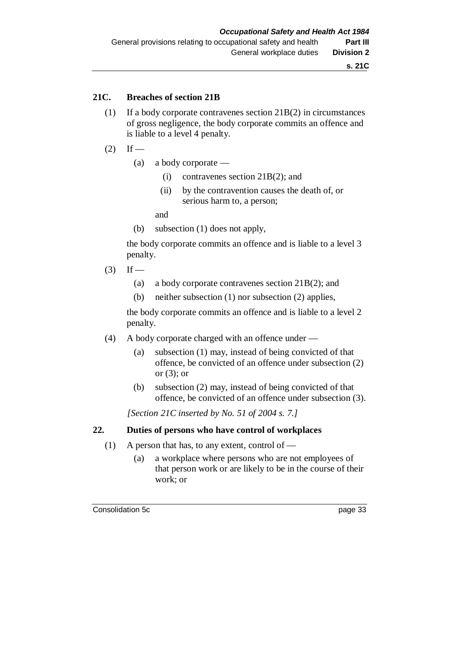**s. 21C**

### **21C. Breaches of section 21B**

- (1) If a body corporate contravenes section 21B(2) in circumstances of gross negligence, the body corporate commits an offence and is liable to a level 4 penalty.
- $(2)$  If
	- (a) a body corporate
		- (i) contravenes section 21B(2); and
		- (ii) by the contravention causes the death of, or serious harm to, a person;

and

(b) subsection (1) does not apply,

the body corporate commits an offence and is liable to a level 3 penalty.

 $(3)$  If —

- (a) a body corporate contravenes section 21B(2); and
- (b) neither subsection (1) nor subsection (2) applies,

the body corporate commits an offence and is liable to a level 2 penalty.

- (4) A body corporate charged with an offence under
	- (a) subsection (1) may, instead of being convicted of that offence, be convicted of an offence under subsection (2) or (3); or
	- (b) subsection (2) may, instead of being convicted of that offence, be convicted of an offence under subsection (3).

*[Section 21C inserted by No. 51 of 2004 s. 7.]*

### **22. Duties of persons who have control of workplaces**

- (1) A person that has, to any extent, control of
	- (a) a workplace where persons who are not employees of that person work or are likely to be in the course of their work; or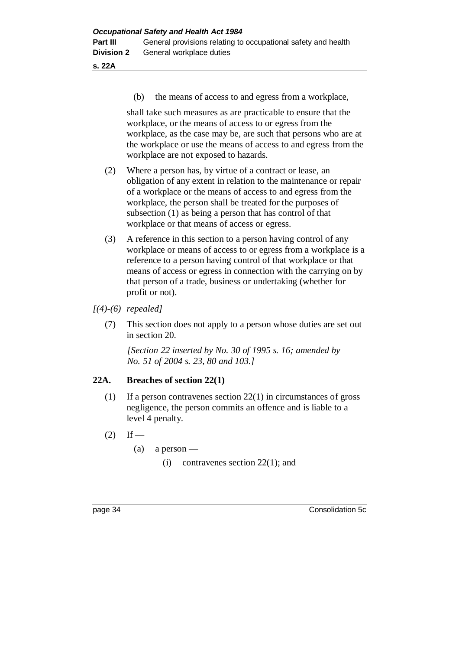**s. 22A**

(b) the means of access to and egress from a workplace,

shall take such measures as are practicable to ensure that the workplace, or the means of access to or egress from the workplace, as the case may be, are such that persons who are at the workplace or use the means of access to and egress from the workplace are not exposed to hazards.

- (2) Where a person has, by virtue of a contract or lease, an obligation of any extent in relation to the maintenance or repair of a workplace or the means of access to and egress from the workplace, the person shall be treated for the purposes of subsection (1) as being a person that has control of that workplace or that means of access or egress.
- (3) A reference in this section to a person having control of any workplace or means of access to or egress from a workplace is a reference to a person having control of that workplace or that means of access or egress in connection with the carrying on by that person of a trade, business or undertaking (whether for profit or not).
- *[(4)-(6) repealed]*
	- (7) This section does not apply to a person whose duties are set out in section 20.

*[Section 22 inserted by No. 30 of 1995 s. 16; amended by No. 51 of 2004 s. 23, 80 and 103.]*

### **22A. Breaches of section 22(1)**

- (1) If a person contravenes section 22(1) in circumstances of gross negligence, the person commits an offence and is liable to a level 4 penalty.
- $(2)$  If
	- $(a)$  a person
		- (i) contravenes section 22(1); and

page 34 Consolidation 5c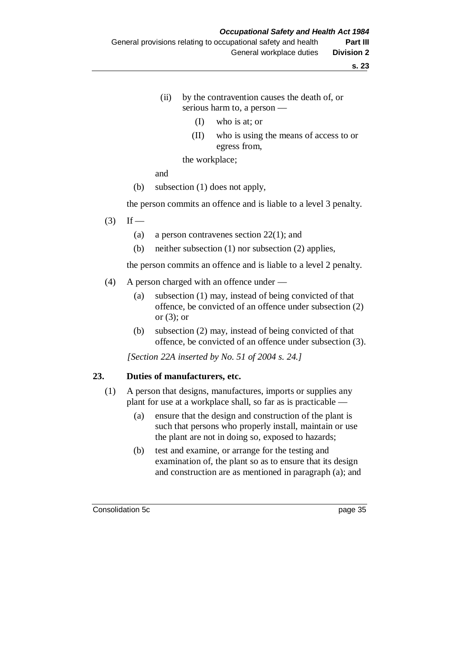- (ii) by the contravention causes the death of, or serious harm to, a person —
	- (I) who is at; or
	- (II) who is using the means of access to or egress from,

the workplace;

and

(b) subsection (1) does not apply,

the person commits an offence and is liable to a level 3 penalty.

- $(3)$  If
	- (a) a person contravenes section 22(1); and
	- (b) neither subsection (1) nor subsection (2) applies,

the person commits an offence and is liable to a level 2 penalty.

- (4) A person charged with an offence under
	- (a) subsection (1) may, instead of being convicted of that offence, be convicted of an offence under subsection (2) or  $(3)$ ; or
	- (b) subsection (2) may, instead of being convicted of that offence, be convicted of an offence under subsection (3).

*[Section 22A inserted by No. 51 of 2004 s. 24.]*

#### **23. Duties of manufacturers, etc.**

- (1) A person that designs, manufactures, imports or supplies any plant for use at a workplace shall, so far as is practicable —
	- (a) ensure that the design and construction of the plant is such that persons who properly install, maintain or use the plant are not in doing so, exposed to hazards;
	- (b) test and examine, or arrange for the testing and examination of, the plant so as to ensure that its design and construction are as mentioned in paragraph (a); and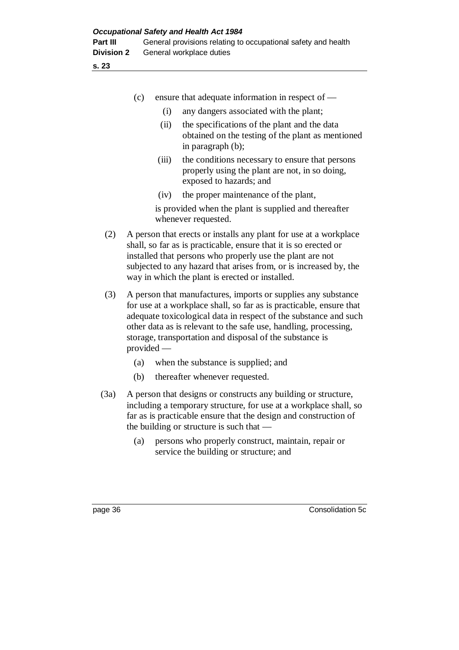|         | (c)          |             | ensure that adequate information in respect of —                                                                                                                                                                                                                                                                                         |
|---------|--------------|-------------|------------------------------------------------------------------------------------------------------------------------------------------------------------------------------------------------------------------------------------------------------------------------------------------------------------------------------------------|
|         |              |             |                                                                                                                                                                                                                                                                                                                                          |
|         |              | (i)<br>(ii) | any dangers associated with the plant;<br>the specifications of the plant and the data                                                                                                                                                                                                                                                   |
|         |              |             | obtained on the testing of the plant as mentioned<br>in paragraph (b);                                                                                                                                                                                                                                                                   |
|         |              | (iii)       | the conditions necessary to ensure that persons<br>properly using the plant are not, in so doing,<br>exposed to hazards; and                                                                                                                                                                                                             |
|         |              | (iv)        | the proper maintenance of the plant,                                                                                                                                                                                                                                                                                                     |
|         |              |             | is provided when the plant is supplied and thereafter<br>whenever requested.                                                                                                                                                                                                                                                             |
| (2)     |              |             | A person that erects or installs any plant for use at a workplace<br>shall, so far as is practicable, ensure that it is so erected or<br>installed that persons who properly use the plant are not<br>subjected to any hazard that arises from, or is increased by, the<br>way in which the plant is erected or installed.               |
| (3)     | $provided$ — |             | A person that manufactures, imports or supplies any substance<br>for use at a workplace shall, so far as is practicable, ensure that<br>adequate toxicological data in respect of the substance and such<br>other data as is relevant to the safe use, handling, processing,<br>storage, transportation and disposal of the substance is |
|         | (a)          |             | when the substance is supplied; and                                                                                                                                                                                                                                                                                                      |
|         | (b)          |             | thereafter whenever requested.                                                                                                                                                                                                                                                                                                           |
| (3a)    |              |             | A person that designs or constructs any building or structure,<br>including a temporary structure, for use at a workplace shall, so<br>far as is practicable ensure that the design and construction of<br>the building or structure is such that $-$                                                                                    |
|         | (a)          |             | persons who properly construct, maintain, repair or<br>service the building or structure; and                                                                                                                                                                                                                                            |
|         |              |             |                                                                                                                                                                                                                                                                                                                                          |
| page 36 |              |             | Consolidation 5c                                                                                                                                                                                                                                                                                                                         |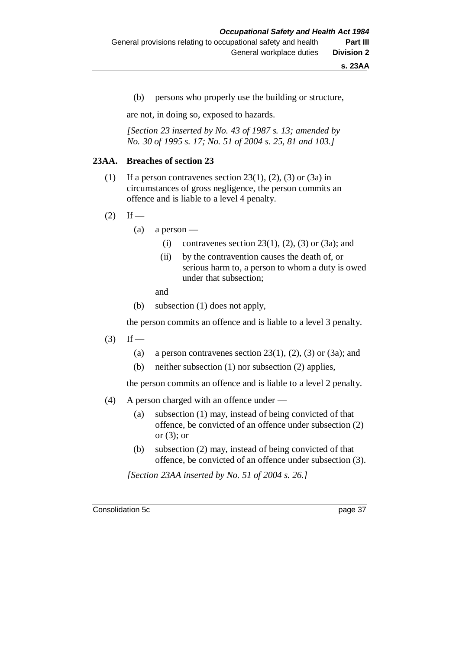(b) persons who properly use the building or structure,

are not, in doing so, exposed to hazards.

*[Section 23 inserted by No. 43 of 1987 s. 13; amended by No. 30 of 1995 s. 17; No. 51 of 2004 s. 25, 81 and 103.]*

#### **23AA. Breaches of section 23**

- (1) If a person contravenes section 23(1), (2), (3) or (3a) in circumstances of gross negligence, the person commits an offence and is liable to a level 4 penalty.
- $(2)$  If
	- $(a)$  a person
		- (i) contravenes section 23(1), (2), (3) or (3a); and
		- (ii) by the contravention causes the death of, or serious harm to, a person to whom a duty is owed under that subsection;

and

(b) subsection (1) does not apply,

the person commits an offence and is liable to a level 3 penalty.

- $(3)$  If
	- (a) a person contravenes section  $23(1)$ ,  $(2)$ ,  $(3)$  or  $(3a)$ ; and
	- (b) neither subsection (1) nor subsection (2) applies,

the person commits an offence and is liable to a level 2 penalty.

- (4) A person charged with an offence under
	- (a) subsection (1) may, instead of being convicted of that offence, be convicted of an offence under subsection (2) or  $(3)$ ; or
	- (b) subsection (2) may, instead of being convicted of that offence, be convicted of an offence under subsection (3).

*[Section 23AA inserted by No. 51 of 2004 s. 26.]*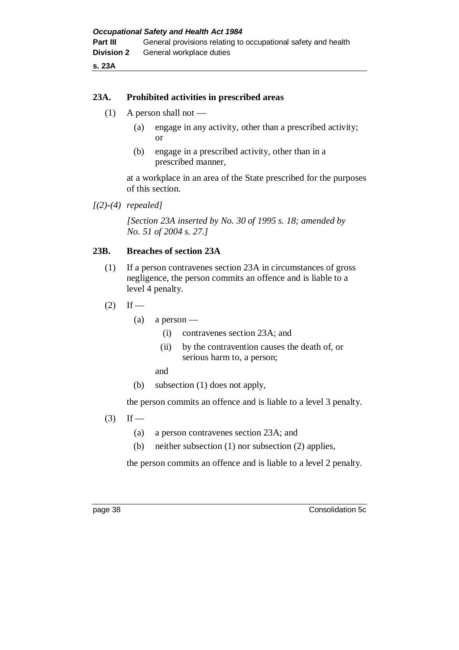**s. 23A**

### **23A. Prohibited activities in prescribed areas**

- $(1)$  A person shall not
	- (a) engage in any activity, other than a prescribed activity; or
	- (b) engage in a prescribed activity, other than in a prescribed manner,

at a workplace in an area of the State prescribed for the purposes of this section.

*[(2)-(4) repealed]*

*[Section 23A inserted by No. 30 of 1995 s. 18; amended by No. 51 of 2004 s. 27.]*

### **23B. Breaches of section 23A**

- (1) If a person contravenes section 23A in circumstances of gross negligence, the person commits an offence and is liable to a level 4 penalty.
- $(2)$  If
	- $(a)$  a person
		- (i) contravenes section 23A; and
		- (ii) by the contravention causes the death of, or serious harm to, a person;
		- and
	- (b) subsection (1) does not apply,

the person commits an offence and is liable to a level 3 penalty.

- $(3)$  If
	- (a) a person contravenes section 23A; and
	- (b) neither subsection (1) nor subsection (2) applies,

the person commits an offence and is liable to a level 2 penalty.

page 38 Consolidation 5c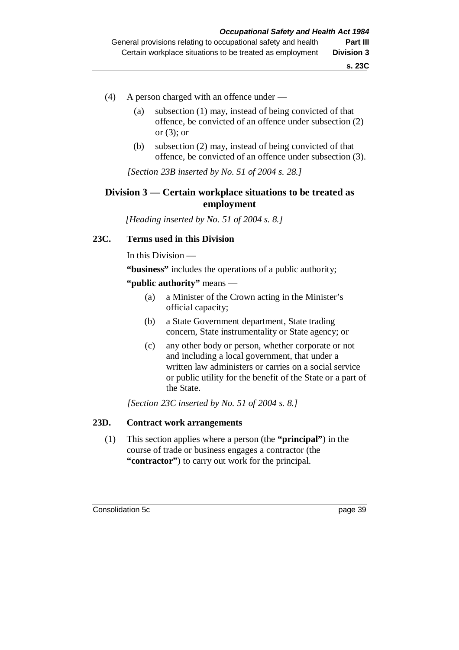- (4) A person charged with an offence under
	- (a) subsection (1) may, instead of being convicted of that offence, be convicted of an offence under subsection (2) or  $(3)$ ; or
	- (b) subsection (2) may, instead of being convicted of that offence, be convicted of an offence under subsection (3).

*[Section 23B inserted by No. 51 of 2004 s. 28.]*

### **Division 3 — Certain workplace situations to be treated as employment**

*[Heading inserted by No. 51 of 2004 s. 8.]*

### **23C. Terms used in this Division**

In this Division —

**"business"** includes the operations of a public authority;

### **"public authority"** means —

- (a) a Minister of the Crown acting in the Minister's official capacity;
- (b) a State Government department, State trading concern, State instrumentality or State agency; or
- (c) any other body or person, whether corporate or not and including a local government, that under a written law administers or carries on a social service or public utility for the benefit of the State or a part of the State.

*[Section 23C inserted by No. 51 of 2004 s. 8.]*

#### **23D. Contract work arrangements**

(1) This section applies where a person (the **"principal"**) in the course of trade or business engages a contractor (the **"contractor"**) to carry out work for the principal.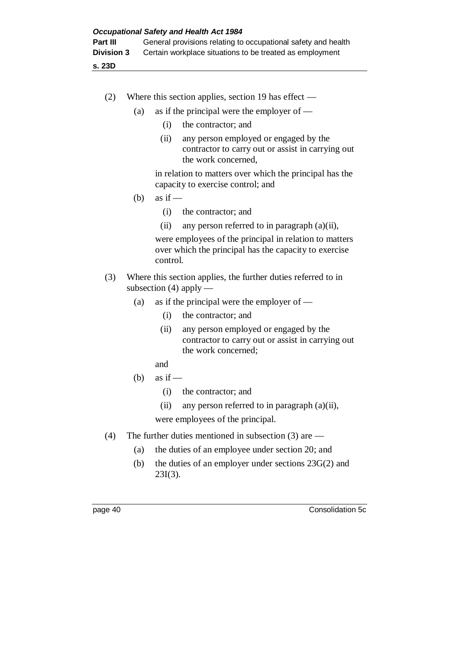**s. 23D**

- (2) Where this section applies, section 19 has effect
	- (a) as if the principal were the employer of  $-$ 
		- (i) the contractor; and
		- (ii) any person employed or engaged by the contractor to carry out or assist in carrying out the work concerned,

in relation to matters over which the principal has the capacity to exercise control; and

- (b) as if  $-$ 
	- (i) the contractor; and
	- (ii) any person referred to in paragraph (a)(ii),

were employees of the principal in relation to matters over which the principal has the capacity to exercise control.

- (3) Where this section applies, the further duties referred to in subsection  $(4)$  apply —
	- (a) as if the principal were the employer of  $-$ 
		- (i) the contractor; and
		- (ii) any person employed or engaged by the contractor to carry out or assist in carrying out the work concerned;
		- and
	- (b) as if  $-$ 
		- (i) the contractor; and
		- (ii) any person referred to in paragraph (a)(ii),

were employees of the principal.

- (4) The further duties mentioned in subsection (3) are
	- (a) the duties of an employee under section 20; and
	- (b) the duties of an employer under sections 23G(2) and 23I(3).

page 40 Consolidation 5c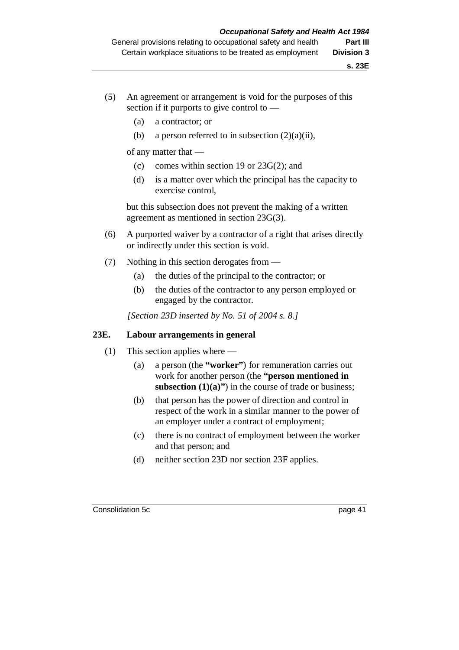- (5) An agreement or arrangement is void for the purposes of this section if it purports to give control to —
	- (a) a contractor; or
	- (b) a person referred to in subsection  $(2)(a)(ii)$ ,

of any matter that —

- (c) comes within section 19 or 23G(2); and
- (d) is a matter over which the principal has the capacity to exercise control,

but this subsection does not prevent the making of a written agreement as mentioned in section 23G(3).

- (6) A purported waiver by a contractor of a right that arises directly or indirectly under this section is void.
- (7) Nothing in this section derogates from
	- (a) the duties of the principal to the contractor; or
	- (b) the duties of the contractor to any person employed or engaged by the contractor.

*[Section 23D inserted by No. 51 of 2004 s. 8.]*

#### **23E. Labour arrangements in general**

- (1) This section applies where
	- (a) a person (the **"worker"**) for remuneration carries out work for another person (the **"person mentioned in subsection (1)(a)")** in the course of trade or business;
	- (b) that person has the power of direction and control in respect of the work in a similar manner to the power of an employer under a contract of employment;
	- (c) there is no contract of employment between the worker and that person; and
	- (d) neither section 23D nor section 23F applies.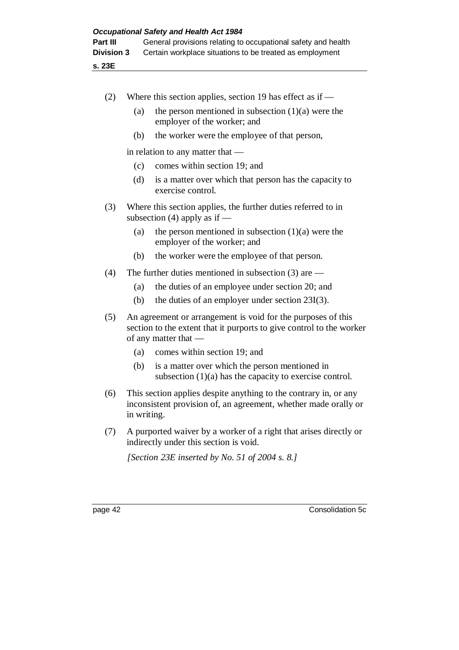**s. 23E**

| (2)     |                                                                                                                                                              | Where this section applies, section 19 has effect as if $-$                                                                         |  |
|---------|--------------------------------------------------------------------------------------------------------------------------------------------------------------|-------------------------------------------------------------------------------------------------------------------------------------|--|
|         | (a)                                                                                                                                                          | the person mentioned in subsection $(1)(a)$ were the<br>employer of the worker; and                                                 |  |
|         | (b)                                                                                                                                                          | the worker were the employee of that person,                                                                                        |  |
|         |                                                                                                                                                              | in relation to any matter that $-$                                                                                                  |  |
|         | (c)                                                                                                                                                          | comes within section 19; and                                                                                                        |  |
|         | (d)                                                                                                                                                          | is a matter over which that person has the capacity to<br>exercise control.                                                         |  |
| (3)     | Where this section applies, the further duties referred to in<br>subsection (4) apply as if $-$                                                              |                                                                                                                                     |  |
|         | (a)                                                                                                                                                          | the person mentioned in subsection $(1)(a)$ were the<br>employer of the worker; and                                                 |  |
|         | (b)                                                                                                                                                          | the worker were the employee of that person.                                                                                        |  |
| (4)     |                                                                                                                                                              | The further duties mentioned in subsection $(3)$ are —                                                                              |  |
|         | (a)                                                                                                                                                          | the duties of an employee under section 20; and                                                                                     |  |
|         | (b)                                                                                                                                                          | the duties of an employer under section $23I(3)$ .                                                                                  |  |
| (5)     | An agreement or arrangement is void for the purposes of this<br>section to the extent that it purports to give control to the worker<br>of any matter that — |                                                                                                                                     |  |
|         | (a)                                                                                                                                                          | comes within section 19; and                                                                                                        |  |
|         | (b)                                                                                                                                                          | is a matter over which the person mentioned in<br>subsection $(1)(a)$ has the capacity to exercise control.                         |  |
| (6)     | in writing.                                                                                                                                                  | This section applies despite anything to the contrary in, or any<br>inconsistent provision of, an agreement, whether made orally or |  |
| (7)     | A purported waiver by a worker of a right that arises directly or<br>indirectly under this section is void.                                                  |                                                                                                                                     |  |
|         |                                                                                                                                                              | [Section 23E inserted by No. 51 of 2004 s. 8.]                                                                                      |  |
|         |                                                                                                                                                              |                                                                                                                                     |  |
| page 42 |                                                                                                                                                              | Consolidation 5c                                                                                                                    |  |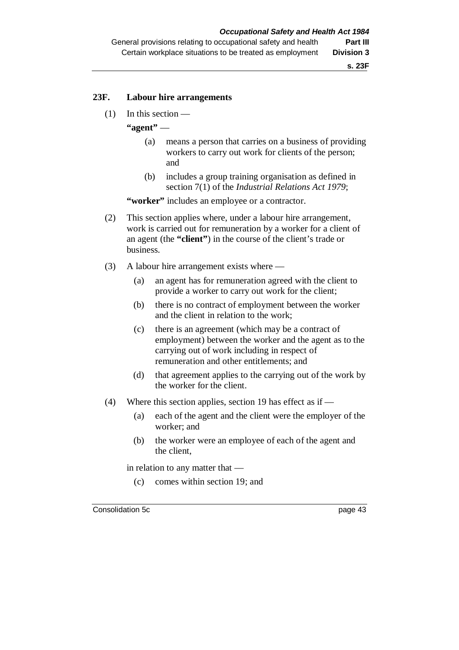#### **23F. Labour hire arrangements**

(1) In this section —

**"agent"** —

- (a) means a person that carries on a business of providing workers to carry out work for clients of the person; and
- (b) includes a group training organisation as defined in section 7(1) of the *Industrial Relations Act 1979*;

**"worker"** includes an employee or a contractor.

- (2) This section applies where, under a labour hire arrangement, work is carried out for remuneration by a worker for a client of an agent (the **"client"**) in the course of the client's trade or business.
- (3) A labour hire arrangement exists where
	- (a) an agent has for remuneration agreed with the client to provide a worker to carry out work for the client;
	- (b) there is no contract of employment between the worker and the client in relation to the work;
	- (c) there is an agreement (which may be a contract of employment) between the worker and the agent as to the carrying out of work including in respect of remuneration and other entitlements; and
	- (d) that agreement applies to the carrying out of the work by the worker for the client.
- (4) Where this section applies, section 19 has effect as if
	- (a) each of the agent and the client were the employer of the worker; and
	- (b) the worker were an employee of each of the agent and the client,

in relation to any matter that —

(c) comes within section 19; and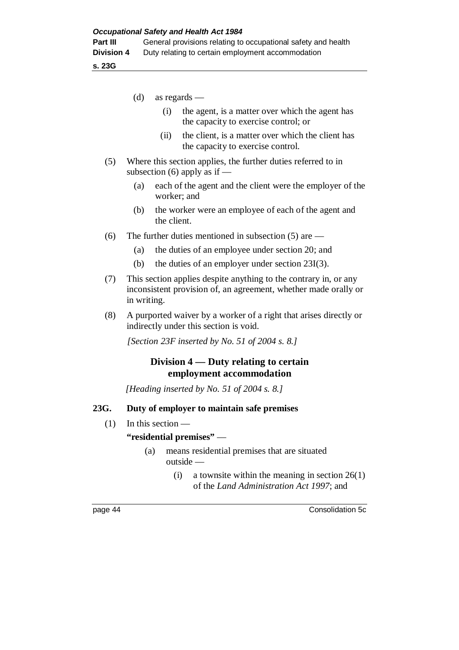**s. 23G**

- (d) as regards
	- (i) the agent, is a matter over which the agent has the capacity to exercise control; or
	- (ii) the client, is a matter over which the client has the capacity to exercise control.
- (5) Where this section applies, the further duties referred to in subsection  $(6)$  apply as if —
	- (a) each of the agent and the client were the employer of the worker; and
	- (b) the worker were an employee of each of the agent and the client.
- (6) The further duties mentioned in subsection (5) are
	- (a) the duties of an employee under section 20; and
	- (b) the duties of an employer under section 23I(3).
- (7) This section applies despite anything to the contrary in, or any inconsistent provision of, an agreement, whether made orally or in writing.
- (8) A purported waiver by a worker of a right that arises directly or indirectly under this section is void.

*[Section 23F inserted by No. 51 of 2004 s. 8.]*

# **Division 4 — Duty relating to certain employment accommodation**

*[Heading inserted by No. 51 of 2004 s. 8.]*

#### **23G. Duty of employer to maintain safe premises**

(1) In this section —

#### **"residential premises"** —

- (a) means residential premises that are situated outside —
	- (i) a townsite within the meaning in section  $26(1)$ of the *Land Administration Act 1997*; and

page 44 Consolidation 5c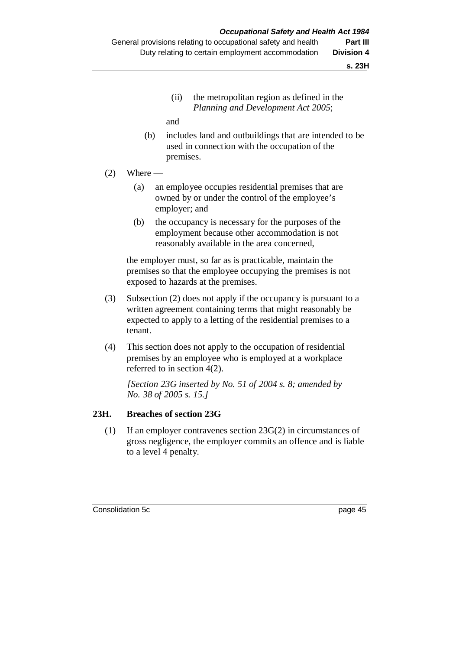(ii) the metropolitan region as defined in the *Planning and Development Act 2005*;

and

- (b) includes land and outbuildings that are intended to be used in connection with the occupation of the premises.
- $(2)$  Where
	- (a) an employee occupies residential premises that are owned by or under the control of the employee's employer; and
	- (b) the occupancy is necessary for the purposes of the employment because other accommodation is not reasonably available in the area concerned,

the employer must, so far as is practicable, maintain the premises so that the employee occupying the premises is not exposed to hazards at the premises.

- (3) Subsection (2) does not apply if the occupancy is pursuant to a written agreement containing terms that might reasonably be expected to apply to a letting of the residential premises to a tenant.
- (4) This section does not apply to the occupation of residential premises by an employee who is employed at a workplace referred to in section 4(2).

*[Section 23G inserted by No. 51 of 2004 s. 8; amended by No. 38 of 2005 s. 15.]*

### **23H. Breaches of section 23G**

(1) If an employer contravenes section 23G(2) in circumstances of gross negligence, the employer commits an offence and is liable to a level 4 penalty.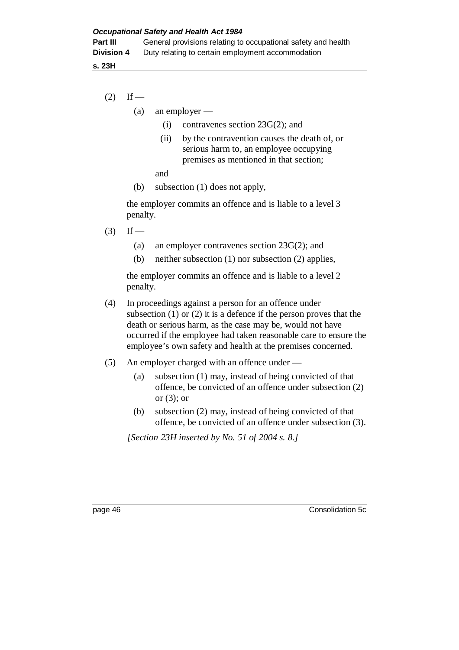**s. 23H**

- $(2)$  If
	- (a) an employer
		- (i) contravenes section 23G(2); and
		- (ii) by the contravention causes the death of, or serious harm to, an employee occupying premises as mentioned in that section;

and

(b) subsection (1) does not apply,

the employer commits an offence and is liable to a level 3 penalty.

- $(3)$  If
	- (a) an employer contravenes section 23G(2); and
	- (b) neither subsection (1) nor subsection (2) applies,

the employer commits an offence and is liable to a level 2 penalty.

- (4) In proceedings against a person for an offence under subsection (1) or (2) it is a defence if the person proves that the death or serious harm, as the case may be, would not have occurred if the employee had taken reasonable care to ensure the employee's own safety and health at the premises concerned.
- (5) An employer charged with an offence under
	- (a) subsection (1) may, instead of being convicted of that offence, be convicted of an offence under subsection (2) or  $(3)$ ; or
	- (b) subsection (2) may, instead of being convicted of that offence, be convicted of an offence under subsection (3).

*[Section 23H inserted by No. 51 of 2004 s. 8.]*

page 46 Consolidation 5c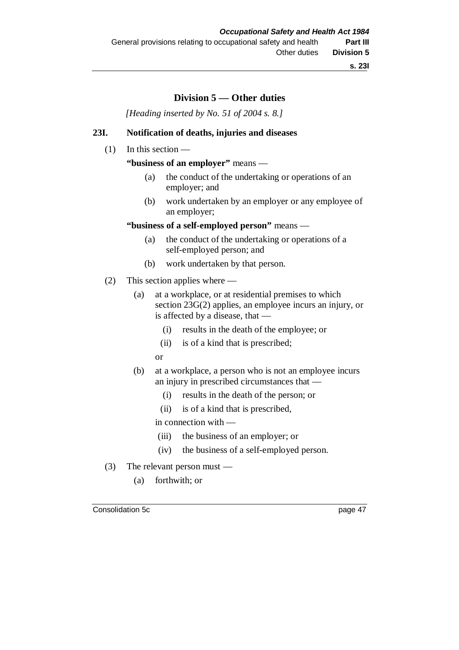# **Division 5 — Other duties**

*[Heading inserted by No. 51 of 2004 s. 8.]*

### **23I. Notification of deaths, injuries and diseases**

(1) In this section —

**"business of an employer"** means —

- (a) the conduct of the undertaking or operations of an employer; and
- (b) work undertaken by an employer or any employee of an employer;

### **"business of a self-employed person"** means —

- (a) the conduct of the undertaking or operations of a self-employed person; and
- (b) work undertaken by that person.
- (2) This section applies where
	- (a) at a workplace, or at residential premises to which section 23G(2) applies, an employee incurs an injury, or is affected by a disease, that —
		- (i) results in the death of the employee; or
		- (ii) is of a kind that is prescribed;
		- or
	- (b) at a workplace, a person who is not an employee incurs an injury in prescribed circumstances that —
		- (i) results in the death of the person; or
		- (ii) is of a kind that is prescribed,

in connection with —

- (iii) the business of an employer; or
- (iv) the business of a self-employed person.
- (3) The relevant person must
	- (a) forthwith; or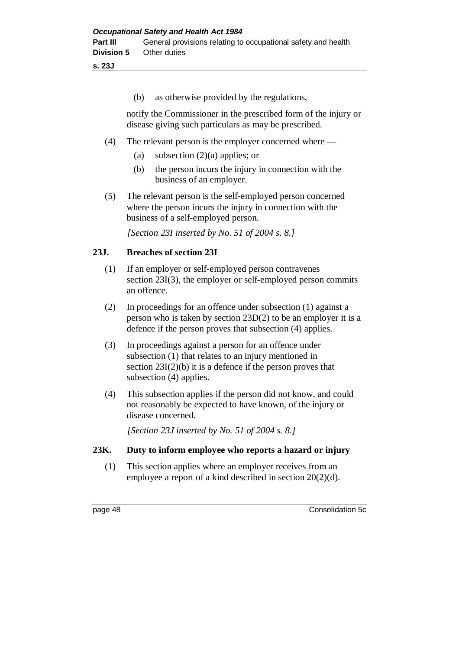### **s. 23J**

(b) as otherwise provided by the regulations,

notify the Commissioner in the prescribed form of the injury or disease giving such particulars as may be prescribed.

- (4) The relevant person is the employer concerned where
	- (a) subsection  $(2)(a)$  applies; or
	- (b) the person incurs the injury in connection with the business of an employer.
- (5) The relevant person is the self-employed person concerned where the person incurs the injury in connection with the business of a self-employed person.

*[Section 23I inserted by No. 51 of 2004 s. 8.]*

### **23J. Breaches of section 23I**

- (1) If an employer or self-employed person contravenes section 23I(3), the employer or self-employed person commits an offence.
- (2) In proceedings for an offence under subsection (1) against a person who is taken by section 23D(2) to be an employer it is a defence if the person proves that subsection (4) applies.
- (3) In proceedings against a person for an offence under subsection (1) that relates to an injury mentioned in section  $23I(2)(b)$  it is a defence if the person proves that subsection (4) applies.
- (4) This subsection applies if the person did not know, and could not reasonably be expected to have known, of the injury or disease concerned.

*[Section 23J inserted by No. 51 of 2004 s. 8.]*

### **23K. Duty to inform employee who reports a hazard or injury**

(1) This section applies where an employer receives from an employee a report of a kind described in section 20(2)(d).

page 48 Consolidation 5c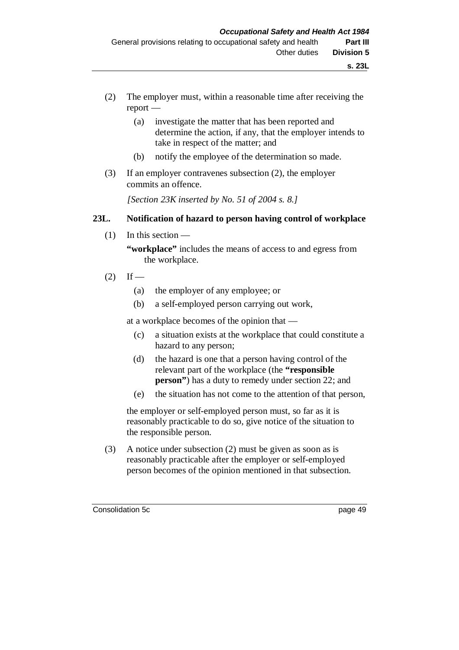- (2) The employer must, within a reasonable time after receiving the report —
	- (a) investigate the matter that has been reported and determine the action, if any, that the employer intends to take in respect of the matter; and
	- (b) notify the employee of the determination so made.
- (3) If an employer contravenes subsection (2), the employer commits an offence.

*[Section 23K inserted by No. 51 of 2004 s. 8.]*

### **23L. Notification of hazard to person having control of workplace**

(1) In this section —

**"workplace"** includes the means of access to and egress from the workplace.

- $(2)$  If
	- (a) the employer of any employee; or
	- (b) a self-employed person carrying out work,

at a workplace becomes of the opinion that —

- (c) a situation exists at the workplace that could constitute a hazard to any person;
- (d) the hazard is one that a person having control of the relevant part of the workplace (the **"responsible person**") has a duty to remedy under section 22; and
- (e) the situation has not come to the attention of that person,

the employer or self-employed person must, so far as it is reasonably practicable to do so, give notice of the situation to the responsible person.

(3) A notice under subsection (2) must be given as soon as is reasonably practicable after the employer or self-employed person becomes of the opinion mentioned in that subsection.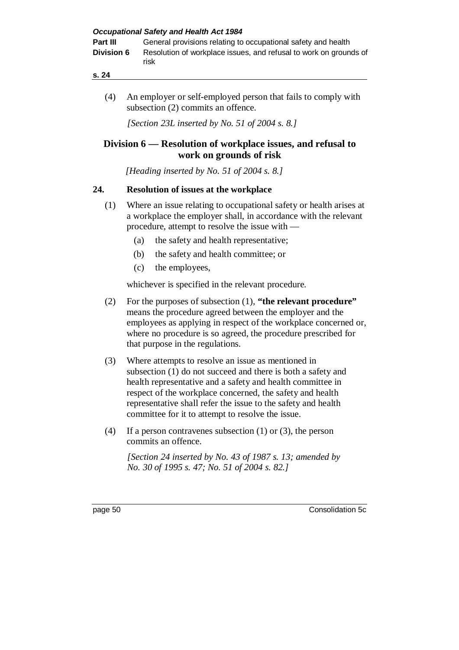| Part III          | General provisions relating to occupational safety and health             |
|-------------------|---------------------------------------------------------------------------|
| <b>Division 6</b> | Resolution of workplace issues, and refusal to work on grounds of<br>risk |

(4) An employer or self-employed person that fails to comply with subsection (2) commits an offence.

*[Section 23L inserted by No. 51 of 2004 s. 8.]*

# **Division 6 — Resolution of workplace issues, and refusal to work on grounds of risk**

*[Heading inserted by No. 51 of 2004 s. 8.]*

# **24. Resolution of issues at the workplace**

- (1) Where an issue relating to occupational safety or health arises at a workplace the employer shall, in accordance with the relevant procedure, attempt to resolve the issue with —
	- (a) the safety and health representative;
	- (b) the safety and health committee; or
	- (c) the employees,

whichever is specified in the relevant procedure.

- (2) For the purposes of subsection (1), **"the relevant procedure"** means the procedure agreed between the employer and the employees as applying in respect of the workplace concerned or, where no procedure is so agreed, the procedure prescribed for that purpose in the regulations.
- (3) Where attempts to resolve an issue as mentioned in subsection (1) do not succeed and there is both a safety and health representative and a safety and health committee in respect of the workplace concerned, the safety and health representative shall refer the issue to the safety and health committee for it to attempt to resolve the issue.
- (4) If a person contravenes subsection (1) or (3), the person commits an offence.

*[Section 24 inserted by No. 43 of 1987 s. 13; amended by No. 30 of 1995 s. 47; No. 51 of 2004 s. 82.]*

page 50 Consolidation 5c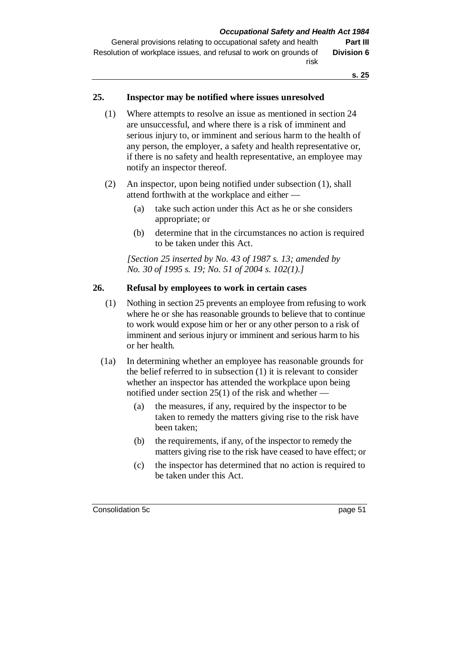General provisions relating to occupational safety and health **Part III** Resolution of workplace issues, and refusal to work on grounds of risk **Division 6**

**s. 25**

### **25. Inspector may be notified where issues unresolved**

- (1) Where attempts to resolve an issue as mentioned in section 24 are unsuccessful, and where there is a risk of imminent and serious injury to, or imminent and serious harm to the health of any person, the employer, a safety and health representative or, if there is no safety and health representative, an employee may notify an inspector thereof.
- (2) An inspector, upon being notified under subsection (1), shall attend forthwith at the workplace and either —
	- (a) take such action under this Act as he or she considers appropriate; or
	- (b) determine that in the circumstances no action is required to be taken under this Act.

*[Section 25 inserted by No. 43 of 1987 s. 13; amended by No. 30 of 1995 s. 19; No. 51 of 2004 s. 102(1).]*

#### **26. Refusal by employees to work in certain cases**

- (1) Nothing in section 25 prevents an employee from refusing to work where he or she has reasonable grounds to believe that to continue to work would expose him or her or any other person to a risk of imminent and serious injury or imminent and serious harm to his or her health.
- (1a) In determining whether an employee has reasonable grounds for the belief referred to in subsection (1) it is relevant to consider whether an inspector has attended the workplace upon being notified under section 25(1) of the risk and whether —
	- (a) the measures, if any, required by the inspector to be taken to remedy the matters giving rise to the risk have been taken;
	- (b) the requirements, if any, of the inspector to remedy the matters giving rise to the risk have ceased to have effect; or
	- (c) the inspector has determined that no action is required to be taken under this Act.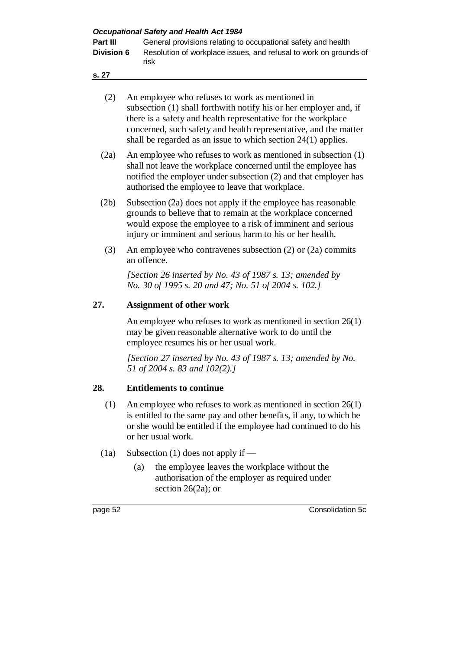| <b>Occupational Safety and Health Act 1984</b> |  |  |
|------------------------------------------------|--|--|
|                                                |  |  |

| Part III          | General provisions relating to occupational safety and health             |
|-------------------|---------------------------------------------------------------------------|
| <b>Division 6</b> | Resolution of workplace issues, and refusal to work on grounds of<br>risk |

| (2) | An employee who refuses to work as mentioned in                   |
|-----|-------------------------------------------------------------------|
|     | subsection (1) shall forthwith notify his or her employer and, if |
|     | there is a safety and health representative for the workplace     |
|     | concerned, such safety and health representative, and the matter  |
|     | shall be regarded as an issue to which section $24(1)$ applies.   |

- (2a) An employee who refuses to work as mentioned in subsection (1) shall not leave the workplace concerned until the employee has notified the employer under subsection (2) and that employer has authorised the employee to leave that workplace.
- (2b) Subsection (2a) does not apply if the employee has reasonable grounds to believe that to remain at the workplace concerned would expose the employee to a risk of imminent and serious injury or imminent and serious harm to his or her health.
- (3) An employee who contravenes subsection (2) or (2a) commits an offence.

*[Section 26 inserted by No. 43 of 1987 s. 13; amended by No. 30 of 1995 s. 20 and 47; No. 51 of 2004 s. 102.]*

# **27. Assignment of other work**

An employee who refuses to work as mentioned in section 26(1) may be given reasonable alternative work to do until the employee resumes his or her usual work.

*[Section 27 inserted by No. 43 of 1987 s. 13; amended by No. 51 of 2004 s. 83 and 102(2).]*

### **28. Entitlements to continue**

- (1) An employee who refuses to work as mentioned in section 26(1) is entitled to the same pay and other benefits, if any, to which he or she would be entitled if the employee had continued to do his or her usual work.
- (1a) Subsection (1) does not apply if
	- (a) the employee leaves the workplace without the authorisation of the employer as required under section 26(2a); or

page 52 Consolidation 5c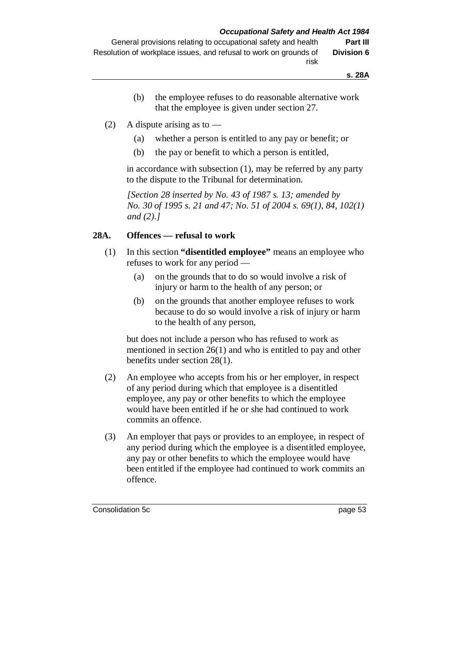**s. 28A**

- (b) the employee refuses to do reasonable alternative work that the employee is given under section 27.
- (2) A dispute arising as to
	- (a) whether a person is entitled to any pay or benefit; or
	- (b) the pay or benefit to which a person is entitled,

in accordance with subsection (1), may be referred by any party to the dispute to the Tribunal for determination.

*[Section 28 inserted by No. 43 of 1987 s. 13; amended by No. 30 of 1995 s. 21 and 47; No. 51 of 2004 s. 69(1), 84, 102(1) and (2).]*

### **28A. Offences — refusal to work**

- (1) In this section **"disentitled employee"** means an employee who refuses to work for any period —
	- (a) on the grounds that to do so would involve a risk of injury or harm to the health of any person; or
	- (b) on the grounds that another employee refuses to work because to do so would involve a risk of injury or harm to the health of any person,

but does not include a person who has refused to work as mentioned in section 26(1) and who is entitled to pay and other benefits under section 28(1).

- (2) An employee who accepts from his or her employer, in respect of any period during which that employee is a disentitled employee, any pay or other benefits to which the employee would have been entitled if he or she had continued to work commits an offence.
- (3) An employer that pays or provides to an employee, in respect of any period during which the employee is a disentitled employee, any pay or other benefits to which the employee would have been entitled if the employee had continued to work commits an offence.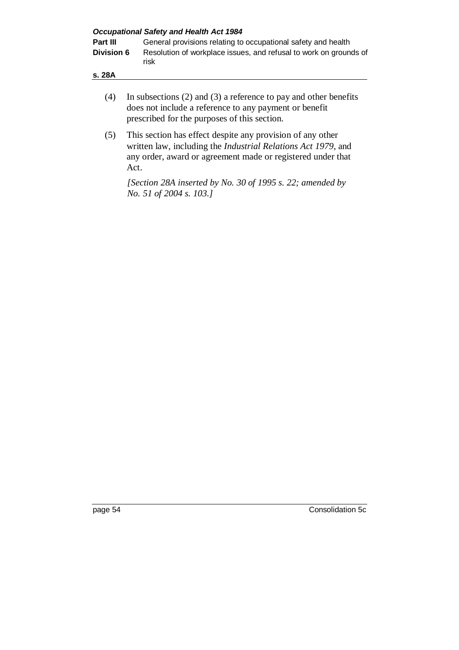| <b>Occupational Safety and Health Act 1984</b> |                                                                                                                                                                                                                                                                                                                   |  |  |  |  |  |  |
|------------------------------------------------|-------------------------------------------------------------------------------------------------------------------------------------------------------------------------------------------------------------------------------------------------------------------------------------------------------------------|--|--|--|--|--|--|
| Part III                                       | General provisions relating to occupational safety and health                                                                                                                                                                                                                                                     |  |  |  |  |  |  |
| <b>Division 6</b>                              | Resolution of workplace issues, and refusal to work on grounds of<br>risk                                                                                                                                                                                                                                         |  |  |  |  |  |  |
| s. 28A                                         |                                                                                                                                                                                                                                                                                                                   |  |  |  |  |  |  |
|                                                | $\mathcal{L}$ and $\mathcal{L}$ and $\mathcal{L}$ and $\mathcal{L}$ and $\mathcal{L}$ and $\mathcal{L}$ and $\mathcal{L}$ and $\mathcal{L}$ and $\mathcal{L}$ and $\mathcal{L}$ and $\mathcal{L}$ and $\mathcal{L}$ and $\mathcal{L}$ and $\mathcal{L}$ and $\mathcal{L}$ and $\mathcal{L}$ and $\mathcal{L}$ and |  |  |  |  |  |  |

- (4) In subsections (2) and (3) a reference to pay and other benefits does not include a reference to any payment or benefit prescribed for the purposes of this section.
- (5) This section has effect despite any provision of any other written law, including the *Industrial Relations Act 1979*, and any order, award or agreement made or registered under that Act.

*[Section 28A inserted by No. 30 of 1995 s. 22; amended by No. 51 of 2004 s. 103.]*

page 54 Consolidation 5c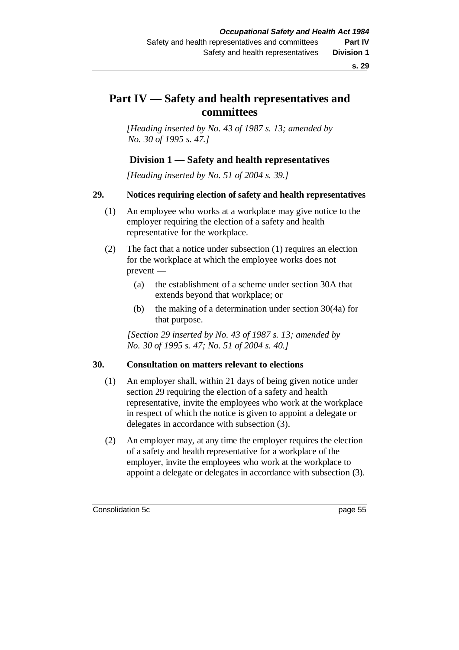# **Part IV — Safety and health representatives and committees**

*[Heading inserted by No. 43 of 1987 s. 13; amended by No. 30 of 1995 s. 47.]*

### **Division 1 — Safety and health representatives**

*[Heading inserted by No. 51 of 2004 s. 39.]*

#### **29. Notices requiring election of safety and health representatives**

- (1) An employee who works at a workplace may give notice to the employer requiring the election of a safety and health representative for the workplace.
- (2) The fact that a notice under subsection (1) requires an election for the workplace at which the employee works does not prevent —
	- (a) the establishment of a scheme under section 30A that extends beyond that workplace; or
	- (b) the making of a determination under section 30(4a) for that purpose.

*[Section 29 inserted by No. 43 of 1987 s. 13; amended by No. 30 of 1995 s. 47; No. 51 of 2004 s. 40.]*

#### **30. Consultation on matters relevant to elections**

- (1) An employer shall, within 21 days of being given notice under section 29 requiring the election of a safety and health representative, invite the employees who work at the workplace in respect of which the notice is given to appoint a delegate or delegates in accordance with subsection (3).
- (2) An employer may, at any time the employer requires the election of a safety and health representative for a workplace of the employer, invite the employees who work at the workplace to appoint a delegate or delegates in accordance with subsection (3).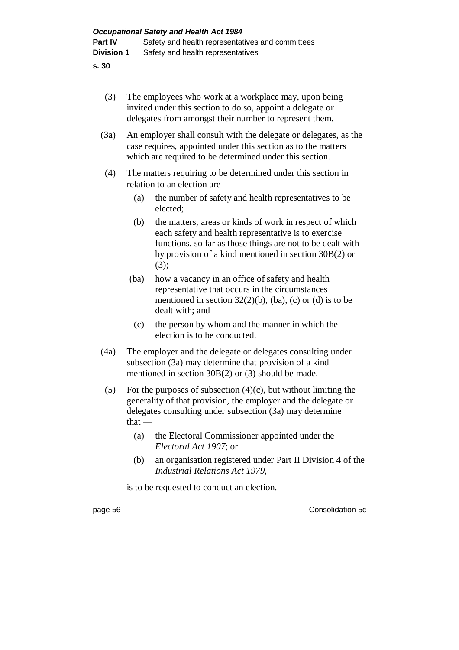| (3) | The employees who work at a workplace may, upon being      |
|-----|------------------------------------------------------------|
|     | invited under this section to do so, appoint a delegate or |
|     | delegates from amongst their number to represent them.     |

- (3a) An employer shall consult with the delegate or delegates, as the case requires, appointed under this section as to the matters which are required to be determined under this section.
- (4) The matters requiring to be determined under this section in relation to an election are —
	- (a) the number of safety and health representatives to be elected;
	- (b) the matters, areas or kinds of work in respect of which each safety and health representative is to exercise functions, so far as those things are not to be dealt with by provision of a kind mentioned in section 30B(2) or (3);
	- (ba) how a vacancy in an office of safety and health representative that occurs in the circumstances mentioned in section  $32(2)(b)$ , (ba), (c) or (d) is to be dealt with; and
	- (c) the person by whom and the manner in which the election is to be conducted.
- (4a) The employer and the delegate or delegates consulting under subsection (3a) may determine that provision of a kind mentioned in section 30B(2) or (3) should be made.
- (5) For the purposes of subsection  $(4)(c)$ , but without limiting the generality of that provision, the employer and the delegate or delegates consulting under subsection (3a) may determine that —
	- (a) the Electoral Commissioner appointed under the *Electoral Act 1907*; or
	- (b) an organisation registered under Part II Division 4 of the *Industrial Relations Act 1979*,

is to be requested to conduct an election.

page 56 Consolidation 5c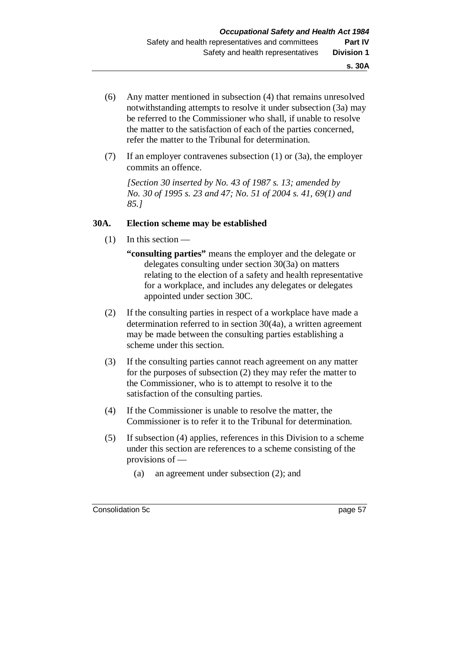- (6) Any matter mentioned in subsection (4) that remains unresolved notwithstanding attempts to resolve it under subsection (3a) may be referred to the Commissioner who shall, if unable to resolve the matter to the satisfaction of each of the parties concerned, refer the matter to the Tribunal for determination.
- (7) If an employer contravenes subsection (1) or (3a), the employer commits an offence.

*[Section 30 inserted by No. 43 of 1987 s. 13; amended by No. 30 of 1995 s. 23 and 47; No. 51 of 2004 s. 41, 69(1) and 85.]*

#### **30A. Election scheme may be established**

- $(1)$  In this section
	- **"consulting parties"** means the employer and the delegate or delegates consulting under section 30(3a) on matters relating to the election of a safety and health representative for a workplace, and includes any delegates or delegates appointed under section 30C.
- (2) If the consulting parties in respect of a workplace have made a determination referred to in section 30(4a), a written agreement may be made between the consulting parties establishing a scheme under this section.
- (3) If the consulting parties cannot reach agreement on any matter for the purposes of subsection (2) they may refer the matter to the Commissioner, who is to attempt to resolve it to the satisfaction of the consulting parties.
- (4) If the Commissioner is unable to resolve the matter, the Commissioner is to refer it to the Tribunal for determination.
- (5) If subsection (4) applies, references in this Division to a scheme under this section are references to a scheme consisting of the provisions of —
	- (a) an agreement under subsection (2); and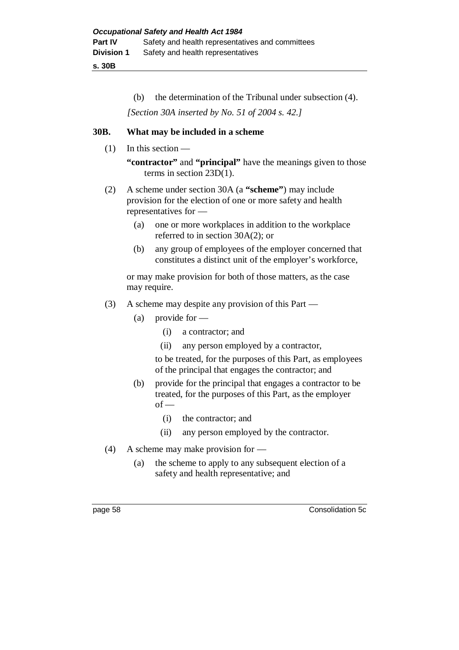**s. 30B**

(b) the determination of the Tribunal under subsection (4).

*[Section 30A inserted by No. 51 of 2004 s. 42.]*

### **30B. What may be included in a scheme**

(1) In this section —

**"contractor"** and **"principal"** have the meanings given to those terms in section 23D(1).

- (2) A scheme under section 30A (a **"scheme"**) may include provision for the election of one or more safety and health representatives for —
	- (a) one or more workplaces in addition to the workplace referred to in section 30A(2); or
	- (b) any group of employees of the employer concerned that constitutes a distinct unit of the employer's workforce,

or may make provision for both of those matters, as the case may require.

- (3) A scheme may despite any provision of this Part
	- (a) provide for
		- (i) a contractor; and
		- (ii) any person employed by a contractor,

to be treated, for the purposes of this Part, as employees of the principal that engages the contractor; and

- (b) provide for the principal that engages a contractor to be treated, for the purposes of this Part, as the employer  $of -$ 
	- (i) the contractor; and
	- (ii) any person employed by the contractor.
- (4) A scheme may make provision for
	- (a) the scheme to apply to any subsequent election of a safety and health representative; and

page 58 Consolidation 5c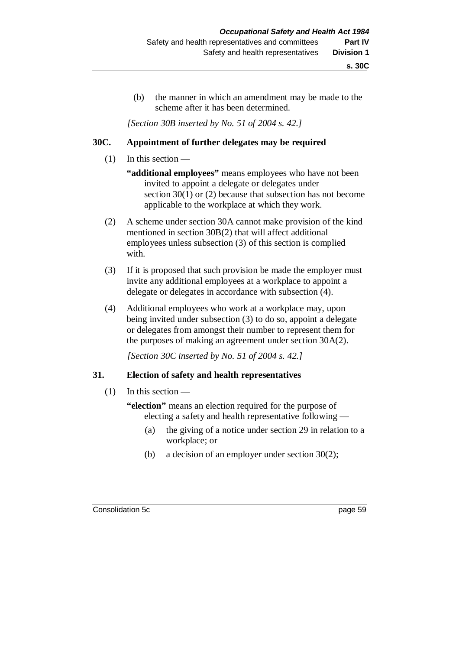(b) the manner in which an amendment may be made to the scheme after it has been determined.

*[Section 30B inserted by No. 51 of 2004 s. 42.]*

### **30C. Appointment of further delegates may be required**

- $(1)$  In this section
	- **"additional employees"** means employees who have not been invited to appoint a delegate or delegates under section 30(1) or (2) because that subsection has not become applicable to the workplace at which they work.
- (2) A scheme under section 30A cannot make provision of the kind mentioned in section 30B(2) that will affect additional employees unless subsection (3) of this section is complied with.
- (3) If it is proposed that such provision be made the employer must invite any additional employees at a workplace to appoint a delegate or delegates in accordance with subsection (4).
- (4) Additional employees who work at a workplace may, upon being invited under subsection (3) to do so, appoint a delegate or delegates from amongst their number to represent them for the purposes of making an agreement under section 30A(2).

*[Section 30C inserted by No. 51 of 2004 s. 42.]*

#### **31. Election of safety and health representatives**

 $(1)$  In this section —

**"election"** means an election required for the purpose of electing a safety and health representative following —

- (a) the giving of a notice under section 29 in relation to a workplace; or
- (b) a decision of an employer under section 30(2);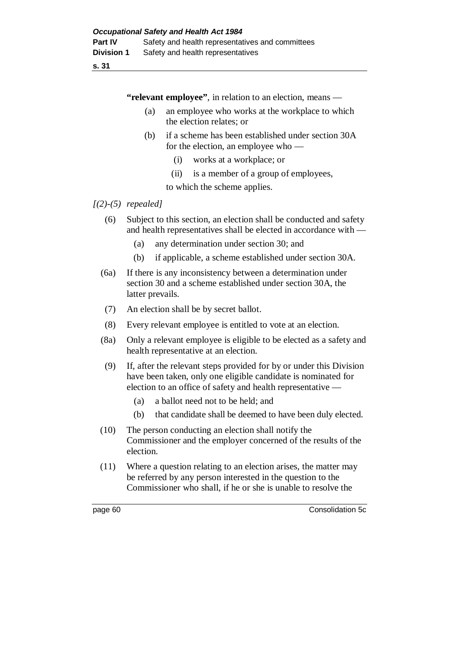**"relevant employee"**, in relation to an election, means —

- (a) an employee who works at the workplace to which the election relates; or
- (b) if a scheme has been established under section 30A for the election, an employee who —
	- (i) works at a workplace; or
	- (ii) is a member of a group of employees,

to which the scheme applies.

### *[(2)-(5) repealed]*

- (6) Subject to this section, an election shall be conducted and safety and health representatives shall be elected in accordance with —
	- (a) any determination under section 30; and
	- (b) if applicable, a scheme established under section 30A.
- (6a) If there is any inconsistency between a determination under section 30 and a scheme established under section 30A, the latter prevails.
- (7) An election shall be by secret ballot.
- (8) Every relevant employee is entitled to vote at an election.
- (8a) Only a relevant employee is eligible to be elected as a safety and health representative at an election.
- (9) If, after the relevant steps provided for by or under this Division have been taken, only one eligible candidate is nominated for election to an office of safety and health representative —
	- (a) a ballot need not to be held; and
	- (b) that candidate shall be deemed to have been duly elected.
- (10) The person conducting an election shall notify the Commissioner and the employer concerned of the results of the election.
- (11) Where a question relating to an election arises, the matter may be referred by any person interested in the question to the Commissioner who shall, if he or she is unable to resolve the

page 60 Consolidation 5c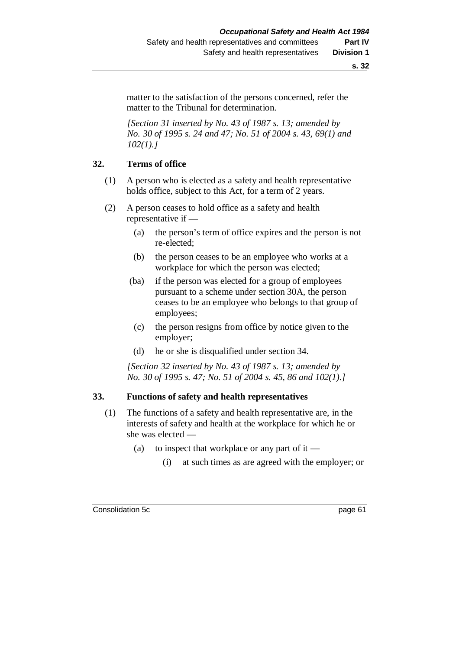matter to the satisfaction of the persons concerned, refer the matter to the Tribunal for determination.

*[Section 31 inserted by No. 43 of 1987 s. 13; amended by No. 30 of 1995 s. 24 and 47; No. 51 of 2004 s. 43, 69(1) and 102(1).]*

#### **32. Terms of office**

- (1) A person who is elected as a safety and health representative holds office, subject to this Act, for a term of 2 years.
- (2) A person ceases to hold office as a safety and health representative if —
	- (a) the person's term of office expires and the person is not re-elected;
	- (b) the person ceases to be an employee who works at a workplace for which the person was elected;
	- (ba) if the person was elected for a group of employees pursuant to a scheme under section 30A, the person ceases to be an employee who belongs to that group of employees;
	- (c) the person resigns from office by notice given to the employer;
	- (d) he or she is disqualified under section 34.

*[Section 32 inserted by No. 43 of 1987 s. 13; amended by No. 30 of 1995 s. 47; No. 51 of 2004 s. 45, 86 and 102(1).]*

#### **33. Functions of safety and health representatives**

- (1) The functions of a safety and health representative are, in the interests of safety and health at the workplace for which he or she was elected —
	- (a) to inspect that workplace or any part of it
		- (i) at such times as are agreed with the employer; or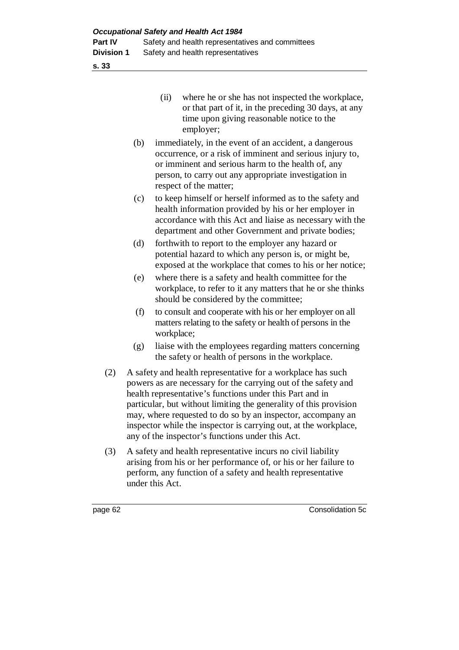| (i) | where he or she has not inspected the workplace,     |
|-----|------------------------------------------------------|
|     | or that part of it, in the preceding 30 days, at any |
|     | time upon giving reasonable notice to the            |
|     | employer;                                            |

- (b) immediately, in the event of an accident, a dangerous occurrence, or a risk of imminent and serious injury to, or imminent and serious harm to the health of, any person, to carry out any appropriate investigation in respect of the matter;
- (c) to keep himself or herself informed as to the safety and health information provided by his or her employer in accordance with this Act and liaise as necessary with the department and other Government and private bodies;
- (d) forthwith to report to the employer any hazard or potential hazard to which any person is, or might be, exposed at the workplace that comes to his or her notice;
- (e) where there is a safety and health committee for the workplace, to refer to it any matters that he or she thinks should be considered by the committee;
- (f) to consult and cooperate with his or her employer on all matters relating to the safety or health of persons in the workplace;
- (g) liaise with the employees regarding matters concerning the safety or health of persons in the workplace.
- (2) A safety and health representative for a workplace has such powers as are necessary for the carrying out of the safety and health representative's functions under this Part and in particular, but without limiting the generality of this provision may, where requested to do so by an inspector, accompany an inspector while the inspector is carrying out, at the workplace, any of the inspector's functions under this Act.
- (3) A safety and health representative incurs no civil liability arising from his or her performance of, or his or her failure to perform, any function of a safety and health representative under this Act.

page 62 Consolidation 5c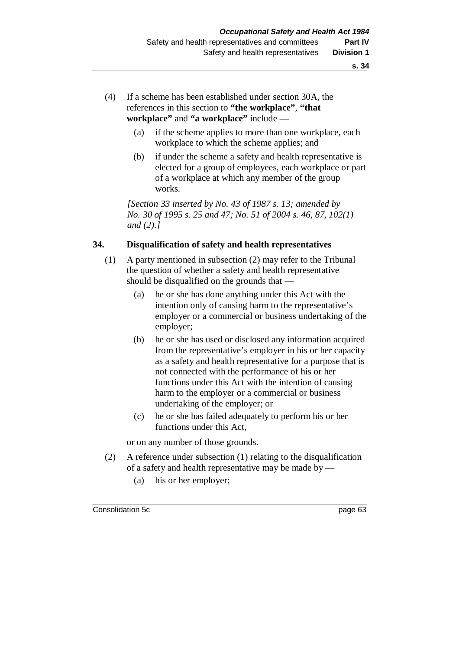- (4) If a scheme has been established under section 30A, the references in this section to **"the workplace"**, **"that workplace"** and **"a workplace"** include —
	- (a) if the scheme applies to more than one workplace, each workplace to which the scheme applies; and
	- (b) if under the scheme a safety and health representative is elected for a group of employees, each workplace or part of a workplace at which any member of the group works.

*[Section 33 inserted by No. 43 of 1987 s. 13; amended by No. 30 of 1995 s. 25 and 47; No. 51 of 2004 s. 46, 87, 102(1) and (2).]*

### **34. Disqualification of safety and health representatives**

- (1) A party mentioned in subsection (2) may refer to the Tribunal the question of whether a safety and health representative should be disqualified on the grounds that —
	- (a) he or she has done anything under this Act with the intention only of causing harm to the representative's employer or a commercial or business undertaking of the employer;
	- (b) he or she has used or disclosed any information acquired from the representative's employer in his or her capacity as a safety and health representative for a purpose that is not connected with the performance of his or her functions under this Act with the intention of causing harm to the employer or a commercial or business undertaking of the employer; or
	- (c) he or she has failed adequately to perform his or her functions under this Act,

or on any number of those grounds.

- (2) A reference under subsection (1) relating to the disqualification of a safety and health representative may be made by —
	- (a) his or her employer;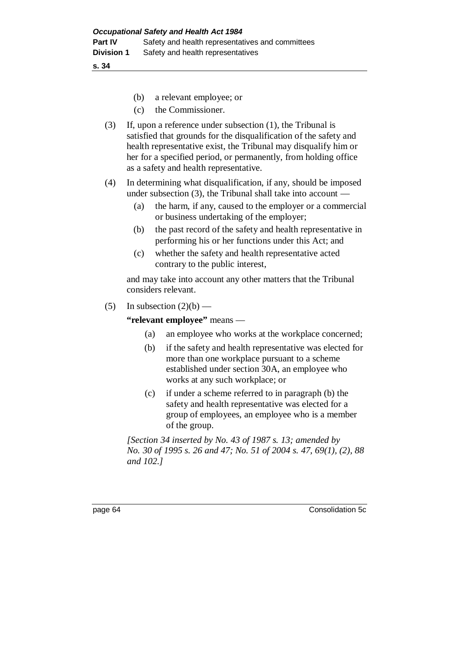- (b) a relevant employee; or
- (c) the Commissioner.
- (3) If, upon a reference under subsection (1), the Tribunal is satisfied that grounds for the disqualification of the safety and health representative exist, the Tribunal may disqualify him or her for a specified period, or permanently, from holding office as a safety and health representative.
- (4) In determining what disqualification, if any, should be imposed under subsection (3), the Tribunal shall take into account —
	- (a) the harm, if any, caused to the employer or a commercial or business undertaking of the employer;
	- (b) the past record of the safety and health representative in performing his or her functions under this Act; and
	- (c) whether the safety and health representative acted contrary to the public interest,

and may take into account any other matters that the Tribunal considers relevant.

(5) In subsection  $(2)(b)$  —

#### **"relevant employee"** means —

- (a) an employee who works at the workplace concerned;
- (b) if the safety and health representative was elected for more than one workplace pursuant to a scheme established under section 30A, an employee who works at any such workplace; or
- (c) if under a scheme referred to in paragraph (b) the safety and health representative was elected for a group of employees, an employee who is a member of the group.

*[Section 34 inserted by No. 43 of 1987 s. 13; amended by No. 30 of 1995 s. 26 and 47; No. 51 of 2004 s. 47, 69(1), (2), 88 and 102.]*

page 64 Consolidation 5c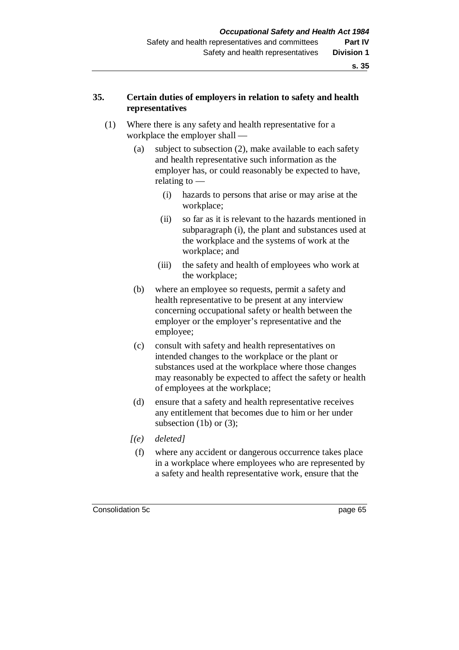## **35. Certain duties of employers in relation to safety and health representatives**

- (1) Where there is any safety and health representative for a workplace the employer shall —
	- (a) subject to subsection (2), make available to each safety and health representative such information as the employer has, or could reasonably be expected to have, relating to —
		- (i) hazards to persons that arise or may arise at the workplace;
		- (ii) so far as it is relevant to the hazards mentioned in subparagraph (i), the plant and substances used at the workplace and the systems of work at the workplace; and
		- (iii) the safety and health of employees who work at the workplace;
	- (b) where an employee so requests, permit a safety and health representative to be present at any interview concerning occupational safety or health between the employer or the employer's representative and the employee;
	- (c) consult with safety and health representatives on intended changes to the workplace or the plant or substances used at the workplace where those changes may reasonably be expected to affect the safety or health of employees at the workplace;
	- (d) ensure that a safety and health representative receives any entitlement that becomes due to him or her under subsection  $(1b)$  or  $(3)$ ;
	- *[(e) deleted]*
		- (f) where any accident or dangerous occurrence takes place in a workplace where employees who are represented by a safety and health representative work, ensure that the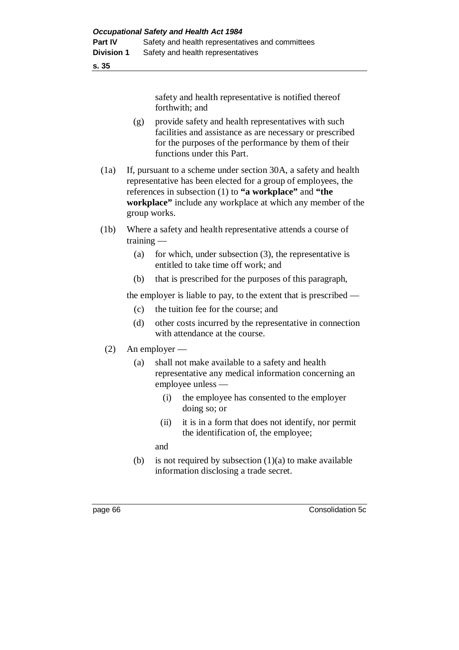**s. 35**

safety and health representative is notified thereof forthwith; and

- (g) provide safety and health representatives with such facilities and assistance as are necessary or prescribed for the purposes of the performance by them of their functions under this Part.
- (1a) If, pursuant to a scheme under section 30A, a safety and health representative has been elected for a group of employees, the references in subsection (1) to **"a workplace"** and **"the workplace"** include any workplace at which any member of the group works.
- (1b) Where a safety and health representative attends a course of training —
	- (a) for which, under subsection (3), the representative is entitled to take time off work; and
	- (b) that is prescribed for the purposes of this paragraph,

the employer is liable to pay, to the extent that is prescribed —

- (c) the tuition fee for the course; and
- (d) other costs incurred by the representative in connection with attendance at the course.

# (2) An employer —

- (a) shall not make available to a safety and health representative any medical information concerning an employee unless —
	- (i) the employee has consented to the employer doing so; or
	- (ii) it is in a form that does not identify, nor permit the identification of, the employee;

and

(b) is not required by subsection  $(1)(a)$  to make available information disclosing a trade secret.

page 66 Consolidation 5c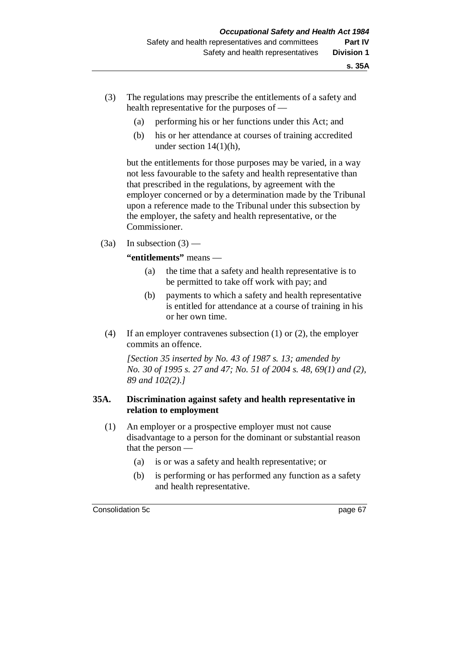- (3) The regulations may prescribe the entitlements of a safety and health representative for the purposes of —
	- (a) performing his or her functions under this Act; and
	- (b) his or her attendance at courses of training accredited under section 14(1)(h),

but the entitlements for those purposes may be varied, in a way not less favourable to the safety and health representative than that prescribed in the regulations, by agreement with the employer concerned or by a determination made by the Tribunal upon a reference made to the Tribunal under this subsection by the employer, the safety and health representative, or the Commissioner.

 $(3a)$  In subsection  $(3)$  —

**"entitlements"** means —

- (a) the time that a safety and health representative is to be permitted to take off work with pay; and
- (b) payments to which a safety and health representative is entitled for attendance at a course of training in his or her own time.
- (4) If an employer contravenes subsection (1) or (2), the employer commits an offence.

*[Section 35 inserted by No. 43 of 1987 s. 13; amended by No. 30 of 1995 s. 27 and 47; No. 51 of 2004 s. 48, 69(1) and (2), 89 and 102(2).]*

### **35A. Discrimination against safety and health representative in relation to employment**

- (1) An employer or a prospective employer must not cause disadvantage to a person for the dominant or substantial reason that the person —
	- (a) is or was a safety and health representative; or
	- (b) is performing or has performed any function as a safety and health representative.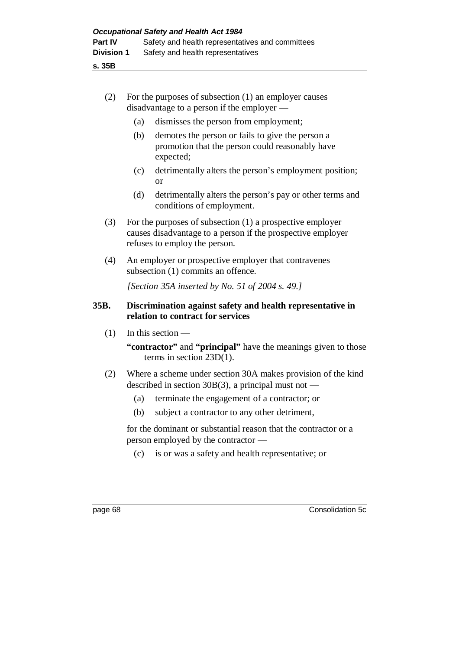| (2) | For the purposes of subsection (1) an employer causes |
|-----|-------------------------------------------------------|
|     | disadvantage to a person if the employer $-$          |

- (a) dismisses the person from employment;
- (b) demotes the person or fails to give the person a promotion that the person could reasonably have expected;
- (c) detrimentally alters the person's employment position; or
- (d) detrimentally alters the person's pay or other terms and conditions of employment.
- (3) For the purposes of subsection (1) a prospective employer causes disadvantage to a person if the prospective employer refuses to employ the person.
- (4) An employer or prospective employer that contravenes subsection (1) commits an offence.

*[Section 35A inserted by No. 51 of 2004 s. 49.]*

### **35B. Discrimination against safety and health representative in relation to contract for services**

(1) In this section —

**"contractor"** and **"principal"** have the meanings given to those terms in section 23D(1).

- (2) Where a scheme under section 30A makes provision of the kind described in section 30 $B(3)$ , a principal must not —
	- (a) terminate the engagement of a contractor; or
	- (b) subject a contractor to any other detriment,

for the dominant or substantial reason that the contractor or a person employed by the contractor —

(c) is or was a safety and health representative; or

page 68 Consolidation 5c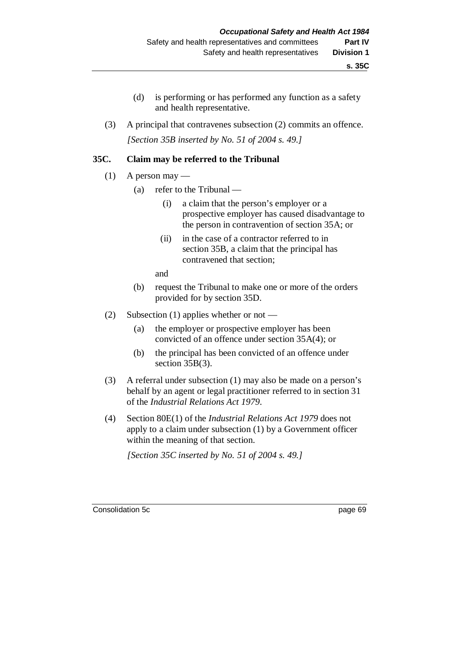- (d) is performing or has performed any function as a safety and health representative.
- (3) A principal that contravenes subsection (2) commits an offence. *[Section 35B inserted by No. 51 of 2004 s. 49.]*

### **35C. Claim may be referred to the Tribunal**

- $(1)$  A person may
	- (a) refer to the Tribunal
		- (i) a claim that the person's employer or a prospective employer has caused disadvantage to the person in contravention of section 35A; or
		- (ii) in the case of a contractor referred to in section 35B, a claim that the principal has contravened that section;

and

- (b) request the Tribunal to make one or more of the orders provided for by section 35D.
- (2) Subsection (1) applies whether or not
	- (a) the employer or prospective employer has been convicted of an offence under section 35A(4); or
	- (b) the principal has been convicted of an offence under section 35B(3).
- (3) A referral under subsection (1) may also be made on a person's behalf by an agent or legal practitioner referred to in section 31 of the *Industrial Relations Act 1979*.
- (4) Section 80E(1) of the *Industrial Relations Act 1979* does not apply to a claim under subsection (1) by a Government officer within the meaning of that section.

*[Section 35C inserted by No. 51 of 2004 s. 49.]*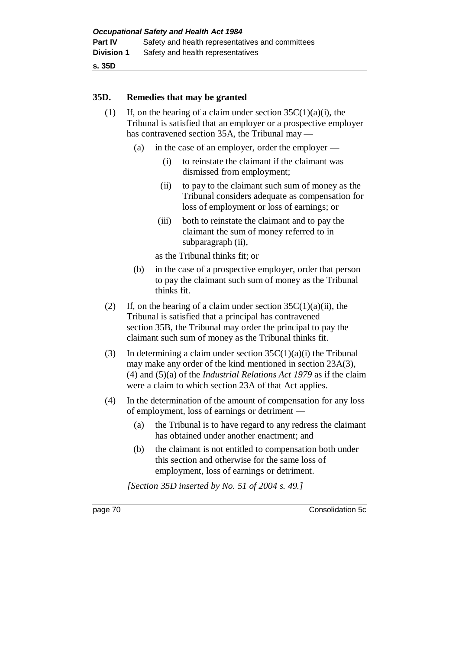**s. 35D**

#### **35D. Remedies that may be granted**

- (1) If, on the hearing of a claim under section  $35C(1)(a)(i)$ , the Tribunal is satisfied that an employer or a prospective employer has contravened section 35A, the Tribunal may —
	- (a) in the case of an employer, order the employer
		- (i) to reinstate the claimant if the claimant was dismissed from employment;
		- (ii) to pay to the claimant such sum of money as the Tribunal considers adequate as compensation for loss of employment or loss of earnings; or
		- (iii) both to reinstate the claimant and to pay the claimant the sum of money referred to in subparagraph (ii).

as the Tribunal thinks fit; or

- (b) in the case of a prospective employer, order that person to pay the claimant such sum of money as the Tribunal thinks fit.
- (2) If, on the hearing of a claim under section  $35C(1)(a)(ii)$ , the Tribunal is satisfied that a principal has contravened section 35B, the Tribunal may order the principal to pay the claimant such sum of money as the Tribunal thinks fit.
- (3) In determining a claim under section  $35C(1)(a)(i)$  the Tribunal may make any order of the kind mentioned in section 23A(3), (4) and (5)(a) of the *Industrial Relations Act 1979* as if the claim were a claim to which section 23A of that Act applies.
- (4) In the determination of the amount of compensation for any loss of employment, loss of earnings or detriment —
	- (a) the Tribunal is to have regard to any redress the claimant has obtained under another enactment; and
	- (b) the claimant is not entitled to compensation both under this section and otherwise for the same loss of employment, loss of earnings or detriment.

*[Section 35D inserted by No. 51 of 2004 s. 49.]*

page 70 Consolidation 5c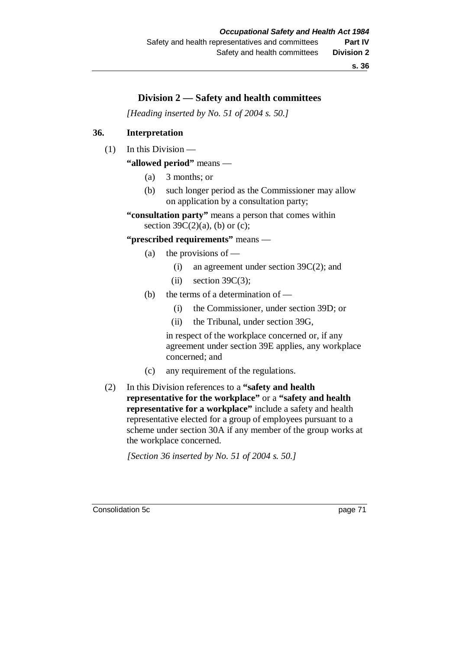# **Division 2 — Safety and health committees**

*[Heading inserted by No. 51 of 2004 s. 50.]*

### **36. Interpretation**

(1) In this Division —

**"allowed period"** means —

- (a) 3 months; or
- (b) such longer period as the Commissioner may allow on application by a consultation party;

**"consultation party"** means a person that comes within section  $39C(2)(a)$ , (b) or (c);

#### **"prescribed requirements"** means —

- (a) the provisions of  $-$ 
	- (i) an agreement under section 39C(2); and
	- (ii) section  $39C(3)$ ;
- (b) the terms of a determination of
	- (i) the Commissioner, under section 39D; or
	- (ii) the Tribunal, under section 39G,

in respect of the workplace concerned or, if any agreement under section 39E applies, any workplace concerned; and

- (c) any requirement of the regulations.
- (2) In this Division references to a **"safety and health representative for the workplace"** or a **"safety and health representative for a workplace"** include a safety and health representative elected for a group of employees pursuant to a scheme under section 30A if any member of the group works at the workplace concerned.

*[Section 36 inserted by No. 51 of 2004 s. 50.]*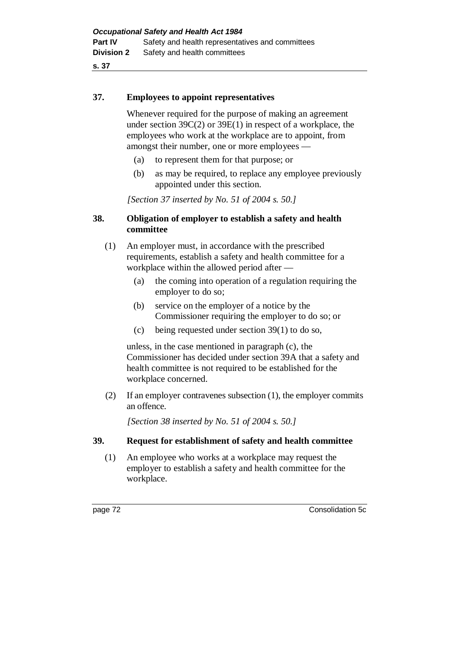**s. 37**

#### **37. Employees to appoint representatives**

Whenever required for the purpose of making an agreement under section 39C(2) or 39E(1) in respect of a workplace, the employees who work at the workplace are to appoint, from amongst their number, one or more employees —

- (a) to represent them for that purpose; or
- (b) as may be required, to replace any employee previously appointed under this section.

*[Section 37 inserted by No. 51 of 2004 s. 50.]*

### **38. Obligation of employer to establish a safety and health committee**

- (1) An employer must, in accordance with the prescribed requirements, establish a safety and health committee for a workplace within the allowed period after —
	- (a) the coming into operation of a regulation requiring the employer to do so;
	- (b) service on the employer of a notice by the Commissioner requiring the employer to do so; or
	- (c) being requested under section 39(1) to do so,

unless, in the case mentioned in paragraph (c), the Commissioner has decided under section 39A that a safety and health committee is not required to be established for the workplace concerned.

(2) If an employer contravenes subsection (1), the employer commits an offence.

*[Section 38 inserted by No. 51 of 2004 s. 50.]*

#### **39. Request for establishment of safety and health committee**

(1) An employee who works at a workplace may request the employer to establish a safety and health committee for the workplace.

page 72 Consolidation 5c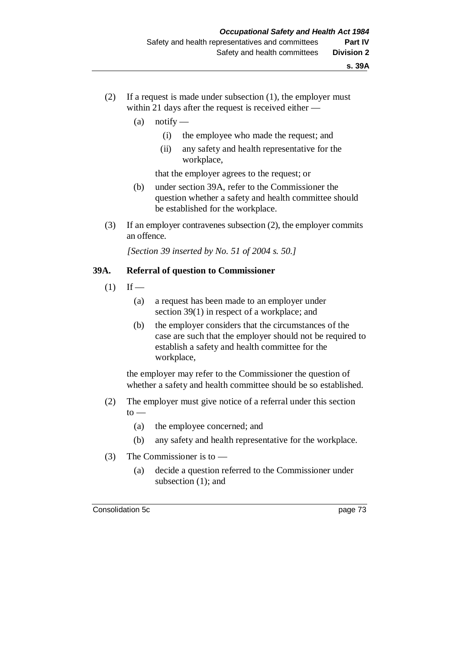- (2) If a request is made under subsection (1), the employer must within 21 days after the request is received either —
	- $(a)$  notify
		- (i) the employee who made the request; and
		- (ii) any safety and health representative for the workplace,

that the employer agrees to the request; or

- (b) under section 39A, refer to the Commissioner the question whether a safety and health committee should be established for the workplace.
- (3) If an employer contravenes subsection (2), the employer commits an offence.

*[Section 39 inserted by No. 51 of 2004 s. 50.]*

### **39A. Referral of question to Commissioner**

- $(1)$  If
	- (a) a request has been made to an employer under section 39(1) in respect of a workplace; and
	- (b) the employer considers that the circumstances of the case are such that the employer should not be required to establish a safety and health committee for the workplace,

the employer may refer to the Commissioner the question of whether a safety and health committee should be so established.

- (2) The employer must give notice of a referral under this section  $to -$ 
	- (a) the employee concerned; and
	- (b) any safety and health representative for the workplace.
- (3) The Commissioner is to
	- (a) decide a question referred to the Commissioner under subsection (1); and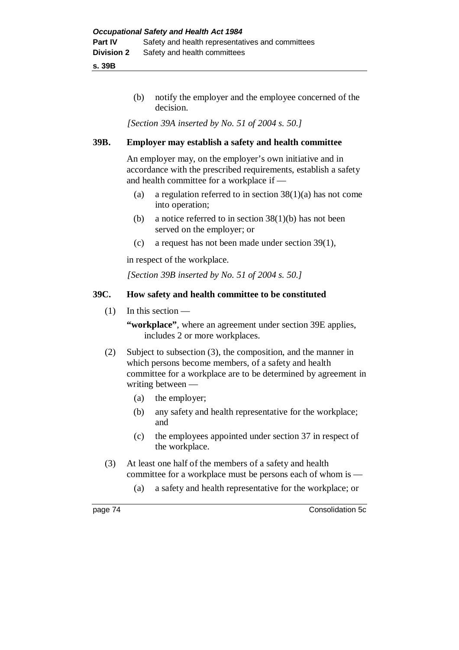**s. 39B**

(b) notify the employer and the employee concerned of the decision.

*[Section 39A inserted by No. 51 of 2004 s. 50.]*

### **39B. Employer may establish a safety and health committee**

An employer may, on the employer's own initiative and in accordance with the prescribed requirements, establish a safety and health committee for a workplace if —

- (a) a regulation referred to in section  $38(1)(a)$  has not come into operation;
- (b) a notice referred to in section  $38(1)(b)$  has not been served on the employer; or
- (c) a request has not been made under section 39(1),

in respect of the workplace.

*[Section 39B inserted by No. 51 of 2004 s. 50.]*

### **39C. How safety and health committee to be constituted**

(1) In this section —

**"workplace"**, where an agreement under section 39E applies, includes 2 or more workplaces.

- (2) Subject to subsection (3), the composition, and the manner in which persons become members, of a safety and health committee for a workplace are to be determined by agreement in writing between —
	- (a) the employer;
	- (b) any safety and health representative for the workplace; and
	- (c) the employees appointed under section 37 in respect of the workplace.
- (3) At least one half of the members of a safety and health committee for a workplace must be persons each of whom is —
	- (a) a safety and health representative for the workplace; or

page 74 Consolidation 5c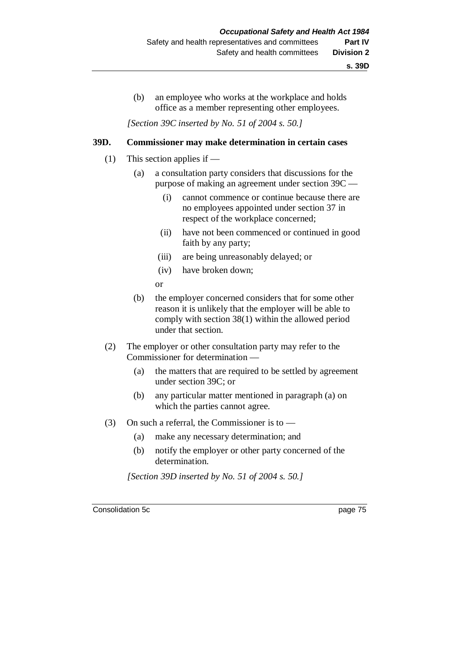(b) an employee who works at the workplace and holds office as a member representing other employees.

*[Section 39C inserted by No. 51 of 2004 s. 50.]*

#### **39D. Commissioner may make determination in certain cases**

- (1) This section applies if
	- (a) a consultation party considers that discussions for the purpose of making an agreement under section 39C —
		- (i) cannot commence or continue because there are no employees appointed under section 37 in respect of the workplace concerned;
		- (ii) have not been commenced or continued in good faith by any party;
		- (iii) are being unreasonably delayed; or
		- (iv) have broken down;
		- or
	- (b) the employer concerned considers that for some other reason it is unlikely that the employer will be able to comply with section 38(1) within the allowed period under that section.
- (2) The employer or other consultation party may refer to the Commissioner for determination —
	- (a) the matters that are required to be settled by agreement under section 39C; or
	- (b) any particular matter mentioned in paragraph (a) on which the parties cannot agree.
- (3) On such a referral, the Commissioner is to
	- (a) make any necessary determination; and
	- (b) notify the employer or other party concerned of the determination.

*[Section 39D inserted by No. 51 of 2004 s. 50.]*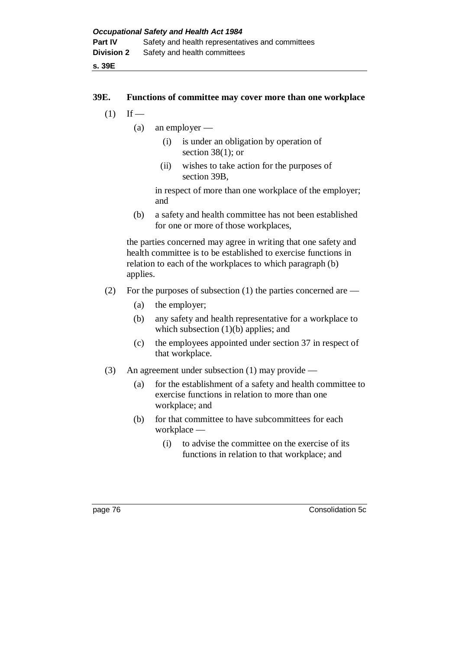#### **39E. Functions of committee may cover more than one workplace**

- $(1)$  If
	- (a) an employer
		- (i) is under an obligation by operation of section 38(1); or
		- (ii) wishes to take action for the purposes of section 39B,

in respect of more than one workplace of the employer; and

(b) a safety and health committee has not been established for one or more of those workplaces,

the parties concerned may agree in writing that one safety and health committee is to be established to exercise functions in relation to each of the workplaces to which paragraph (b) applies.

- (2) For the purposes of subsection (1) the parties concerned are
	- (a) the employer;
	- (b) any safety and health representative for a workplace to which subsection (1)(b) applies; and
	- (c) the employees appointed under section 37 in respect of that workplace.
- (3) An agreement under subsection (1) may provide
	- (a) for the establishment of a safety and health committee to exercise functions in relation to more than one workplace; and
	- (b) for that committee to have subcommittees for each workplace —
		- (i) to advise the committee on the exercise of its functions in relation to that workplace; and

page 76 Consolidation 5c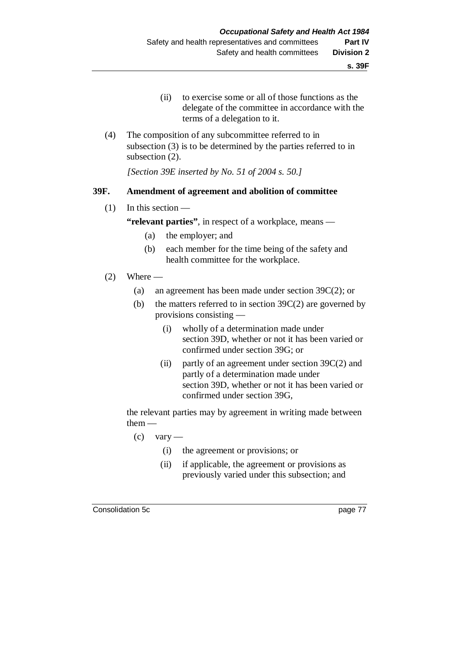- (ii) to exercise some or all of those functions as the delegate of the committee in accordance with the terms of a delegation to it.
- (4) The composition of any subcommittee referred to in subsection (3) is to be determined by the parties referred to in subsection (2).

*[Section 39E inserted by No. 51 of 2004 s. 50.]*

#### **39F. Amendment of agreement and abolition of committee**

(1) In this section —

**"relevant parties"**, in respect of a workplace, means —

- (a) the employer; and
- (b) each member for the time being of the safety and health committee for the workplace.
- $(2)$  Where  $-$ 
	- (a) an agreement has been made under section 39C(2); or
	- (b) the matters referred to in section  $39C(2)$  are governed by provisions consisting —
		- (i) wholly of a determination made under section 39D, whether or not it has been varied or confirmed under section 39G; or
		- (ii) partly of an agreement under section 39C(2) and partly of a determination made under section 39D, whether or not it has been varied or confirmed under section 39G,

the relevant parties may by agreement in writing made between them —

- $\sec$  0 vary
	- (i) the agreement or provisions; or
	- (ii) if applicable, the agreement or provisions as previously varied under this subsection; and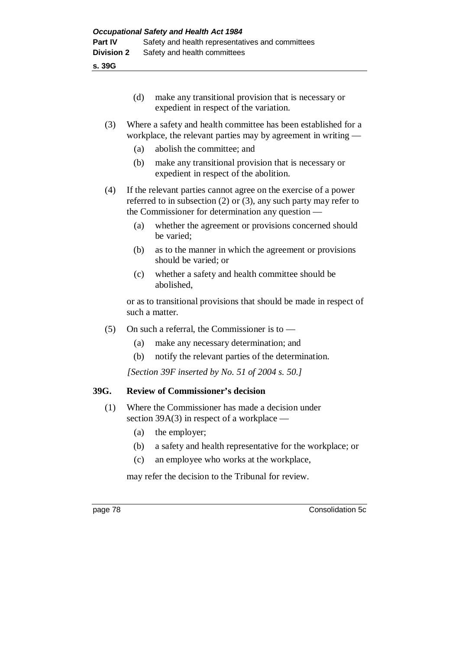**s. 39G**

| (d) | make any transitional provision that is necessary or |
|-----|------------------------------------------------------|
|     | expedient in respect of the variation.               |

### (3) Where a safety and health committee has been established for a workplace, the relevant parties may by agreement in writing —

- (a) abolish the committee; and
- (b) make any transitional provision that is necessary or expedient in respect of the abolition.
- (4) If the relevant parties cannot agree on the exercise of a power referred to in subsection (2) or (3), any such party may refer to the Commissioner for determination any question —
	- (a) whether the agreement or provisions concerned should be varied;
	- (b) as to the manner in which the agreement or provisions should be varied; or
	- (c) whether a safety and health committee should be abolished,

or as to transitional provisions that should be made in respect of such a matter.

- (5) On such a referral, the Commissioner is to
	- (a) make any necessary determination; and
	- (b) notify the relevant parties of the determination.

*[Section 39F inserted by No. 51 of 2004 s. 50.]*

## **39G. Review of Commissioner's decision**

- (1) Where the Commissioner has made a decision under section 39A(3) in respect of a workplace —
	- (a) the employer;
	- (b) a safety and health representative for the workplace; or
	- (c) an employee who works at the workplace,

may refer the decision to the Tribunal for review.

page 78 Consolidation 5c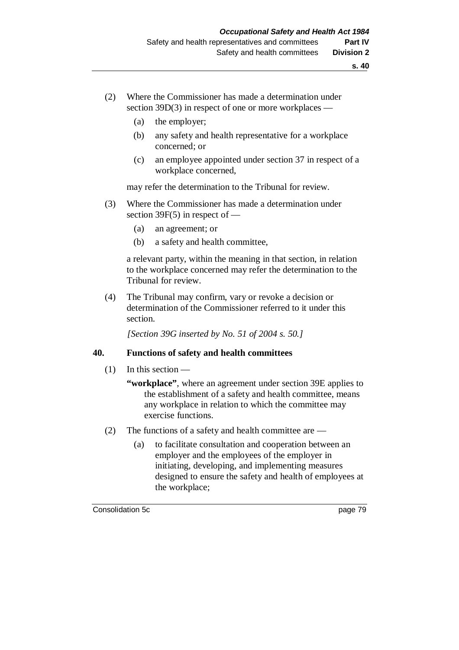- (2) Where the Commissioner has made a determination under section 39D(3) in respect of one or more workplaces —
	- (a) the employer;
	- (b) any safety and health representative for a workplace concerned; or
	- (c) an employee appointed under section 37 in respect of a workplace concerned,

may refer the determination to the Tribunal for review.

- (3) Where the Commissioner has made a determination under section 39F(5) in respect of —
	- (a) an agreement; or
	- (b) a safety and health committee,

a relevant party, within the meaning in that section, in relation to the workplace concerned may refer the determination to the Tribunal for review.

(4) The Tribunal may confirm, vary or revoke a decision or determination of the Commissioner referred to it under this section.

*[Section 39G inserted by No. 51 of 2004 s. 50.]*

### **40. Functions of safety and health committees**

- (1) In this section
	- **"workplace"**, where an agreement under section 39E applies to the establishment of a safety and health committee, means any workplace in relation to which the committee may exercise functions.
- (2) The functions of a safety and health committee are
	- (a) to facilitate consultation and cooperation between an employer and the employees of the employer in initiating, developing, and implementing measures designed to ensure the safety and health of employees at the workplace;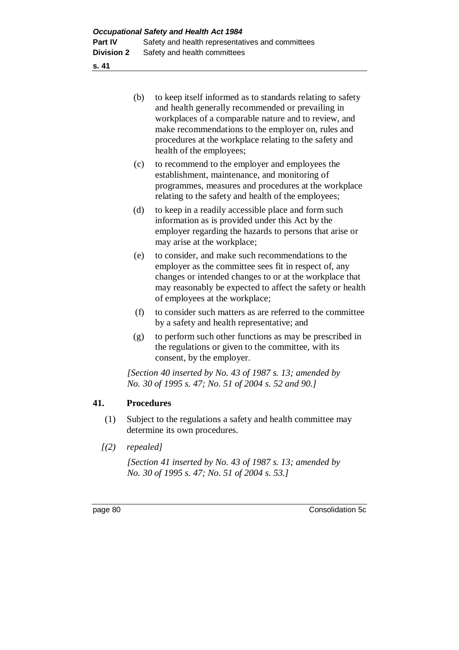**s. 41**

| (b) | to keep itself informed as to standards relating to safety |
|-----|------------------------------------------------------------|
|     | and health generally recommended or prevailing in          |
|     | workplaces of a comparable nature and to review, and       |
|     | make recommendations to the employer on, rules and         |
|     | procedures at the workplace relating to the safety and     |
|     | health of the employees;                                   |

- (c) to recommend to the employer and employees the establishment, maintenance, and monitoring of programmes, measures and procedures at the workplace relating to the safety and health of the employees;
- (d) to keep in a readily accessible place and form such information as is provided under this Act by the employer regarding the hazards to persons that arise or may arise at the workplace;
- (e) to consider, and make such recommendations to the employer as the committee sees fit in respect of, any changes or intended changes to or at the workplace that may reasonably be expected to affect the safety or health of employees at the workplace;
- (f) to consider such matters as are referred to the committee by a safety and health representative; and
- (g) to perform such other functions as may be prescribed in the regulations or given to the committee, with its consent, by the employer.

*[Section 40 inserted by No. 43 of 1987 s. 13; amended by No. 30 of 1995 s. 47; No. 51 of 2004 s. 52 and 90.]*

## **41. Procedures**

- (1) Subject to the regulations a safety and health committee may determine its own procedures.
- *[(2) repealed]*

*[Section 41 inserted by No. 43 of 1987 s. 13; amended by No. 30 of 1995 s. 47; No. 51 of 2004 s. 53.]*

page 80 Consolidation 5c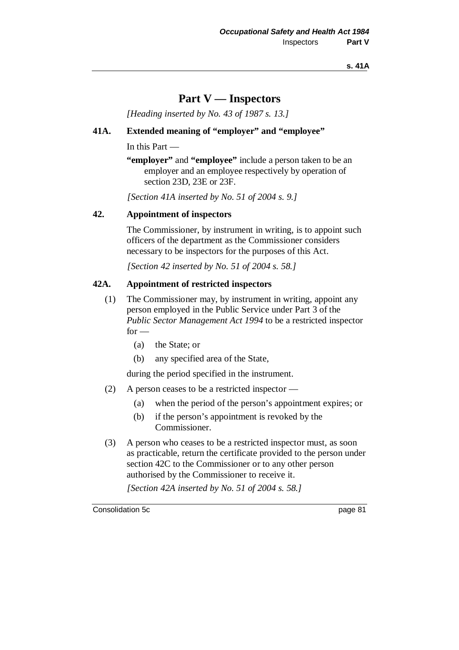#### **s. 41A**

# **Part V — Inspectors**

*[Heading inserted by No. 43 of 1987 s. 13.]*

## **41A. Extended meaning of "employer" and "employee"**

In this Part —

**"employer"** and **"employee"** include a person taken to be an employer and an employee respectively by operation of section 23D, 23E or 23F.

*[Section 41A inserted by No. 51 of 2004 s. 9.]*

#### **42. Appointment of inspectors**

The Commissioner, by instrument in writing, is to appoint such officers of the department as the Commissioner considers necessary to be inspectors for the purposes of this Act.

*[Section 42 inserted by No. 51 of 2004 s. 58.]*

#### **42A. Appointment of restricted inspectors**

- (1) The Commissioner may, by instrument in writing, appoint any person employed in the Public Service under Part 3 of the *Public Sector Management Act 1994* to be a restricted inspector  $for -$ 
	- (a) the State; or
	- (b) any specified area of the State,

during the period specified in the instrument.

- (2) A person ceases to be a restricted inspector
	- (a) when the period of the person's appointment expires; or
	- (b) if the person's appointment is revoked by the Commissioner.
- (3) A person who ceases to be a restricted inspector must, as soon as practicable, return the certificate provided to the person under section 42C to the Commissioner or to any other person authorised by the Commissioner to receive it.

*[Section 42A inserted by No. 51 of 2004 s. 58.]*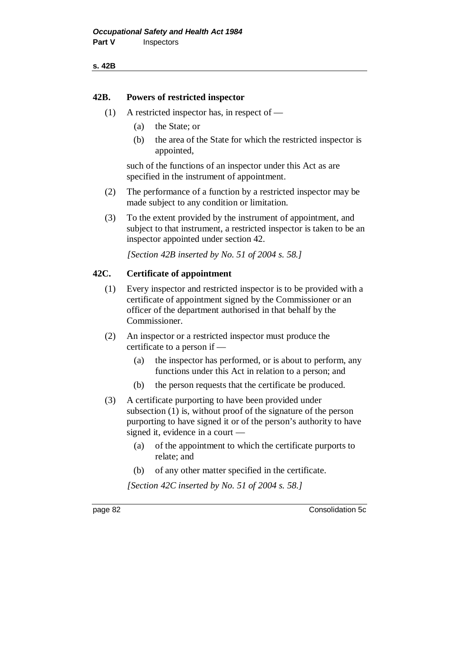**s. 42B**

#### **42B. Powers of restricted inspector**

- (1) A restricted inspector has, in respect of
	- (a) the State; or
	- (b) the area of the State for which the restricted inspector is appointed,

such of the functions of an inspector under this Act as are specified in the instrument of appointment.

- (2) The performance of a function by a restricted inspector may be made subject to any condition or limitation.
- (3) To the extent provided by the instrument of appointment, and subject to that instrument, a restricted inspector is taken to be an inspector appointed under section 42.

*[Section 42B inserted by No. 51 of 2004 s. 58.]*

## **42C. Certificate of appointment**

- (1) Every inspector and restricted inspector is to be provided with a certificate of appointment signed by the Commissioner or an officer of the department authorised in that behalf by the Commissioner.
- (2) An inspector or a restricted inspector must produce the certificate to a person if —
	- (a) the inspector has performed, or is about to perform, any functions under this Act in relation to a person; and
	- (b) the person requests that the certificate be produced.
- (3) A certificate purporting to have been provided under subsection (1) is, without proof of the signature of the person purporting to have signed it or of the person's authority to have signed it, evidence in a court —
	- (a) of the appointment to which the certificate purports to relate; and
	- (b) of any other matter specified in the certificate.

*[Section 42C inserted by No. 51 of 2004 s. 58.]*

page 82 Consolidation 5c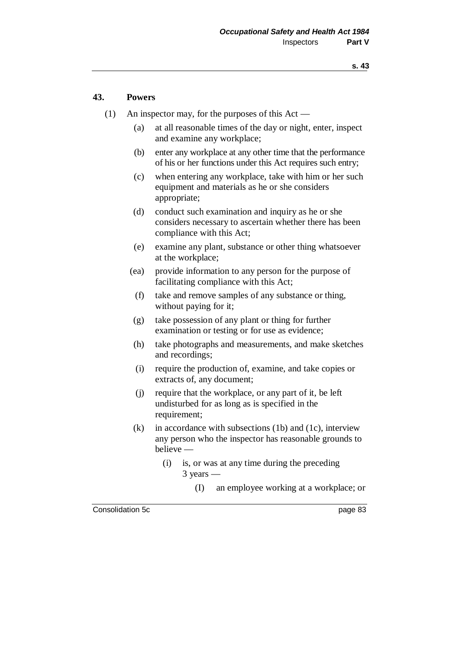#### **43. Powers**

- (1) An inspector may, for the purposes of this Act
	- (a) at all reasonable times of the day or night, enter, inspect and examine any workplace;
	- (b) enter any workplace at any other time that the performance of his or her functions under this Act requires such entry;
	- (c) when entering any workplace, take with him or her such equipment and materials as he or she considers appropriate;
	- (d) conduct such examination and inquiry as he or she considers necessary to ascertain whether there has been compliance with this Act;
	- (e) examine any plant, substance or other thing whatsoever at the workplace;
	- (ea) provide information to any person for the purpose of facilitating compliance with this Act;
	- (f) take and remove samples of any substance or thing, without paying for it;
	- (g) take possession of any plant or thing for further examination or testing or for use as evidence;
	- (h) take photographs and measurements, and make sketches and recordings;
	- (i) require the production of, examine, and take copies or extracts of, any document;
	- (j) require that the workplace, or any part of it, be left undisturbed for as long as is specified in the requirement;
	- $(k)$  in accordance with subsections (1b) and (1c), interview any person who the inspector has reasonable grounds to believe —
		- (i) is, or was at any time during the preceding 3 years —
			- (I) an employee working at a workplace; or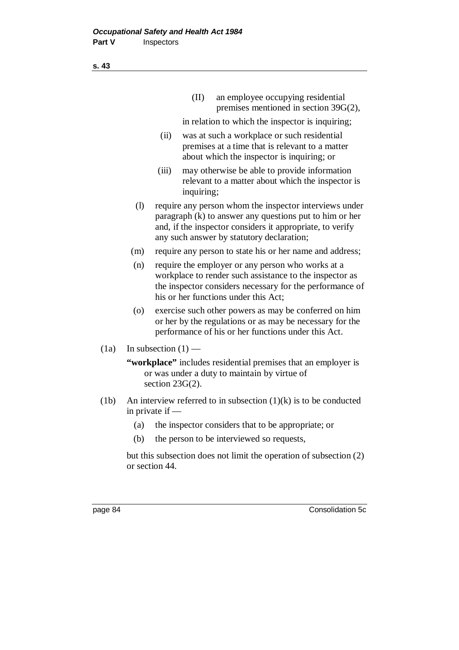(II) an employee occupying residential premises mentioned in section 39G(2),

in relation to which the inspector is inquiring;

- (ii) was at such a workplace or such residential premises at a time that is relevant to a matter about which the inspector is inquiring; or
- (iii) may otherwise be able to provide information relevant to a matter about which the inspector is inquiring;
- (l) require any person whom the inspector interviews under paragraph (k) to answer any questions put to him or her and, if the inspector considers it appropriate, to verify any such answer by statutory declaration;
- (m) require any person to state his or her name and address;
- (n) require the employer or any person who works at a workplace to render such assistance to the inspector as the inspector considers necessary for the performance of his or her functions under this Act;
- (o) exercise such other powers as may be conferred on him or her by the regulations or as may be necessary for the performance of his or her functions under this Act.
- (1a) In subsection  $(1)$  —

**"workplace"** includes residential premises that an employer is or was under a duty to maintain by virtue of section 23G(2).

- (1b) An interview referred to in subsection  $(1)(k)$  is to be conducted in private if —
	- (a) the inspector considers that to be appropriate; or
	- (b) the person to be interviewed so requests,

but this subsection does not limit the operation of subsection (2) or section 44.

page 84 Consolidation 5c

**s. 43**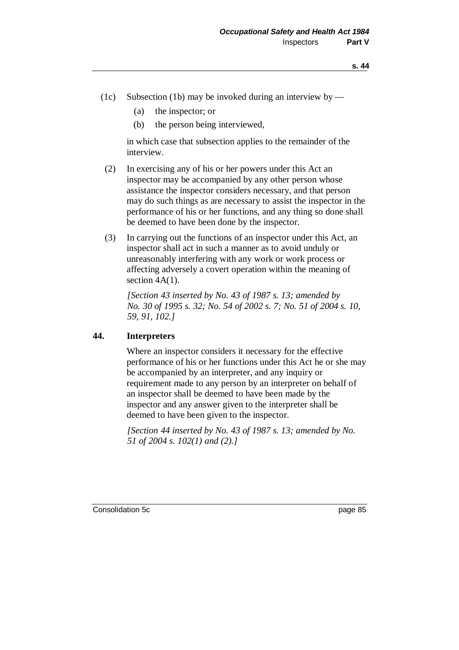- (1c) Subsection (1b) may be invoked during an interview by
	- (a) the inspector; or
	- (b) the person being interviewed,

in which case that subsection applies to the remainder of the interview.

- (2) In exercising any of his or her powers under this Act an inspector may be accompanied by any other person whose assistance the inspector considers necessary, and that person may do such things as are necessary to assist the inspector in the performance of his or her functions, and any thing so done shall be deemed to have been done by the inspector.
- (3) In carrying out the functions of an inspector under this Act, an inspector shall act in such a manner as to avoid unduly or unreasonably interfering with any work or work process or affecting adversely a covert operation within the meaning of section  $4A(1)$ .

*[Section 43 inserted by No. 43 of 1987 s. 13; amended by No. 30 of 1995 s. 32; No. 54 of 2002 s. 7; No. 51 of 2004 s. 10, 59, 91, 102.]*

#### **44. Interpreters**

Where an inspector considers it necessary for the effective performance of his or her functions under this Act he or she may be accompanied by an interpreter, and any inquiry or requirement made to any person by an interpreter on behalf of an inspector shall be deemed to have been made by the inspector and any answer given to the interpreter shall be deemed to have been given to the inspector.

*[Section 44 inserted by No. 43 of 1987 s. 13; amended by No. 51 of 2004 s. 102(1) and (2).]*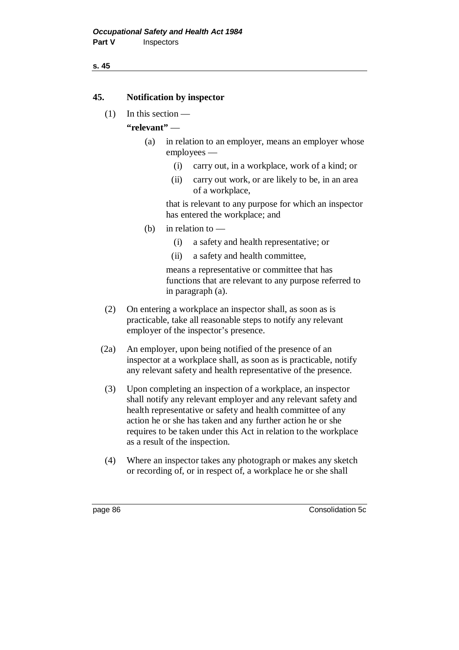#### **s. 45**

### **45. Notification by inspector**

(1) In this section —

# **"relevant"** —

- (a) in relation to an employer, means an employer whose employees —
	- (i) carry out, in a workplace, work of a kind; or
	- (ii) carry out work, or are likely to be, in an area of a workplace,

that is relevant to any purpose for which an inspector has entered the workplace; and

- (b) in relation to  $-$ 
	- (i) a safety and health representative; or
	- (ii) a safety and health committee,

means a representative or committee that has functions that are relevant to any purpose referred to in paragraph (a).

- (2) On entering a workplace an inspector shall, as soon as is practicable, take all reasonable steps to notify any relevant employer of the inspector's presence.
- (2a) An employer, upon being notified of the presence of an inspector at a workplace shall, as soon as is practicable, notify any relevant safety and health representative of the presence.
- (3) Upon completing an inspection of a workplace, an inspector shall notify any relevant employer and any relevant safety and health representative or safety and health committee of any action he or she has taken and any further action he or she requires to be taken under this Act in relation to the workplace as a result of the inspection.
- (4) Where an inspector takes any photograph or makes any sketch or recording of, or in respect of, a workplace he or she shall

page 86 Consolidation 5c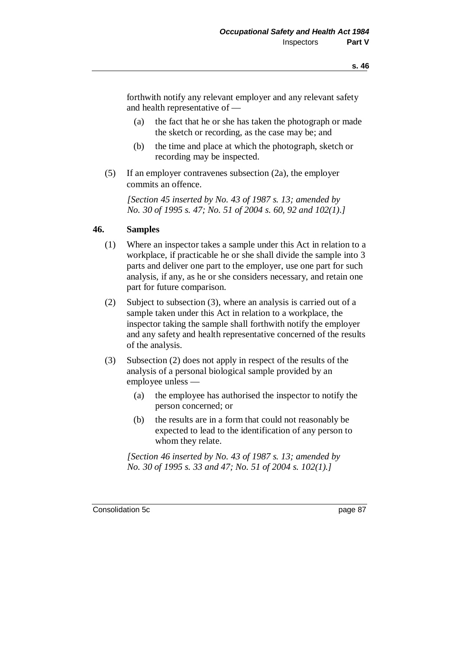forthwith notify any relevant employer and any relevant safety and health representative of —

- (a) the fact that he or she has taken the photograph or made the sketch or recording, as the case may be; and
- (b) the time and place at which the photograph, sketch or recording may be inspected.
- (5) If an employer contravenes subsection (2a), the employer commits an offence.

*[Section 45 inserted by No. 43 of 1987 s. 13; amended by No. 30 of 1995 s. 47; No. 51 of 2004 s. 60, 92 and 102(1).]*

#### **46. Samples**

- (1) Where an inspector takes a sample under this Act in relation to a workplace, if practicable he or she shall divide the sample into 3 parts and deliver one part to the employer, use one part for such analysis, if any, as he or she considers necessary, and retain one part for future comparison.
- (2) Subject to subsection (3), where an analysis is carried out of a sample taken under this Act in relation to a workplace, the inspector taking the sample shall forthwith notify the employer and any safety and health representative concerned of the results of the analysis.
- (3) Subsection (2) does not apply in respect of the results of the analysis of a personal biological sample provided by an employee unless —
	- (a) the employee has authorised the inspector to notify the person concerned; or
	- (b) the results are in a form that could not reasonably be expected to lead to the identification of any person to whom they relate.

*[Section 46 inserted by No. 43 of 1987 s. 13; amended by No. 30 of 1995 s. 33 and 47; No. 51 of 2004 s. 102(1).]*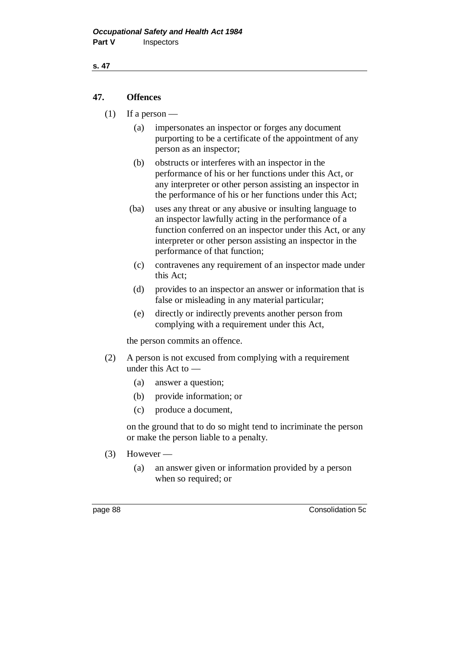#### **s. 47**

# **47. Offences**

- (1) If a person
	- (a) impersonates an inspector or forges any document purporting to be a certificate of the appointment of any person as an inspector;
	- (b) obstructs or interferes with an inspector in the performance of his or her functions under this Act, or any interpreter or other person assisting an inspector in the performance of his or her functions under this Act;
	- (ba) uses any threat or any abusive or insulting language to an inspector lawfully acting in the performance of a function conferred on an inspector under this Act, or any interpreter or other person assisting an inspector in the performance of that function;
	- (c) contravenes any requirement of an inspector made under this Act;
	- (d) provides to an inspector an answer or information that is false or misleading in any material particular;
	- (e) directly or indirectly prevents another person from complying with a requirement under this Act,

the person commits an offence.

- (2) A person is not excused from complying with a requirement under this Act to —
	- (a) answer a question;
	- (b) provide information; or
	- (c) produce a document,

on the ground that to do so might tend to incriminate the person or make the person liable to a penalty.

- $(3)$  However
	- (a) an answer given or information provided by a person when so required; or

page 88 Consolidation 5c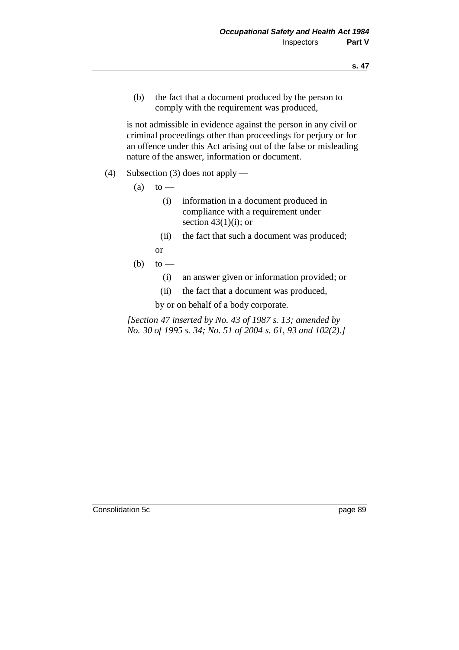(b) the fact that a document produced by the person to comply with the requirement was produced,

is not admissible in evidence against the person in any civil or criminal proceedings other than proceedings for perjury or for an offence under this Act arising out of the false or misleading nature of the answer, information or document.

- (4) Subsection (3) does not apply
	- $(a)$  to
		- (i) information in a document produced in compliance with a requirement under section  $43(1)(i)$ ; or
		- (ii) the fact that such a document was produced;
		- or
	- (b) to  $-$ 
		- (i) an answer given or information provided; or
		- (ii) the fact that a document was produced,

by or on behalf of a body corporate.

*[Section 47 inserted by No. 43 of 1987 s. 13; amended by No. 30 of 1995 s. 34; No. 51 of 2004 s. 61, 93 and 102(2).]*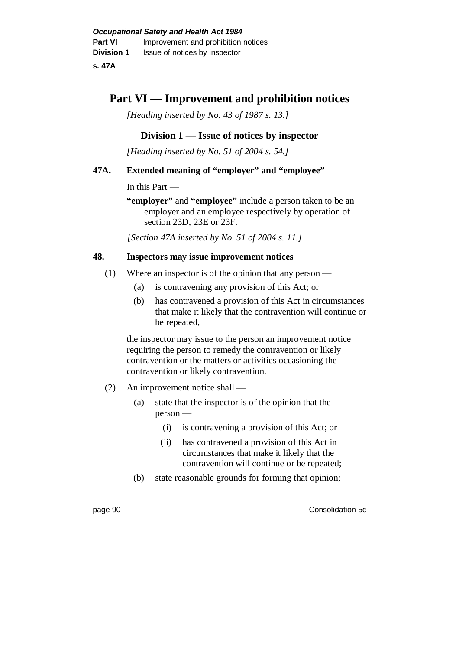**s. 47A**

# **Part VI — Improvement and prohibition notices**

*[Heading inserted by No. 43 of 1987 s. 13.]*

# **Division 1 — Issue of notices by inspector**

*[Heading inserted by No. 51 of 2004 s. 54.]*

## **47A. Extended meaning of "employer" and "employee"**

In this Part —

**"employer"** and **"employee"** include a person taken to be an employer and an employee respectively by operation of section 23D, 23E or 23F.

*[Section 47A inserted by No. 51 of 2004 s. 11.]*

### **48. Inspectors may issue improvement notices**

- (1) Where an inspector is of the opinion that any person
	- (a) is contravening any provision of this Act; or
	- (b) has contravened a provision of this Act in circumstances that make it likely that the contravention will continue or be repeated,

the inspector may issue to the person an improvement notice requiring the person to remedy the contravention or likely contravention or the matters or activities occasioning the contravention or likely contravention.

- (2) An improvement notice shall
	- (a) state that the inspector is of the opinion that the person —
		- (i) is contravening a provision of this Act; or
		- (ii) has contravened a provision of this Act in circumstances that make it likely that the contravention will continue or be repeated;
	- (b) state reasonable grounds for forming that opinion;

page 90 Consolidation 5c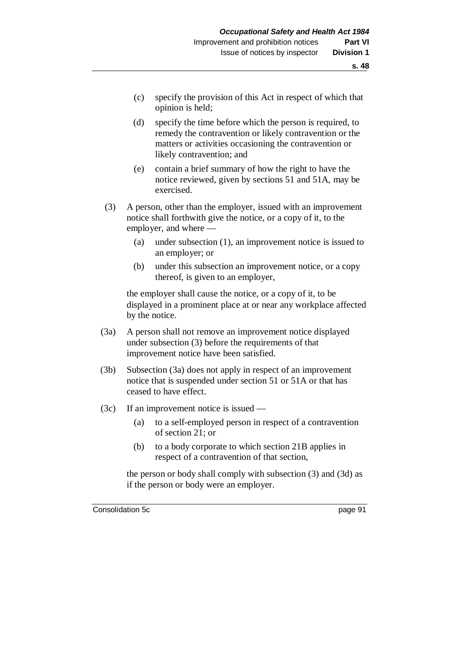- (c) specify the provision of this Act in respect of which that opinion is held;
- (d) specify the time before which the person is required, to remedy the contravention or likely contravention or the matters or activities occasioning the contravention or likely contravention; and
- (e) contain a brief summary of how the right to have the notice reviewed, given by sections 51 and 51A, may be exercised.
- (3) A person, other than the employer, issued with an improvement notice shall forthwith give the notice, or a copy of it, to the employer, and where —
	- (a) under subsection (1), an improvement notice is issued to an employer; or
	- (b) under this subsection an improvement notice, or a copy thereof, is given to an employer,

the employer shall cause the notice, or a copy of it, to be displayed in a prominent place at or near any workplace affected by the notice.

- (3a) A person shall not remove an improvement notice displayed under subsection (3) before the requirements of that improvement notice have been satisfied.
- (3b) Subsection (3a) does not apply in respect of an improvement notice that is suspended under section 51 or 51A or that has ceased to have effect.
- (3c) If an improvement notice is issued
	- (a) to a self-employed person in respect of a contravention of section 21; or
	- (b) to a body corporate to which section 21B applies in respect of a contravention of that section,

the person or body shall comply with subsection (3) and (3d) as if the person or body were an employer.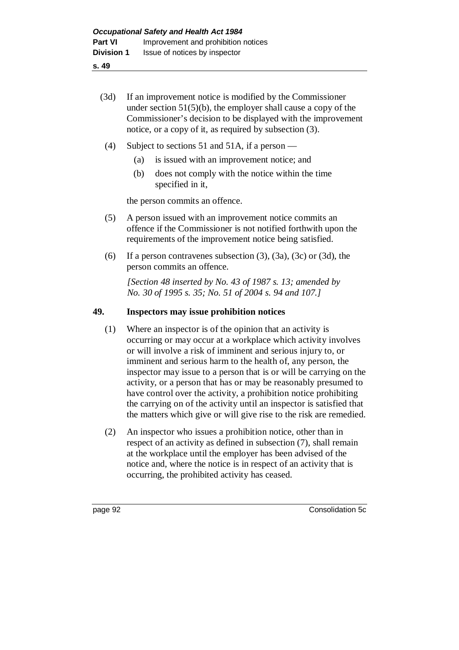- **s. 49**
	- (3d) If an improvement notice is modified by the Commissioner under section 51(5)(b), the employer shall cause a copy of the Commissioner's decision to be displayed with the improvement notice, or a copy of it, as required by subsection (3).
	- (4) Subject to sections 51 and 51A, if a person
		- (a) is issued with an improvement notice; and
		- (b) does not comply with the notice within the time specified in it,

the person commits an offence.

- (5) A person issued with an improvement notice commits an offence if the Commissioner is not notified forthwith upon the requirements of the improvement notice being satisfied.
- (6) If a person contravenes subsection  $(3)$ ,  $(3a)$ ,  $(3c)$  or  $(3d)$ , the person commits an offence.

*[Section 48 inserted by No. 43 of 1987 s. 13; amended by No. 30 of 1995 s. 35; No. 51 of 2004 s. 94 and 107.]*

#### **49. Inspectors may issue prohibition notices**

- (1) Where an inspector is of the opinion that an activity is occurring or may occur at a workplace which activity involves or will involve a risk of imminent and serious injury to, or imminent and serious harm to the health of, any person, the inspector may issue to a person that is or will be carrying on the activity, or a person that has or may be reasonably presumed to have control over the activity, a prohibition notice prohibiting the carrying on of the activity until an inspector is satisfied that the matters which give or will give rise to the risk are remedied.
- (2) An inspector who issues a prohibition notice, other than in respect of an activity as defined in subsection (7), shall remain at the workplace until the employer has been advised of the notice and, where the notice is in respect of an activity that is occurring, the prohibited activity has ceased.

page 92 Consolidation 5c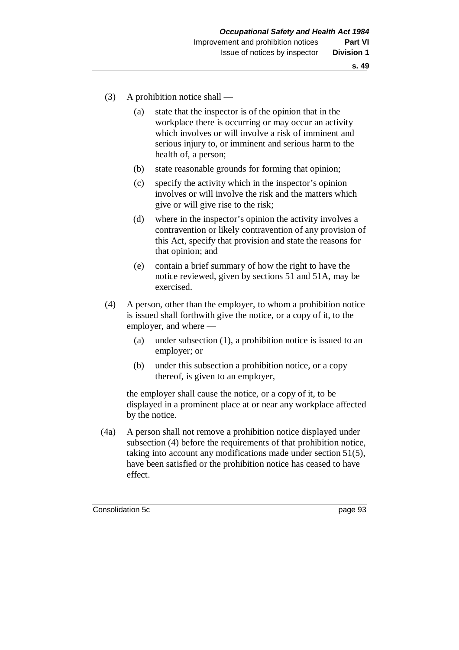- (3) A prohibition notice shall
	- (a) state that the inspector is of the opinion that in the workplace there is occurring or may occur an activity which involves or will involve a risk of imminent and serious injury to, or imminent and serious harm to the health of, a person;
	- (b) state reasonable grounds for forming that opinion;
	- (c) specify the activity which in the inspector's opinion involves or will involve the risk and the matters which give or will give rise to the risk;
	- (d) where in the inspector's opinion the activity involves a contravention or likely contravention of any provision of this Act, specify that provision and state the reasons for that opinion; and
	- (e) contain a brief summary of how the right to have the notice reviewed, given by sections 51 and 51A, may be exercised.
- (4) A person, other than the employer, to whom a prohibition notice is issued shall forthwith give the notice, or a copy of it, to the employer, and where —
	- (a) under subsection (1), a prohibition notice is issued to an employer; or
	- (b) under this subsection a prohibition notice, or a copy thereof, is given to an employer,

the employer shall cause the notice, or a copy of it, to be displayed in a prominent place at or near any workplace affected by the notice.

(4a) A person shall not remove a prohibition notice displayed under subsection (4) before the requirements of that prohibition notice, taking into account any modifications made under section 51(5), have been satisfied or the prohibition notice has ceased to have effect.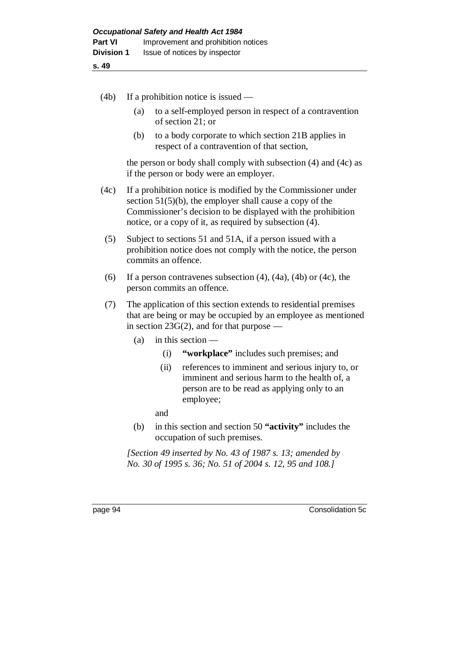- (4b) If a prohibition notice is issued
	- (a) to a self-employed person in respect of a contravention of section 21; or
	- (b) to a body corporate to which section 21B applies in respect of a contravention of that section,

the person or body shall comply with subsection (4) and (4c) as if the person or body were an employer.

- (4c) If a prohibition notice is modified by the Commissioner under section 51(5)(b), the employer shall cause a copy of the Commissioner's decision to be displayed with the prohibition notice, or a copy of it, as required by subsection (4).
- (5) Subject to sections 51 and 51A, if a person issued with a prohibition notice does not comply with the notice, the person commits an offence.
- (6) If a person contravenes subsection  $(4)$ ,  $(4a)$ ,  $(4b)$  or  $(4c)$ , the person commits an offence.
- (7) The application of this section extends to residential premises that are being or may be occupied by an employee as mentioned in section  $23G(2)$ , and for that purpose —
	- (a) in this section
		- (i) **"workplace"** includes such premises; and
		- (ii) references to imminent and serious injury to, or imminent and serious harm to the health of, a person are to be read as applying only to an employee;
		- and
	- (b) in this section and section 50 **"activity"** includes the occupation of such premises.

*[Section 49 inserted by No. 43 of 1987 s. 13; amended by No. 30 of 1995 s. 36; No. 51 of 2004 s. 12, 95 and 108.]*

page 94 Consolidation 5c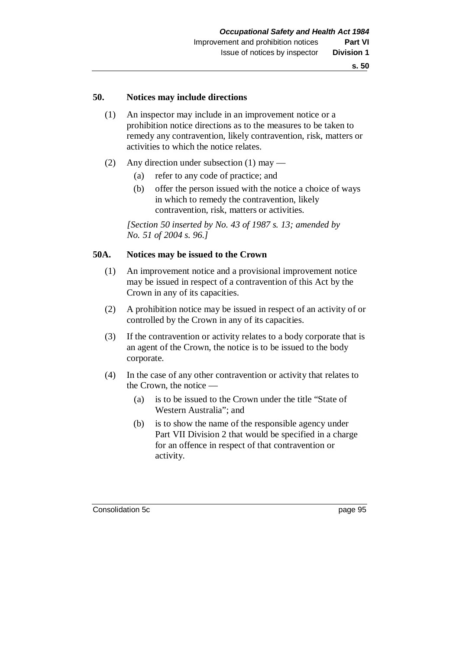#### **50. Notices may include directions**

- (1) An inspector may include in an improvement notice or a prohibition notice directions as to the measures to be taken to remedy any contravention, likely contravention, risk, matters or activities to which the notice relates.
- (2) Any direction under subsection (1) may
	- (a) refer to any code of practice; and
	- (b) offer the person issued with the notice a choice of ways in which to remedy the contravention, likely contravention, risk, matters or activities.

*[Section 50 inserted by No. 43 of 1987 s. 13; amended by No. 51 of 2004 s. 96.]*

#### **50A. Notices may be issued to the Crown**

- (1) An improvement notice and a provisional improvement notice may be issued in respect of a contravention of this Act by the Crown in any of its capacities.
- (2) A prohibition notice may be issued in respect of an activity of or controlled by the Crown in any of its capacities.
- (3) If the contravention or activity relates to a body corporate that is an agent of the Crown, the notice is to be issued to the body corporate.
- (4) In the case of any other contravention or activity that relates to the Crown, the notice —
	- (a) is to be issued to the Crown under the title "State of Western Australia"; and
	- (b) is to show the name of the responsible agency under Part VII Division 2 that would be specified in a charge for an offence in respect of that contravention or activity.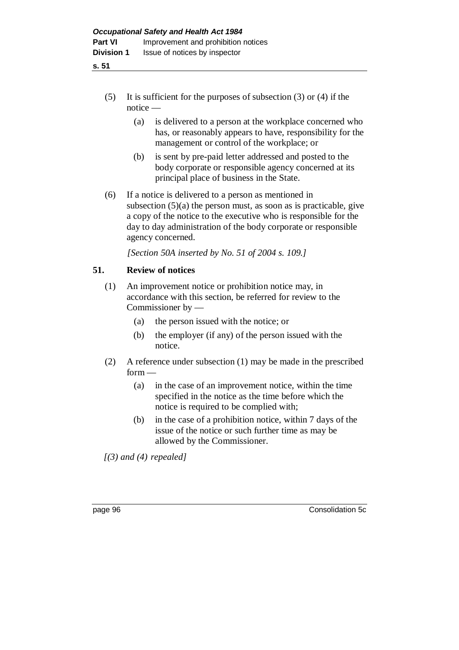- **s. 51**
	- (5) It is sufficient for the purposes of subsection (3) or (4) if the notice —
		- (a) is delivered to a person at the workplace concerned who has, or reasonably appears to have, responsibility for the management or control of the workplace; or
		- (b) is sent by pre-paid letter addressed and posted to the body corporate or responsible agency concerned at its principal place of business in the State.
	- (6) If a notice is delivered to a person as mentioned in subsection  $(5)(a)$  the person must, as soon as is practicable, give a copy of the notice to the executive who is responsible for the day to day administration of the body corporate or responsible agency concerned.

*[Section 50A inserted by No. 51 of 2004 s. 109.]*

# **51. Review of notices**

- (1) An improvement notice or prohibition notice may, in accordance with this section, be referred for review to the Commissioner by —
	- (a) the person issued with the notice; or
	- (b) the employer (if any) of the person issued with the notice.
- (2) A reference under subsection (1) may be made in the prescribed  $form$  —
	- (a) in the case of an improvement notice, within the time specified in the notice as the time before which the notice is required to be complied with;
	- (b) in the case of a prohibition notice, within 7 days of the issue of the notice or such further time as may be allowed by the Commissioner.

*[(3) and (4) repealed]*

page 96 Consolidation 5c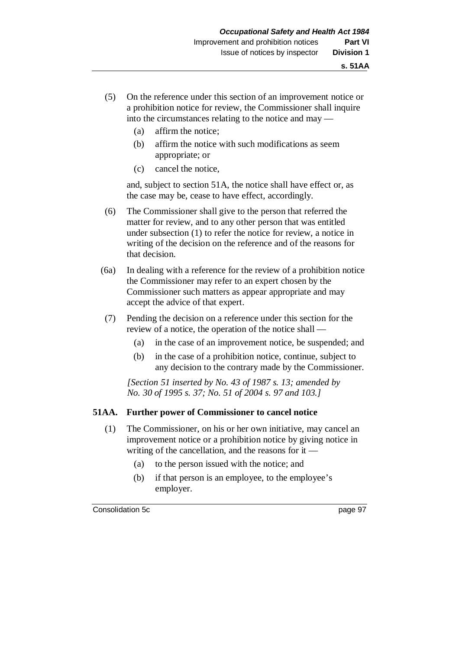- (5) On the reference under this section of an improvement notice or a prohibition notice for review, the Commissioner shall inquire into the circumstances relating to the notice and may —
	- (a) affirm the notice;
	- (b) affirm the notice with such modifications as seem appropriate; or
	- (c) cancel the notice,

and, subject to section 51A, the notice shall have effect or, as the case may be, cease to have effect, accordingly.

- (6) The Commissioner shall give to the person that referred the matter for review, and to any other person that was entitled under subsection (1) to refer the notice for review, a notice in writing of the decision on the reference and of the reasons for that decision.
- (6a) In dealing with a reference for the review of a prohibition notice the Commissioner may refer to an expert chosen by the Commissioner such matters as appear appropriate and may accept the advice of that expert.
- (7) Pending the decision on a reference under this section for the review of a notice, the operation of the notice shall —
	- (a) in the case of an improvement notice, be suspended; and
	- (b) in the case of a prohibition notice, continue, subject to any decision to the contrary made by the Commissioner.

*[Section 51 inserted by No. 43 of 1987 s. 13; amended by No. 30 of 1995 s. 37; No. 51 of 2004 s. 97 and 103.]*

#### **51AA. Further power of Commissioner to cancel notice**

- (1) The Commissioner, on his or her own initiative, may cancel an improvement notice or a prohibition notice by giving notice in writing of the cancellation, and the reasons for it —
	- (a) to the person issued with the notice; and
	- (b) if that person is an employee, to the employee's employer.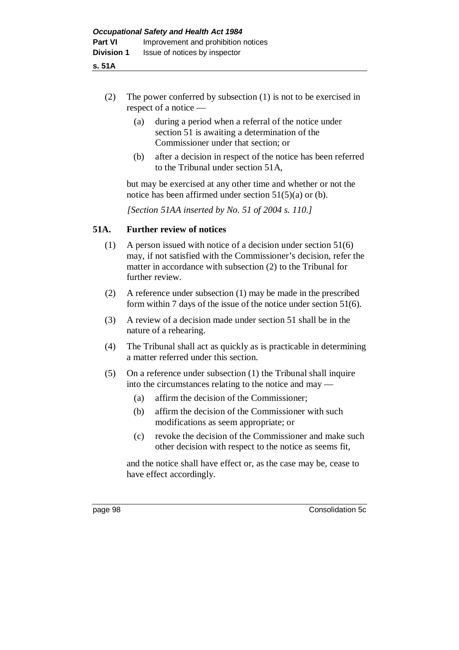- **s. 51A**
	- (2) The power conferred by subsection (1) is not to be exercised in respect of a notice —
		- (a) during a period when a referral of the notice under section 51 is awaiting a determination of the Commissioner under that section; or
		- (b) after a decision in respect of the notice has been referred to the Tribunal under section 51A,

but may be exercised at any other time and whether or not the notice has been affirmed under section 51(5)(a) or (b).

*[Section 51AA inserted by No. 51 of 2004 s. 110.]*

## **51A. Further review of notices**

- (1) A person issued with notice of a decision under section 51(6) may, if not satisfied with the Commissioner's decision, refer the matter in accordance with subsection (2) to the Tribunal for further review.
- (2) A reference under subsection (1) may be made in the prescribed form within 7 days of the issue of the notice under section 51(6).
- (3) A review of a decision made under section 51 shall be in the nature of a rehearing.
- (4) The Tribunal shall act as quickly as is practicable in determining a matter referred under this section.
- (5) On a reference under subsection (1) the Tribunal shall inquire into the circumstances relating to the notice and may —
	- (a) affirm the decision of the Commissioner;
	- (b) affirm the decision of the Commissioner with such modifications as seem appropriate; or
	- (c) revoke the decision of the Commissioner and make such other decision with respect to the notice as seems fit,

and the notice shall have effect or, as the case may be, cease to have effect accordingly.

page 98 Consolidation 5c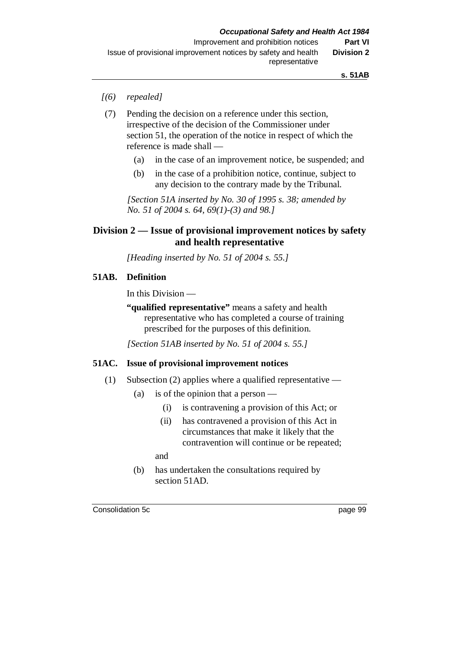- *[(6) repealed]*
- (7) Pending the decision on a reference under this section, irrespective of the decision of the Commissioner under section 51, the operation of the notice in respect of which the reference is made shall —
	- (a) in the case of an improvement notice, be suspended; and
	- (b) in the case of a prohibition notice, continue, subject to any decision to the contrary made by the Tribunal.

*[Section 51A inserted by No. 30 of 1995 s. 38; amended by No. 51 of 2004 s. 64, 69(1)-(3) and 98.]*

# **Division 2 — Issue of provisional improvement notices by safety and health representative**

*[Heading inserted by No. 51 of 2004 s. 55.]*

### **51AB. Definition**

In this Division —

**"qualified representative"** means a safety and health representative who has completed a course of training prescribed for the purposes of this definition.

*[Section 51AB inserted by No. 51 of 2004 s. 55.]*

#### **51AC. Issue of provisional improvement notices**

- (1) Subsection (2) applies where a qualified representative
	- (a) is of the opinion that a person
		- (i) is contravening a provision of this Act; or
		- (ii) has contravened a provision of this Act in circumstances that make it likely that the contravention will continue or be repeated;

and

(b) has undertaken the consultations required by section 51AD.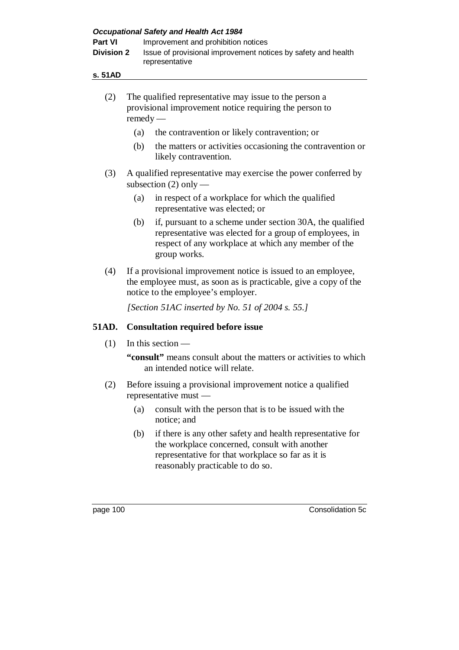| Part VI<br><b>Division 2</b> |                                                                                                                                                                         | Improvement and prohibition notices<br>Issue of provisional improvement notices by safety and health<br>representative                                                                               |  |  |  |
|------------------------------|-------------------------------------------------------------------------------------------------------------------------------------------------------------------------|------------------------------------------------------------------------------------------------------------------------------------------------------------------------------------------------------|--|--|--|
| s. 51AD                      |                                                                                                                                                                         |                                                                                                                                                                                                      |  |  |  |
| (2)                          | $remedy$ —                                                                                                                                                              | The qualified representative may issue to the person a<br>provisional improvement notice requiring the person to                                                                                     |  |  |  |
|                              | (a)                                                                                                                                                                     | the contravention or likely contravention; or                                                                                                                                                        |  |  |  |
|                              | (b)                                                                                                                                                                     | the matters or activities occasioning the contravention or<br>likely contravention.                                                                                                                  |  |  |  |
| (3)                          |                                                                                                                                                                         | A qualified representative may exercise the power conferred by<br>subsection $(2)$ only —                                                                                                            |  |  |  |
|                              | (a)                                                                                                                                                                     | in respect of a workplace for which the qualified<br>representative was elected; or                                                                                                                  |  |  |  |
|                              | (b)                                                                                                                                                                     | if, pursuant to a scheme under section 30A, the qualified<br>representative was elected for a group of employees, in<br>respect of any workplace at which any member of the<br>group works.          |  |  |  |
| (4)                          | If a provisional improvement notice is issued to an employee,<br>the employee must, as soon as is practicable, give a copy of the<br>notice to the employee's employer. |                                                                                                                                                                                                      |  |  |  |
|                              |                                                                                                                                                                         | [Section 51AC inserted by No. 51 of 2004 s. 55.]                                                                                                                                                     |  |  |  |
| 51AD.                        | <b>Consultation required before issue</b>                                                                                                                               |                                                                                                                                                                                                      |  |  |  |
| (1)                          |                                                                                                                                                                         | In this section $-$                                                                                                                                                                                  |  |  |  |
|                              |                                                                                                                                                                         | "consult" means consult about the matters or activities to which<br>an intended notice will relate.                                                                                                  |  |  |  |
| (2)                          |                                                                                                                                                                         | Before issuing a provisional improvement notice a qualified<br>representative must —                                                                                                                 |  |  |  |
|                              | (a)                                                                                                                                                                     | consult with the person that is to be issued with the<br>notice; and                                                                                                                                 |  |  |  |
|                              | (b)                                                                                                                                                                     | if there is any other safety and health representative for<br>the workplace concerned, consult with another<br>representative for that workplace so far as it is<br>reasonably practicable to do so. |  |  |  |
| page 100                     |                                                                                                                                                                         | Consolidation 5c                                                                                                                                                                                     |  |  |  |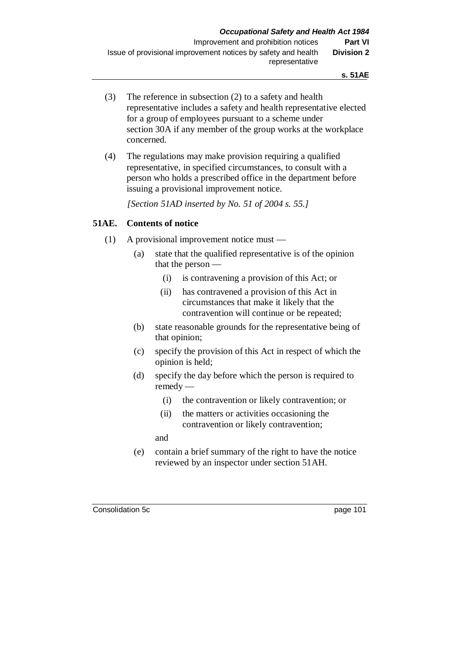- (3) The reference in subsection (2) to a safety and health representative includes a safety and health representative elected for a group of employees pursuant to a scheme under section 30A if any member of the group works at the workplace concerned.
- (4) The regulations may make provision requiring a qualified representative, in specified circumstances, to consult with a person who holds a prescribed office in the department before issuing a provisional improvement notice.

*[Section 51AD inserted by No. 51 of 2004 s. 55.]*

## **51AE. Contents of notice**

- (1) A provisional improvement notice must
	- (a) state that the qualified representative is of the opinion that the person —
		- (i) is contravening a provision of this Act; or
		- (ii) has contravened a provision of this Act in circumstances that make it likely that the contravention will continue or be repeated;
	- (b) state reasonable grounds for the representative being of that opinion;
	- (c) specify the provision of this Act in respect of which the opinion is held;
	- (d) specify the day before which the person is required to remedy —
		- (i) the contravention or likely contravention; or
		- (ii) the matters or activities occasioning the contravention or likely contravention;

and

(e) contain a brief summary of the right to have the notice reviewed by an inspector under section 51AH.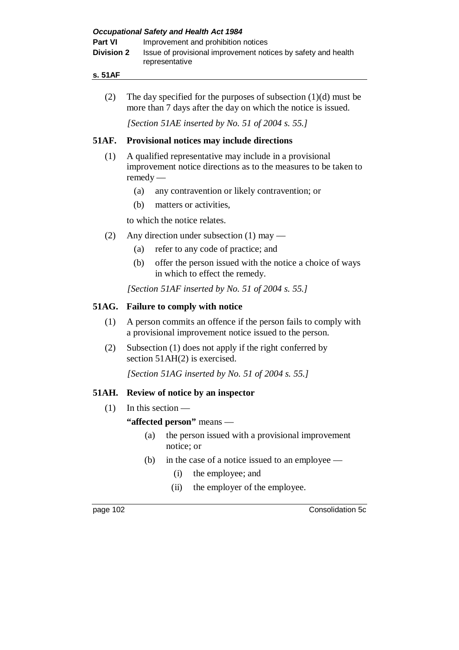- **s. 51AF**
	- (2) The day specified for the purposes of subsection  $(1)(d)$  must be more than 7 days after the day on which the notice is issued.

*[Section 51AE inserted by No. 51 of 2004 s. 55.]*

## **51AF. Provisional notices may include directions**

- (1) A qualified representative may include in a provisional improvement notice directions as to the measures to be taken to remedy —
	- (a) any contravention or likely contravention; or
	- (b) matters or activities,

to which the notice relates.

- (2) Any direction under subsection (1) may
	- (a) refer to any code of practice; and
	- (b) offer the person issued with the notice a choice of ways in which to effect the remedy.

*[Section 51AF inserted by No. 51 of 2004 s. 55.]*

## **51AG. Failure to comply with notice**

- (1) A person commits an offence if the person fails to comply with a provisional improvement notice issued to the person.
- (2) Subsection (1) does not apply if the right conferred by section 51AH(2) is exercised.

*[Section 51AG inserted by No. 51 of 2004 s. 55.]*

## **51AH. Review of notice by an inspector**

 $(1)$  In this section —

**"affected person"** means —

- (a) the person issued with a provisional improvement notice; or
- (b) in the case of a notice issued to an employee
	- (i) the employee; and
	- (ii) the employer of the employee.

page 102 Consolidation 5c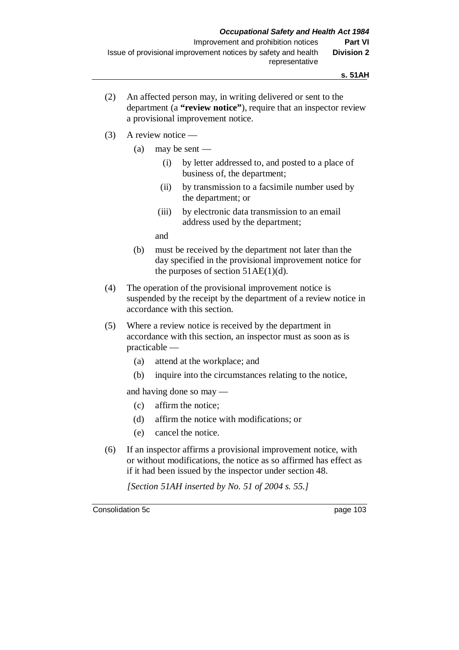- (2) An affected person may, in writing delivered or sent to the department (a **"review notice"**), require that an inspector review a provisional improvement notice.
- (3) A review notice
	- (a) may be sent
		- (i) by letter addressed to, and posted to a place of business of, the department;
		- (ii) by transmission to a facsimile number used by the department; or
		- (iii) by electronic data transmission to an email address used by the department;

and

- (b) must be received by the department not later than the day specified in the provisional improvement notice for the purposes of section  $51AE(1)(d)$ .
- (4) The operation of the provisional improvement notice is suspended by the receipt by the department of a review notice in accordance with this section.
- (5) Where a review notice is received by the department in accordance with this section, an inspector must as soon as is practicable —
	- (a) attend at the workplace; and
	- (b) inquire into the circumstances relating to the notice,

and having done so may —

- (c) affirm the notice;
- (d) affirm the notice with modifications; or
- (e) cancel the notice.
- (6) If an inspector affirms a provisional improvement notice, with or without modifications, the notice as so affirmed has effect as if it had been issued by the inspector under section 48.

*[Section 51AH inserted by No. 51 of 2004 s. 55.]*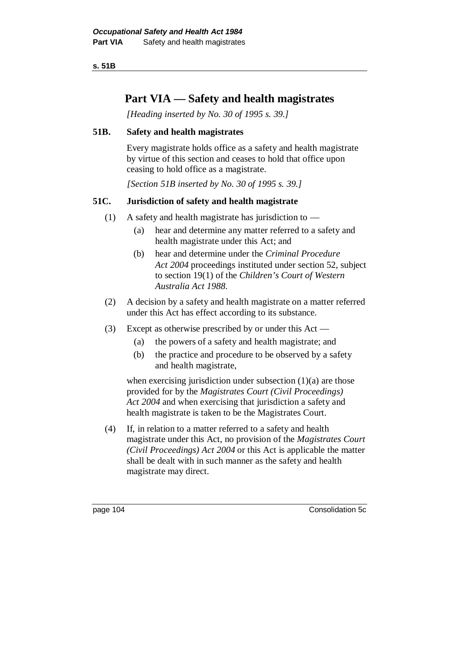**s. 51B**

# **Part VIA — Safety and health magistrates**

*[Heading inserted by No. 30 of 1995 s. 39.]*

## **51B. Safety and health magistrates**

Every magistrate holds office as a safety and health magistrate by virtue of this section and ceases to hold that office upon ceasing to hold office as a magistrate.

*[Section 51B inserted by No. 30 of 1995 s. 39.]*

# **51C. Jurisdiction of safety and health magistrate**

- (1) A safety and health magistrate has jurisdiction to  $-$ 
	- (a) hear and determine any matter referred to a safety and health magistrate under this Act; and
	- (b) hear and determine under the *Criminal Procedure Act 2004* proceedings instituted under section 52, subject to section 19(1) of the *Children's Court of Western Australia Act 1988*.
- (2) A decision by a safety and health magistrate on a matter referred under this Act has effect according to its substance.
- (3) Except as otherwise prescribed by or under this Act
	- (a) the powers of a safety and health magistrate; and
	- (b) the practice and procedure to be observed by a safety and health magistrate,

when exercising jurisdiction under subsection (1)(a) are those provided for by the *Magistrates Court (Civil Proceedings) Act 2004* and when exercising that jurisdiction a safety and health magistrate is taken to be the Magistrates Court.

(4) If, in relation to a matter referred to a safety and health magistrate under this Act, no provision of the *Magistrates Court (Civil Proceedings) Act 2004* or this Act is applicable the matter shall be dealt with in such manner as the safety and health magistrate may direct.

page 104 Consolidation 5c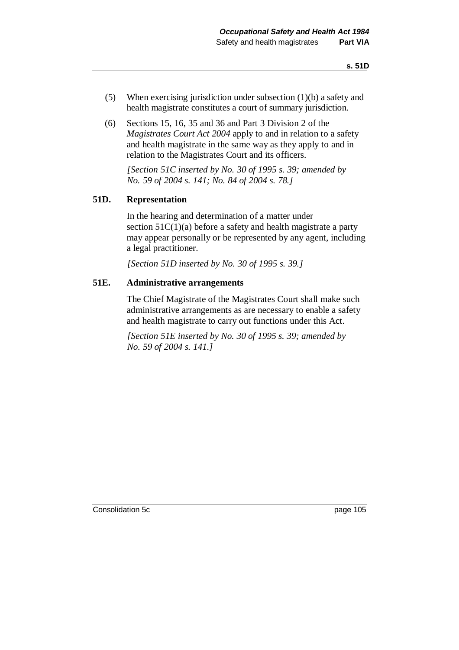- (5) When exercising jurisdiction under subsection (1)(b) a safety and health magistrate constitutes a court of summary jurisdiction.
- (6) Sections 15, 16, 35 and 36 and Part 3 Division 2 of the *Magistrates Court Act 2004* apply to and in relation to a safety and health magistrate in the same way as they apply to and in relation to the Magistrates Court and its officers.

*[Section 51C inserted by No. 30 of 1995 s. 39; amended by No. 59 of 2004 s. 141; No. 84 of 2004 s. 78.]*

#### **51D. Representation**

In the hearing and determination of a matter under section  $51C(1)(a)$  before a safety and health magistrate a party may appear personally or be represented by any agent, including a legal practitioner.

*[Section 51D inserted by No. 30 of 1995 s. 39.]*

## **51E. Administrative arrangements**

The Chief Magistrate of the Magistrates Court shall make such administrative arrangements as are necessary to enable a safety and health magistrate to carry out functions under this Act.

*[Section 51E inserted by No. 30 of 1995 s. 39; amended by No. 59 of 2004 s. 141.]*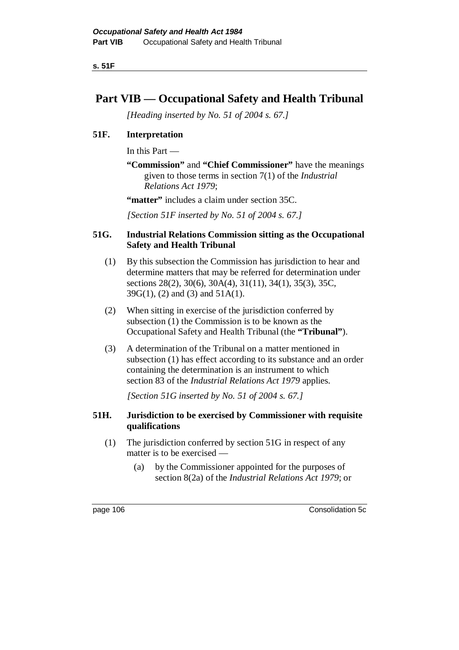**s. 51F**

# **Part VIB — Occupational Safety and Health Tribunal**

*[Heading inserted by No. 51 of 2004 s. 67.]*

# **51F. Interpretation**

In this Part —

**"Commission"** and **"Chief Commissioner"** have the meanings given to those terms in section 7(1) of the *Industrial Relations Act 1979*;

**"matter"** includes a claim under section 35C.

*[Section 51F inserted by No. 51 of 2004 s. 67.]*

## **51G. Industrial Relations Commission sitting as the Occupational Safety and Health Tribunal**

- (1) By this subsection the Commission has jurisdiction to hear and determine matters that may be referred for determination under sections 28(2), 30(6), 30A(4), 31(11), 34(1), 35(3), 35C, 39G(1), (2) and (3) and 51A(1).
- (2) When sitting in exercise of the jurisdiction conferred by subsection (1) the Commission is to be known as the Occupational Safety and Health Tribunal (the **"Tribunal"**).
- (3) A determination of the Tribunal on a matter mentioned in subsection (1) has effect according to its substance and an order containing the determination is an instrument to which section 83 of the *Industrial Relations Act 1979* applies.

*[Section 51G inserted by No. 51 of 2004 s. 67.]*

## **51H. Jurisdiction to be exercised by Commissioner with requisite qualifications**

- (1) The jurisdiction conferred by section 51G in respect of any matter is to be exercised —
	- (a) by the Commissioner appointed for the purposes of section 8(2a) of the *Industrial Relations Act 1979*; or

page 106 Consolidation 5c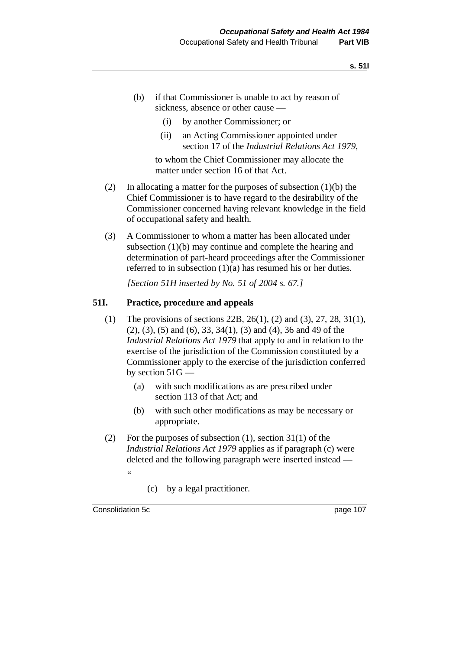- (b) if that Commissioner is unable to act by reason of sickness, absence or other cause —
	- (i) by another Commissioner; or
	- (ii) an Acting Commissioner appointed under section 17 of the *Industrial Relations Act 1979*,

to whom the Chief Commissioner may allocate the matter under section 16 of that Act.

- (2) In allocating a matter for the purposes of subsection  $(1)(b)$  the Chief Commissioner is to have regard to the desirability of the Commissioner concerned having relevant knowledge in the field of occupational safety and health.
- (3) A Commissioner to whom a matter has been allocated under subsection (1)(b) may continue and complete the hearing and determination of part-heard proceedings after the Commissioner referred to in subsection (1)(a) has resumed his or her duties.

*[Section 51H inserted by No. 51 of 2004 s. 67.]*

### **51I. Practice, procedure and appeals**

- (1) The provisions of sections 22B, 26(1), (2) and (3), 27, 28, 31(1), (2), (3), (5) and (6), 33, 34(1), (3) and (4), 36 and 49 of the *Industrial Relations Act 1979* that apply to and in relation to the exercise of the jurisdiction of the Commission constituted by a Commissioner apply to the exercise of the jurisdiction conferred by section 51G —
	- (a) with such modifications as are prescribed under section 113 of that Act; and
	- (b) with such other modifications as may be necessary or appropriate.
- (2) For the purposes of subsection (1), section 31(1) of the *Industrial Relations Act 1979* applies as if paragraph (c) were deleted and the following paragraph were inserted instead — "
	- (c) by a legal practitioner.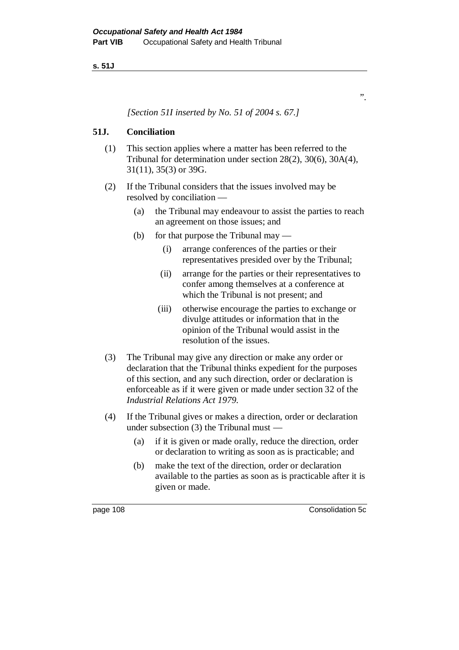**s. 51J**

*[Section 51I inserted by No. 51 of 2004 s. 67.]*

## **51J. Conciliation**

- (1) This section applies where a matter has been referred to the Tribunal for determination under section 28(2), 30(6), 30A(4), 31(11), 35(3) or 39G.
- (2) If the Tribunal considers that the issues involved may be resolved by conciliation —
	- (a) the Tribunal may endeavour to assist the parties to reach an agreement on those issues; and
	- (b) for that purpose the Tribunal may
		- (i) arrange conferences of the parties or their representatives presided over by the Tribunal;
		- (ii) arrange for the parties or their representatives to confer among themselves at a conference at which the Tribunal is not present; and
		- (iii) otherwise encourage the parties to exchange or divulge attitudes or information that in the opinion of the Tribunal would assist in the resolution of the issues.
- (3) The Tribunal may give any direction or make any order or declaration that the Tribunal thinks expedient for the purposes of this section, and any such direction, order or declaration is enforceable as if it were given or made under section 32 of the *Industrial Relations Act 1979*.
- (4) If the Tribunal gives or makes a direction, order or declaration under subsection (3) the Tribunal must —
	- (a) if it is given or made orally, reduce the direction, order or declaration to writing as soon as is practicable; and
	- (b) make the text of the direction, order or declaration available to the parties as soon as is practicable after it is given or made.

page 108 Consolidation 5c

".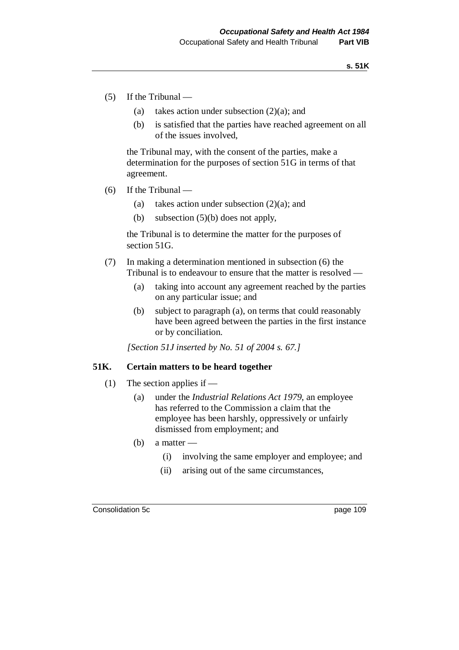- (5) If the Tribunal
	- (a) takes action under subsection (2)(a); and
	- (b) is satisfied that the parties have reached agreement on all of the issues involved,

the Tribunal may, with the consent of the parties, make a determination for the purposes of section 51G in terms of that agreement.

- (6) If the Tribunal
	- (a) takes action under subsection  $(2)(a)$ ; and
	- (b) subsection (5)(b) does not apply,

the Tribunal is to determine the matter for the purposes of section 51G.

- (7) In making a determination mentioned in subsection (6) the Tribunal is to endeavour to ensure that the matter is resolved —
	- (a) taking into account any agreement reached by the parties on any particular issue; and
	- (b) subject to paragraph (a), on terms that could reasonably have been agreed between the parties in the first instance or by conciliation.

*[Section 51J inserted by No. 51 of 2004 s. 67.]*

#### **51K. Certain matters to be heard together**

- (1) The section applies if
	- (a) under the *Industrial Relations Act 1979*, an employee has referred to the Commission a claim that the employee has been harshly, oppressively or unfairly dismissed from employment; and
	- (b) a matter
		- (i) involving the same employer and employee; and
		- (ii) arising out of the same circumstances,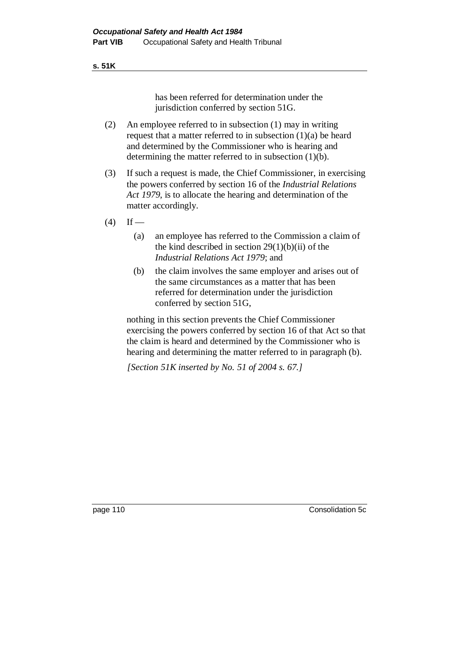#### **s. 51K**

has been referred for determination under the jurisdiction conferred by section 51G.

- (2) An employee referred to in subsection (1) may in writing request that a matter referred to in subsection (1)(a) be heard and determined by the Commissioner who is hearing and determining the matter referred to in subsection (1)(b).
- (3) If such a request is made, the Chief Commissioner, in exercising the powers conferred by section 16 of the *Industrial Relations Act 1979*, is to allocate the hearing and determination of the matter accordingly.
- $(4)$  If
	- (a) an employee has referred to the Commission a claim of the kind described in section  $29(1)(b)(ii)$  of the *Industrial Relations Act 1979*; and
	- (b) the claim involves the same employer and arises out of the same circumstances as a matter that has been referred for determination under the jurisdiction conferred by section 51G,

nothing in this section prevents the Chief Commissioner exercising the powers conferred by section 16 of that Act so that the claim is heard and determined by the Commissioner who is hearing and determining the matter referred to in paragraph (b).

*[Section 51K inserted by No. 51 of 2004 s. 67.]*

page 110 Consolidation 5c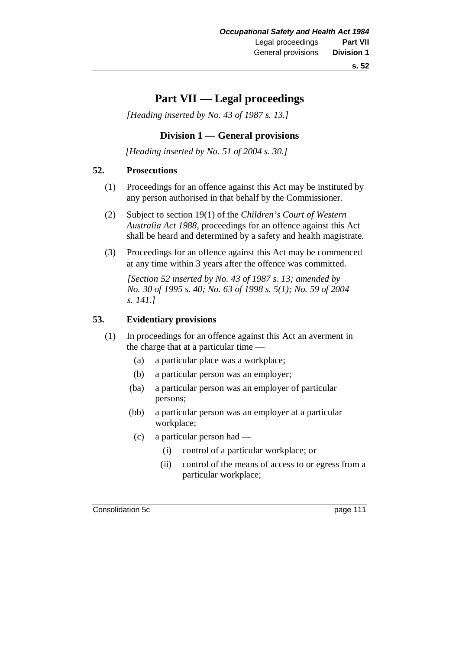# **Part VII — Legal proceedings**

*[Heading inserted by No. 43 of 1987 s. 13.]*

## **Division 1 — General provisions**

*[Heading inserted by No. 51 of 2004 s. 30.]*

#### **52. Prosecutions**

- (1) Proceedings for an offence against this Act may be instituted by any person authorised in that behalf by the Commissioner.
- (2) Subject to section 19(1) of the *Children's Court of Western Australia Act 1988*, proceedings for an offence against this Act shall be heard and determined by a safety and health magistrate.
- (3) Proceedings for an offence against this Act may be commenced at any time within 3 years after the offence was committed.

*[Section 52 inserted by No. 43 of 1987 s. 13; amended by No. 30 of 1995 s. 40; No. 63 of 1998 s. 5(1); No. 59 of 2004 s. 141.]*

#### **53. Evidentiary provisions**

- (1) In proceedings for an offence against this Act an averment in the charge that at a particular time —
	- (a) a particular place was a workplace;
	- (b) a particular person was an employer;
	- (ba) a particular person was an employer of particular persons;
	- (bb) a particular person was an employer at a particular workplace;
		- (c) a particular person had
			- (i) control of a particular workplace; or
			- (ii) control of the means of access to or egress from a particular workplace;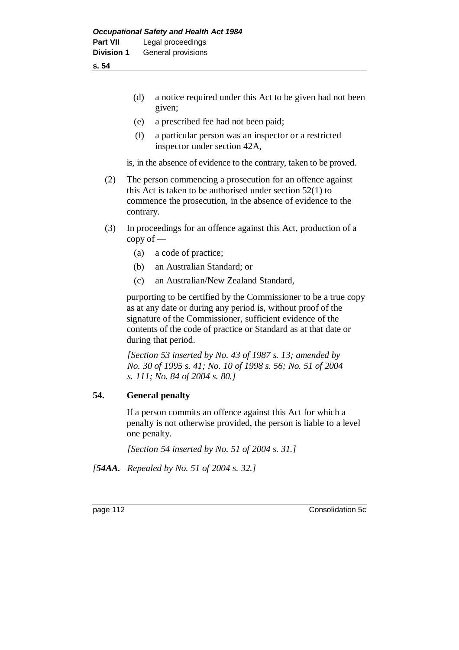**s. 54**

- (d) a notice required under this Act to be given had not been given;
- (e) a prescribed fee had not been paid;
- (f) a particular person was an inspector or a restricted inspector under section 42A,

is, in the absence of evidence to the contrary, taken to be proved.

- (2) The person commencing a prosecution for an offence against this Act is taken to be authorised under section 52(1) to commence the prosecution, in the absence of evidence to the contrary.
- (3) In proceedings for an offence against this Act, production of a copy of —
	- (a) a code of practice;
	- (b) an Australian Standard; or
	- (c) an Australian/New Zealand Standard,

purporting to be certified by the Commissioner to be a true copy as at any date or during any period is, without proof of the signature of the Commissioner, sufficient evidence of the contents of the code of practice or Standard as at that date or during that period.

*[Section 53 inserted by No. 43 of 1987 s. 13; amended by No. 30 of 1995 s. 41; No. 10 of 1998 s. 56; No. 51 of 2004 s. 111; No. 84 of 2004 s. 80.]*

## **54. General penalty**

If a person commits an offence against this Act for which a penalty is not otherwise provided, the person is liable to a level one penalty.

*[Section 54 inserted by No. 51 of 2004 s. 31.]*

*[54AA. Repealed by No. 51 of 2004 s. 32.]*

page 112 Consolidation 5c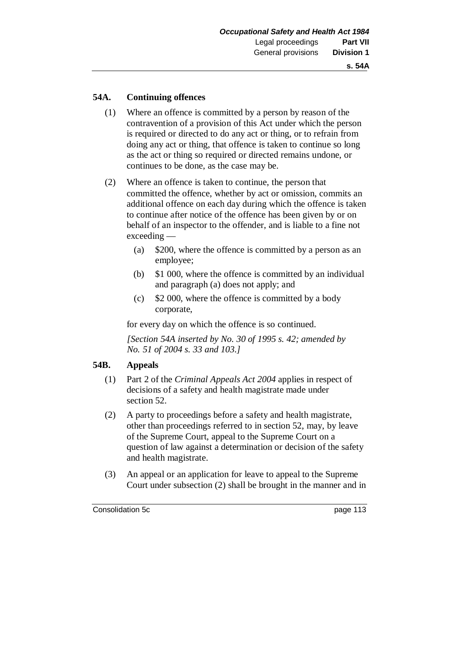#### **54A. Continuing offences**

- (1) Where an offence is committed by a person by reason of the contravention of a provision of this Act under which the person is required or directed to do any act or thing, or to refrain from doing any act or thing, that offence is taken to continue so long as the act or thing so required or directed remains undone, or continues to be done, as the case may be.
- (2) Where an offence is taken to continue, the person that committed the offence, whether by act or omission, commits an additional offence on each day during which the offence is taken to continue after notice of the offence has been given by or on behalf of an inspector to the offender, and is liable to a fine not exceeding —
	- (a) \$200, where the offence is committed by a person as an employee;
	- (b) \$1 000, where the offence is committed by an individual and paragraph (a) does not apply; and
	- (c) \$2 000, where the offence is committed by a body corporate,

for every day on which the offence is so continued.

*[Section 54A inserted by No. 30 of 1995 s. 42; amended by No. 51 of 2004 s. 33 and 103.]*

#### **54B. Appeals**

- (1) Part 2 of the *Criminal Appeals Act 2004* applies in respect of decisions of a safety and health magistrate made under section 52.
- (2) A party to proceedings before a safety and health magistrate, other than proceedings referred to in section 52, may, by leave of the Supreme Court, appeal to the Supreme Court on a question of law against a determination or decision of the safety and health magistrate.
- (3) An appeal or an application for leave to appeal to the Supreme Court under subsection (2) shall be brought in the manner and in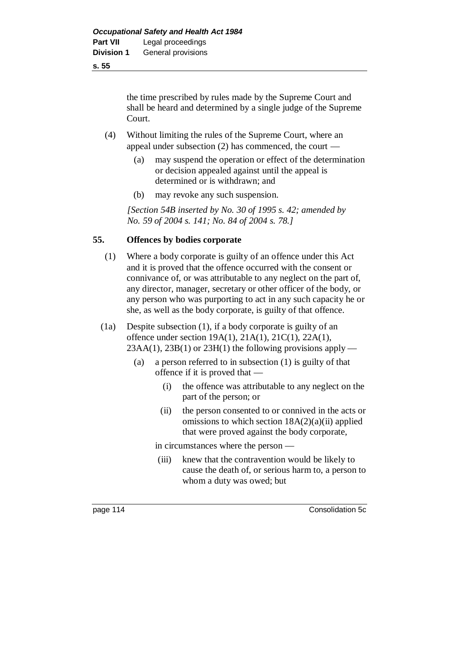**s. 55**

the time prescribed by rules made by the Supreme Court and shall be heard and determined by a single judge of the Supreme Court.

- (4) Without limiting the rules of the Supreme Court, where an appeal under subsection (2) has commenced, the court —
	- (a) may suspend the operation or effect of the determination or decision appealed against until the appeal is determined or is withdrawn; and
	- (b) may revoke any such suspension.

*[Section 54B inserted by No. 30 of 1995 s. 42; amended by No. 59 of 2004 s. 141; No. 84 of 2004 s. 78.]*

## **55. Offences by bodies corporate**

- (1) Where a body corporate is guilty of an offence under this Act and it is proved that the offence occurred with the consent or connivance of, or was attributable to any neglect on the part of, any director, manager, secretary or other officer of the body, or any person who was purporting to act in any such capacity he or she, as well as the body corporate, is guilty of that offence.
- (1a) Despite subsection (1), if a body corporate is guilty of an offence under section 19A(1), 21A(1), 21C(1), 22A(1),  $23AA(1)$ ,  $23B(1)$  or  $23H(1)$  the following provisions apply —
	- (a) a person referred to in subsection (1) is guilty of that offence if it is proved that —
		- (i) the offence was attributable to any neglect on the part of the person; or
		- (ii) the person consented to or connived in the acts or omissions to which section  $18A(2)(a)(ii)$  applied that were proved against the body corporate,

in circumstances where the person —

(iii) knew that the contravention would be likely to cause the death of, or serious harm to, a person to whom a duty was owed; but

page 114 Consolidation 5c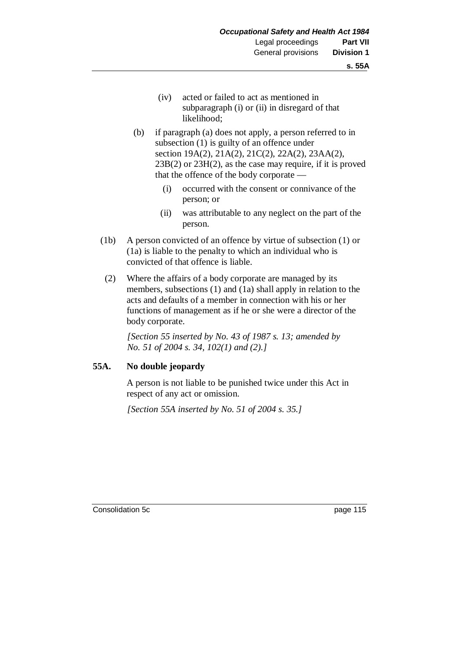- (iv) acted or failed to act as mentioned in subparagraph (i) or (ii) in disregard of that likelihood;
- (b) if paragraph (a) does not apply, a person referred to in subsection (1) is guilty of an offence under section 19A(2), 21A(2), 21C(2), 22A(2), 23AA(2), 23B(2) or 23H(2), as the case may require, if it is proved that the offence of the body corporate —
	- (i) occurred with the consent or connivance of the person; or
	- (ii) was attributable to any neglect on the part of the person.
- (1b) A person convicted of an offence by virtue of subsection (1) or (1a) is liable to the penalty to which an individual who is convicted of that offence is liable.
- (2) Where the affairs of a body corporate are managed by its members, subsections (1) and (1a) shall apply in relation to the acts and defaults of a member in connection with his or her functions of management as if he or she were a director of the body corporate.

*[Section 55 inserted by No. 43 of 1987 s. 13; amended by No. 51 of 2004 s. 34, 102(1) and (2).]*

#### **55A. No double jeopardy**

A person is not liable to be punished twice under this Act in respect of any act or omission.

*[Section 55A inserted by No. 51 of 2004 s. 35.]*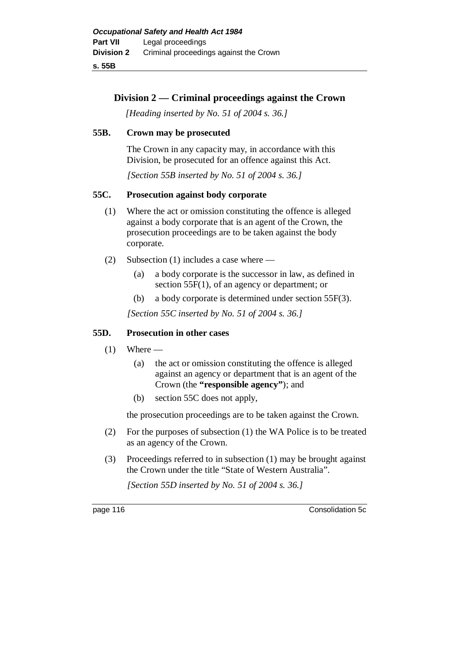**s. 55B**

## **Division 2 — Criminal proceedings against the Crown**

*[Heading inserted by No. 51 of 2004 s. 36.]*

## **55B. Crown may be prosecuted**

The Crown in any capacity may, in accordance with this Division, be prosecuted for an offence against this Act.

*[Section 55B inserted by No. 51 of 2004 s. 36.]*

## **55C. Prosecution against body corporate**

- (1) Where the act or omission constituting the offence is alleged against a body corporate that is an agent of the Crown, the prosecution proceedings are to be taken against the body corporate.
- (2) Subsection (1) includes a case where
	- (a) a body corporate is the successor in law, as defined in section 55F(1), of an agency or department; or
	- (b) a body corporate is determined under section 55F(3).

*[Section 55C inserted by No. 51 of 2004 s. 36.]*

## **55D. Prosecution in other cases**

- $(1)$  Where
	- (a) the act or omission constituting the offence is alleged against an agency or department that is an agent of the Crown (the **"responsible agency"**); and
	- (b) section 55C does not apply,

the prosecution proceedings are to be taken against the Crown.

- (2) For the purposes of subsection (1) the WA Police is to be treated as an agency of the Crown.
- (3) Proceedings referred to in subsection (1) may be brought against the Crown under the title "State of Western Australia".

*[Section 55D inserted by No. 51 of 2004 s. 36.]*

page 116 Consolidation 5c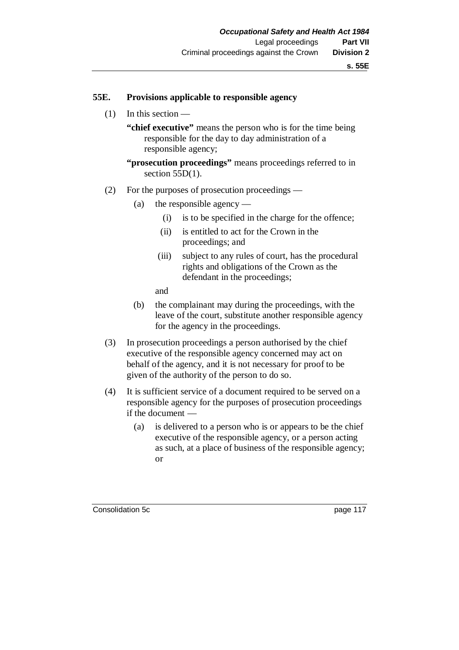#### **55E. Provisions applicable to responsible agency**

(1) In this section —

**"chief executive"** means the person who is for the time being responsible for the day to day administration of a responsible agency;

**"prosecution proceedings"** means proceedings referred to in section 55D(1).

- (2) For the purposes of prosecution proceedings
	- (a) the responsible agency
		- (i) is to be specified in the charge for the offence;
		- (ii) is entitled to act for the Crown in the proceedings; and
		- (iii) subject to any rules of court, has the procedural rights and obligations of the Crown as the defendant in the proceedings;
		- and
	- (b) the complainant may during the proceedings, with the leave of the court, substitute another responsible agency for the agency in the proceedings.
- (3) In prosecution proceedings a person authorised by the chief executive of the responsible agency concerned may act on behalf of the agency, and it is not necessary for proof to be given of the authority of the person to do so.
- (4) It is sufficient service of a document required to be served on a responsible agency for the purposes of prosecution proceedings if the document —
	- (a) is delivered to a person who is or appears to be the chief executive of the responsible agency, or a person acting as such, at a place of business of the responsible agency; or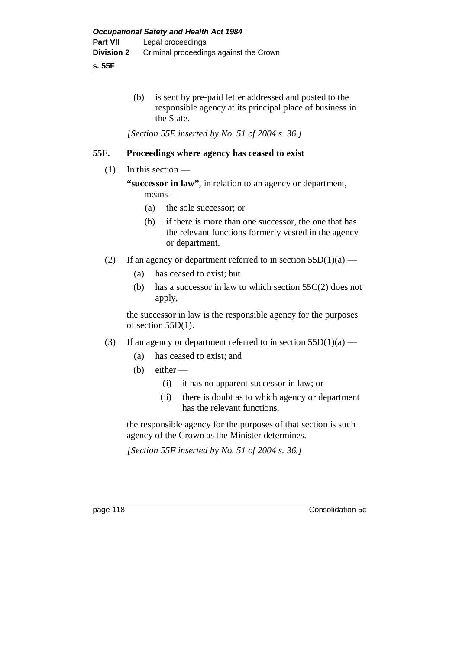**s. 55F**

(b) is sent by pre-paid letter addressed and posted to the responsible agency at its principal place of business in the State.

*[Section 55E inserted by No. 51 of 2004 s. 36.]*

### **55F. Proceedings where agency has ceased to exist**

#### $(1)$  In this section —

**"successor in law"**, in relation to an agency or department, means —

- (a) the sole successor; or
- (b) if there is more than one successor, the one that has the relevant functions formerly vested in the agency or department.
- (2) If an agency or department referred to in section  $55D(1)(a)$ 
	- (a) has ceased to exist; but
	- (b) has a successor in law to which section 55C(2) does not apply,

the successor in law is the responsible agency for the purposes of section 55D(1).

- (3) If an agency or department referred to in section  $55D(1)(a)$ 
	- (a) has ceased to exist; and
	- (b) either  $-$ 
		- (i) it has no apparent successor in law; or
		- (ii) there is doubt as to which agency or department has the relevant functions,

the responsible agency for the purposes of that section is such agency of the Crown as the Minister determines.

*[Section 55F inserted by No. 51 of 2004 s. 36.]*

page 118 Consolidation 5c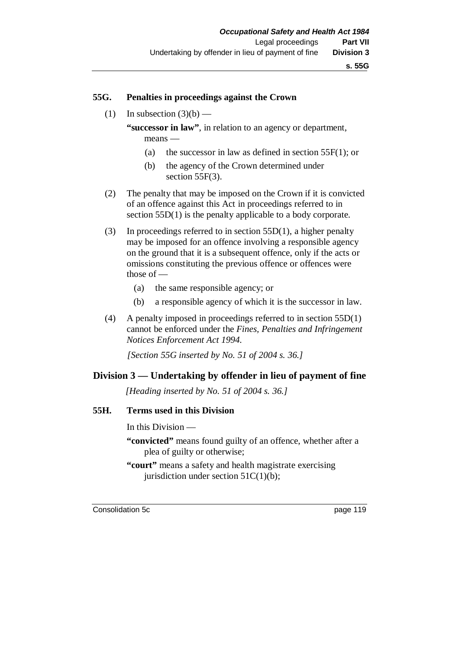#### **55G. Penalties in proceedings against the Crown**

(1) In subsection  $(3)(b)$  —

**"successor in law"**, in relation to an agency or department, means —

- (a) the successor in law as defined in section 55F(1); or
- (b) the agency of the Crown determined under section 55F(3).
- (2) The penalty that may be imposed on the Crown if it is convicted of an offence against this Act in proceedings referred to in section 55D(1) is the penalty applicable to a body corporate.
- (3) In proceedings referred to in section 55D(1), a higher penalty may be imposed for an offence involving a responsible agency on the ground that it is a subsequent offence, only if the acts or omissions constituting the previous offence or offences were those of —
	- (a) the same responsible agency; or
	- (b) a responsible agency of which it is the successor in law.
- (4) A penalty imposed in proceedings referred to in section 55D(1) cannot be enforced under the *Fines, Penalties and Infringement Notices Enforcement Act 1994*.

*[Section 55G inserted by No. 51 of 2004 s. 36.]*

#### **Division 3 — Undertaking by offender in lieu of payment of fine**

*[Heading inserted by No. 51 of 2004 s. 36.]*

### **55H. Terms used in this Division**

In this Division —

- **"convicted"** means found guilty of an offence, whether after a plea of guilty or otherwise;
- **"court"** means a safety and health magistrate exercising jurisdiction under section  $51C(1)(b)$ ;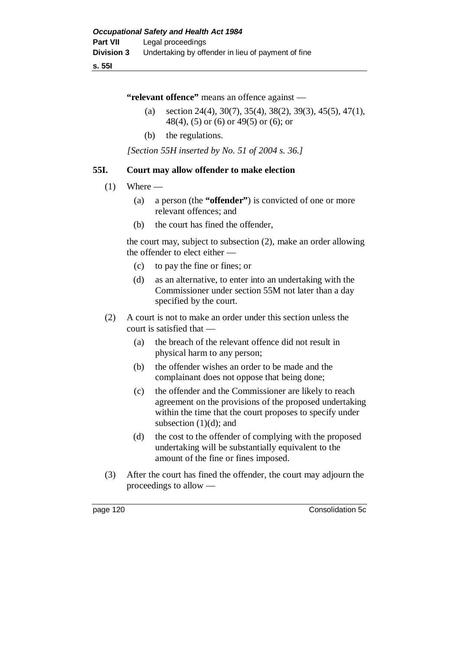#### **s. 55I**

**"relevant offence"** means an offence against —

- (a) section 24(4), 30(7), 35(4), 38(2), 39(3), 45(5), 47(1), 48(4), (5) or (6) or 49(5) or (6); or
- (b) the regulations.

*[Section 55H inserted by No. 51 of 2004 s. 36.]*

## **55I. Court may allow offender to make election**

- $(1)$  Where
	- (a) a person (the **"offender"**) is convicted of one or more relevant offences; and
	- (b) the court has fined the offender,

the court may, subject to subsection (2), make an order allowing the offender to elect either —

- (c) to pay the fine or fines; or
- (d) as an alternative, to enter into an undertaking with the Commissioner under section 55M not later than a day specified by the court.
- (2) A court is not to make an order under this section unless the court is satisfied that —
	- (a) the breach of the relevant offence did not result in physical harm to any person;
	- (b) the offender wishes an order to be made and the complainant does not oppose that being done;
	- (c) the offender and the Commissioner are likely to reach agreement on the provisions of the proposed undertaking within the time that the court proposes to specify under subsection  $(1)(d)$ ; and
	- (d) the cost to the offender of complying with the proposed undertaking will be substantially equivalent to the amount of the fine or fines imposed.
- (3) After the court has fined the offender, the court may adjourn the proceedings to allow —

page 120 Consolidation 5c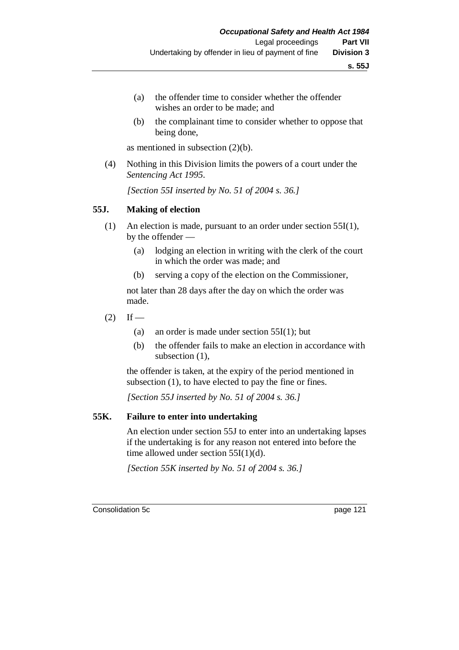- (a) the offender time to consider whether the offender wishes an order to be made; and
- (b) the complainant time to consider whether to oppose that being done,

as mentioned in subsection (2)(b).

(4) Nothing in this Division limits the powers of a court under the *Sentencing Act 1995*.

*[Section 55I inserted by No. 51 of 2004 s. 36.]*

#### **55J. Making of election**

- (1) An election is made, pursuant to an order under section 55I(1), by the offender —
	- (a) lodging an election in writing with the clerk of the court in which the order was made; and
	- (b) serving a copy of the election on the Commissioner,

not later than 28 days after the day on which the order was made.

- $(2)$  If
	- (a) an order is made under section 55I(1); but
	- (b) the offender fails to make an election in accordance with subsection  $(1)$ ,

the offender is taken, at the expiry of the period mentioned in subsection (1), to have elected to pay the fine or fines.

*[Section 55J inserted by No. 51 of 2004 s. 36.]*

#### **55K. Failure to enter into undertaking**

An election under section 55J to enter into an undertaking lapses if the undertaking is for any reason not entered into before the time allowed under section  $55I(1)(d)$ .

*[Section 55K inserted by No. 51 of 2004 s. 36.]*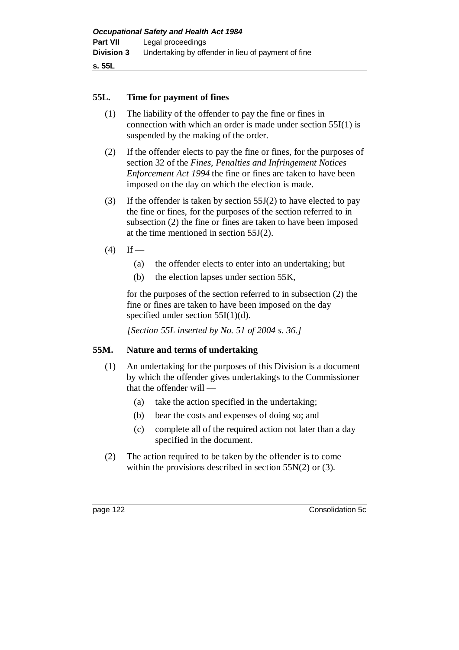#### **55L. Time for payment of fines**

- (1) The liability of the offender to pay the fine or fines in connection with which an order is made under section 55I(1) is suspended by the making of the order.
- (2) If the offender elects to pay the fine or fines, for the purposes of section 32 of the *Fines, Penalties and Infringement Notices Enforcement Act 1994* the fine or fines are taken to have been imposed on the day on which the election is made.
- (3) If the offender is taken by section 55J(2) to have elected to pay the fine or fines, for the purposes of the section referred to in subsection (2) the fine or fines are taken to have been imposed at the time mentioned in section 55J(2).
- $(4)$  If
	- (a) the offender elects to enter into an undertaking; but
	- (b) the election lapses under section 55K,

for the purposes of the section referred to in subsection (2) the fine or fines are taken to have been imposed on the day specified under section 55I(1)(d).

*[Section 55L inserted by No. 51 of 2004 s. 36.]*

#### **55M. Nature and terms of undertaking**

- (1) An undertaking for the purposes of this Division is a document by which the offender gives undertakings to the Commissioner that the offender will —
	- (a) take the action specified in the undertaking;
	- (b) bear the costs and expenses of doing so; and
	- (c) complete all of the required action not later than a day specified in the document.
- (2) The action required to be taken by the offender is to come within the provisions described in section 55N(2) or (3).

page 122 Consolidation 5c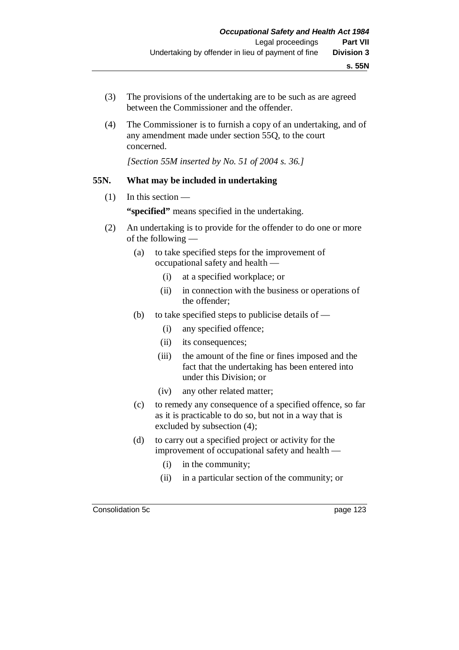- (3) The provisions of the undertaking are to be such as are agreed between the Commissioner and the offender.
- (4) The Commissioner is to furnish a copy of an undertaking, and of any amendment made under section 55Q, to the court concerned.

*[Section 55M inserted by No. 51 of 2004 s. 36.]*

#### **55N. What may be included in undertaking**

- $(1)$  In this section **"specified"** means specified in the undertaking.
- (2) An undertaking is to provide for the offender to do one or more of the following —
	- (a) to take specified steps for the improvement of occupational safety and health —
		- (i) at a specified workplace; or
		- (ii) in connection with the business or operations of the offender;
	- (b) to take specified steps to publicise details of  $-$ 
		- (i) any specified offence;
		- (ii) its consequences;
		- (iii) the amount of the fine or fines imposed and the fact that the undertaking has been entered into under this Division; or
		- (iv) any other related matter;
	- (c) to remedy any consequence of a specified offence, so far as it is practicable to do so, but not in a way that is excluded by subsection (4);
	- (d) to carry out a specified project or activity for the improvement of occupational safety and health —
		- (i) in the community;
		- (ii) in a particular section of the community; or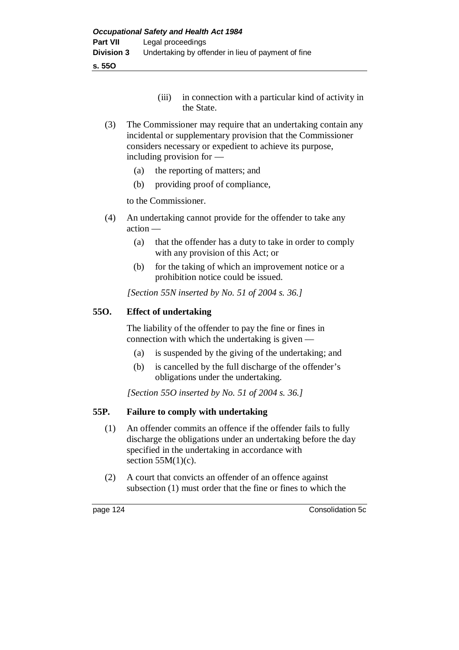**s. 55O**

- (iii) in connection with a particular kind of activity in the State.
- (3) The Commissioner may require that an undertaking contain any incidental or supplementary provision that the Commissioner considers necessary or expedient to achieve its purpose, including provision for —
	- (a) the reporting of matters; and
	- (b) providing proof of compliance,

to the Commissioner.

- (4) An undertaking cannot provide for the offender to take any action —
	- (a) that the offender has a duty to take in order to comply with any provision of this Act; or
	- (b) for the taking of which an improvement notice or a prohibition notice could be issued.

*[Section 55N inserted by No. 51 of 2004 s. 36.]*

## **55O. Effect of undertaking**

The liability of the offender to pay the fine or fines in connection with which the undertaking is given —

- (a) is suspended by the giving of the undertaking; and
- (b) is cancelled by the full discharge of the offender's obligations under the undertaking.

*[Section 55O inserted by No. 51 of 2004 s. 36.]*

## **55P. Failure to comply with undertaking**

- (1) An offender commits an offence if the offender fails to fully discharge the obligations under an undertaking before the day specified in the undertaking in accordance with section  $55M(1)(c)$ .
- (2) A court that convicts an offender of an offence against subsection (1) must order that the fine or fines to which the

page 124 Consolidation 5c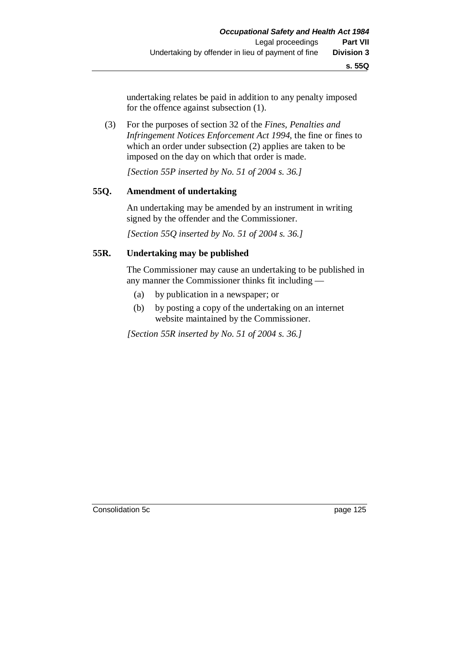undertaking relates be paid in addition to any penalty imposed for the offence against subsection (1).

(3) For the purposes of section 32 of the *Fines, Penalties and Infringement Notices Enforcement Act 1994*, the fine or fines to which an order under subsection (2) applies are taken to be imposed on the day on which that order is made.

*[Section 55P inserted by No. 51 of 2004 s. 36.]*

## **55Q. Amendment of undertaking**

An undertaking may be amended by an instrument in writing signed by the offender and the Commissioner.

*[Section 55Q inserted by No. 51 of 2004 s. 36.]*

# **55R. Undertaking may be published**

The Commissioner may cause an undertaking to be published in any manner the Commissioner thinks fit including —

- (a) by publication in a newspaper; or
- (b) by posting a copy of the undertaking on an internet website maintained by the Commissioner.

*[Section 55R inserted by No. 51 of 2004 s. 36.]*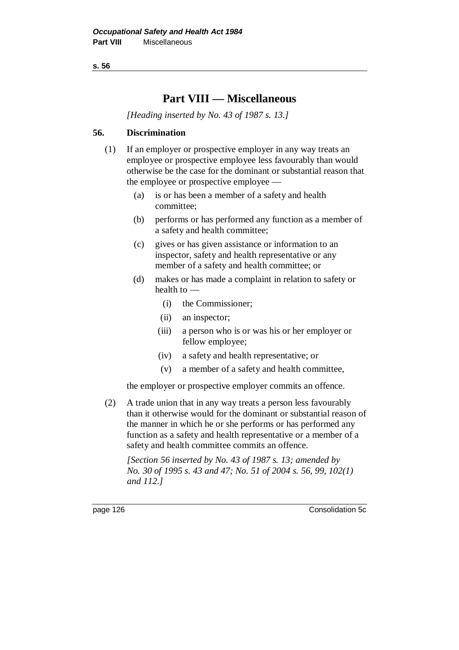**s. 56**

# **Part VIII — Miscellaneous**

*[Heading inserted by No. 43 of 1987 s. 13.]*

## **56. Discrimination**

- (1) If an employer or prospective employer in any way treats an employee or prospective employee less favourably than would otherwise be the case for the dominant or substantial reason that the employee or prospective employee —
	- (a) is or has been a member of a safety and health committee;
	- (b) performs or has performed any function as a member of a safety and health committee;
	- (c) gives or has given assistance or information to an inspector, safety and health representative or any member of a safety and health committee; or
	- (d) makes or has made a complaint in relation to safety or health to —
		- (i) the Commissioner;
		- (ii) an inspector;
		- (iii) a person who is or was his or her employer or fellow employee;
		- (iv) a safety and health representative; or
		- (v) a member of a safety and health committee,

the employer or prospective employer commits an offence.

(2) A trade union that in any way treats a person less favourably than it otherwise would for the dominant or substantial reason of the manner in which he or she performs or has performed any function as a safety and health representative or a member of a safety and health committee commits an offence.

*[Section 56 inserted by No. 43 of 1987 s. 13; amended by No. 30 of 1995 s. 43 and 47; No. 51 of 2004 s. 56, 99, 102(1) and 112.]*

page 126 Consolidation 5c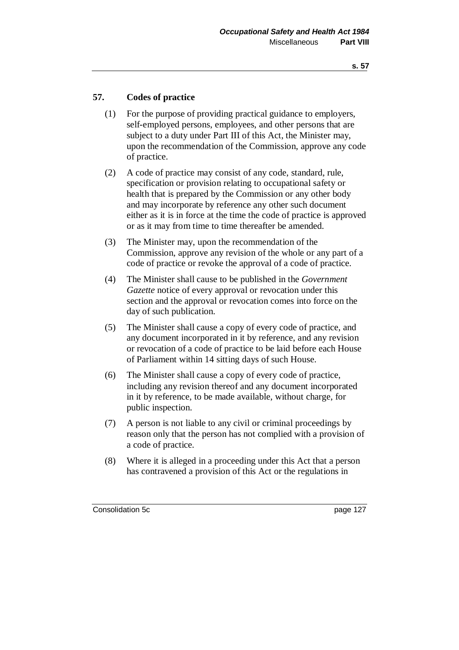## **57. Codes of practice**

- (1) For the purpose of providing practical guidance to employers, self-employed persons, employees, and other persons that are subject to a duty under Part III of this Act, the Minister may, upon the recommendation of the Commission, approve any code of practice.
- (2) A code of practice may consist of any code, standard, rule, specification or provision relating to occupational safety or health that is prepared by the Commission or any other body and may incorporate by reference any other such document either as it is in force at the time the code of practice is approved or as it may from time to time thereafter be amended.
- (3) The Minister may, upon the recommendation of the Commission, approve any revision of the whole or any part of a code of practice or revoke the approval of a code of practice.
- (4) The Minister shall cause to be published in the *Government Gazette* notice of every approval or revocation under this section and the approval or revocation comes into force on the day of such publication.
- (5) The Minister shall cause a copy of every code of practice, and any document incorporated in it by reference, and any revision or revocation of a code of practice to be laid before each House of Parliament within 14 sitting days of such House.
- (6) The Minister shall cause a copy of every code of practice, including any revision thereof and any document incorporated in it by reference, to be made available, without charge, for public inspection.
- (7) A person is not liable to any civil or criminal proceedings by reason only that the person has not complied with a provision of a code of practice.
- (8) Where it is alleged in a proceeding under this Act that a person has contravened a provision of this Act or the regulations in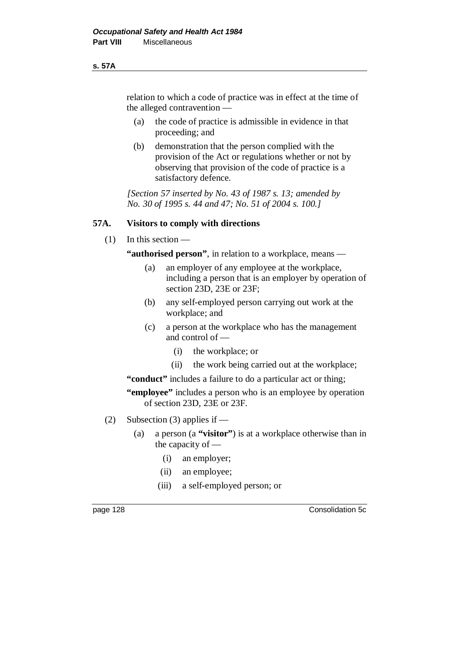#### **s. 57A**

relation to which a code of practice was in effect at the time of the alleged contravention —

- (a) the code of practice is admissible in evidence in that proceeding; and
- (b) demonstration that the person complied with the provision of the Act or regulations whether or not by observing that provision of the code of practice is a satisfactory defence.

*[Section 57 inserted by No. 43 of 1987 s. 13; amended by No. 30 of 1995 s. 44 and 47; No. 51 of 2004 s. 100.]*

## **57A. Visitors to comply with directions**

(1) In this section —

**"authorised person"**, in relation to a workplace, means —

- (a) an employer of any employee at the workplace, including a person that is an employer by operation of section 23D, 23E or 23F;
- (b) any self-employed person carrying out work at the workplace; and
- (c) a person at the workplace who has the management and control of —
	- (i) the workplace; or
	- (ii) the work being carried out at the workplace;

**"conduct"** includes a failure to do a particular act or thing;

**"employee"** includes a person who is an employee by operation of section 23D, 23E or 23F.

- (2) Subsection (3) applies if
	- (a) a person (a **"visitor"**) is at a workplace otherwise than in the capacity of —
		- (i) an employer;
		- (ii) an employee;
		- (iii) a self-employed person; or

page 128 Consolidation 5c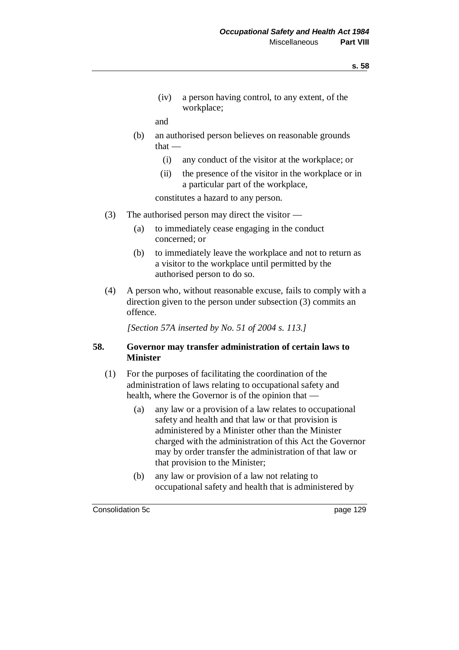(iv) a person having control, to any extent, of the workplace;

and

- (b) an authorised person believes on reasonable grounds that —
	- (i) any conduct of the visitor at the workplace; or
	- (ii) the presence of the visitor in the workplace or in a particular part of the workplace,

constitutes a hazard to any person.

- (3) The authorised person may direct the visitor
	- (a) to immediately cease engaging in the conduct concerned; or
	- (b) to immediately leave the workplace and not to return as a visitor to the workplace until permitted by the authorised person to do so.
- (4) A person who, without reasonable excuse, fails to comply with a direction given to the person under subsection (3) commits an offence.

*[Section 57A inserted by No. 51 of 2004 s. 113.]*

## **58. Governor may transfer administration of certain laws to Minister**

- (1) For the purposes of facilitating the coordination of the administration of laws relating to occupational safety and health, where the Governor is of the opinion that —
	- (a) any law or a provision of a law relates to occupational safety and health and that law or that provision is administered by a Minister other than the Minister charged with the administration of this Act the Governor may by order transfer the administration of that law or that provision to the Minister;
	- (b) any law or provision of a law not relating to occupational safety and health that is administered by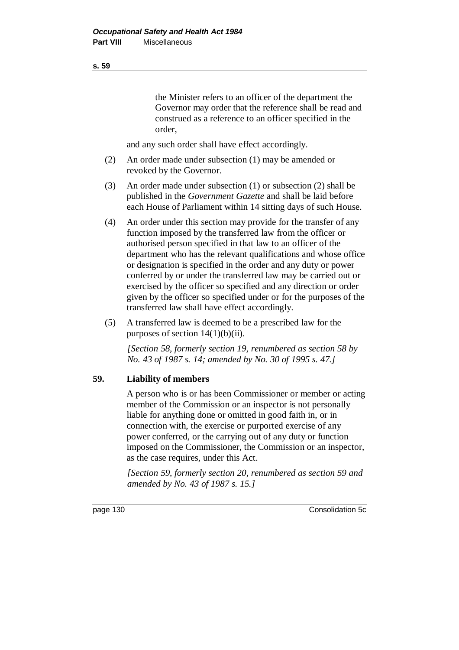the Minister refers to an officer of the department the Governor may order that the reference shall be read and construed as a reference to an officer specified in the order,

and any such order shall have effect accordingly.

- (2) An order made under subsection (1) may be amended or revoked by the Governor.
- (3) An order made under subsection (1) or subsection (2) shall be published in the *Government Gazette* and shall be laid before each House of Parliament within 14 sitting days of such House.
- (4) An order under this section may provide for the transfer of any function imposed by the transferred law from the officer or authorised person specified in that law to an officer of the department who has the relevant qualifications and whose office or designation is specified in the order and any duty or power conferred by or under the transferred law may be carried out or exercised by the officer so specified and any direction or order given by the officer so specified under or for the purposes of the transferred law shall have effect accordingly.
- (5) A transferred law is deemed to be a prescribed law for the purposes of section  $14(1)(b)(ii)$ .

*[Section 58, formerly section 19, renumbered as section 58 by No. 43 of 1987 s. 14; amended by No. 30 of 1995 s. 47.]*

#### **59. Liability of members**

A person who is or has been Commissioner or member or acting member of the Commission or an inspector is not personally liable for anything done or omitted in good faith in, or in connection with, the exercise or purported exercise of any power conferred, or the carrying out of any duty or function imposed on the Commissioner, the Commission or an inspector, as the case requires, under this Act.

*[Section 59, formerly section 20, renumbered as section 59 and amended by No. 43 of 1987 s. 15.]*

page 130 Consolidation 5c

**s. 59**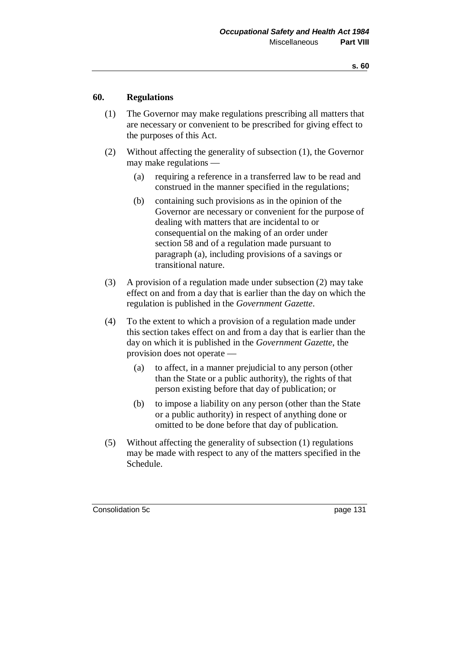## **60. Regulations**

- (1) The Governor may make regulations prescribing all matters that are necessary or convenient to be prescribed for giving effect to the purposes of this Act.
- (2) Without affecting the generality of subsection (1), the Governor may make regulations —
	- (a) requiring a reference in a transferred law to be read and construed in the manner specified in the regulations;
	- (b) containing such provisions as in the opinion of the Governor are necessary or convenient for the purpose of dealing with matters that are incidental to or consequential on the making of an order under section 58 and of a regulation made pursuant to paragraph (a), including provisions of a savings or transitional nature.
- (3) A provision of a regulation made under subsection (2) may take effect on and from a day that is earlier than the day on which the regulation is published in the *Government Gazette*.
- (4) To the extent to which a provision of a regulation made under this section takes effect on and from a day that is earlier than the day on which it is published in the *Government Gazette*, the provision does not operate —
	- (a) to affect, in a manner prejudicial to any person (other than the State or a public authority), the rights of that person existing before that day of publication; or
	- (b) to impose a liability on any person (other than the State or a public authority) in respect of anything done or omitted to be done before that day of publication.
- (5) Without affecting the generality of subsection (1) regulations may be made with respect to any of the matters specified in the Schedule.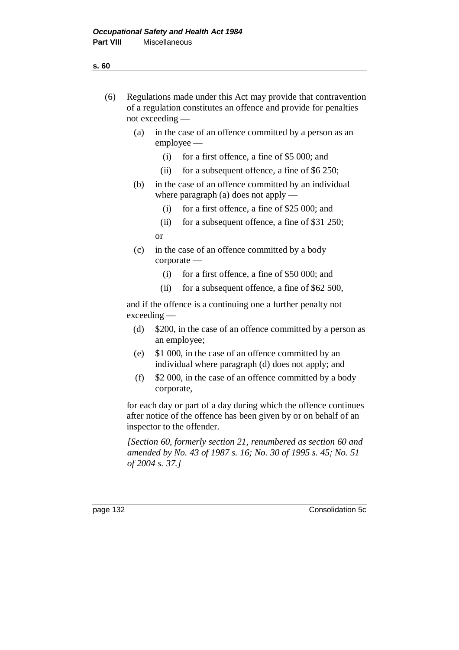#### **s. 60**

- (6) Regulations made under this Act may provide that contravention of a regulation constitutes an offence and provide for penalties not exceeding —
	- (a) in the case of an offence committed by a person as an employee —
		- (i) for a first offence, a fine of \$5 000; and
		- (ii) for a subsequent offence, a fine of \$6 250;
	- (b) in the case of an offence committed by an individual where paragraph (a) does not apply —
		- (i) for a first offence, a fine of \$25 000; and
		- (ii) for a subsequent offence, a fine of \$31 250;
		- or
	- (c) in the case of an offence committed by a body corporate —
		- (i) for a first offence, a fine of \$50 000; and
		- (ii) for a subsequent offence, a fine of \$62 500,

and if the offence is a continuing one a further penalty not exceeding —

- (d) \$200, in the case of an offence committed by a person as an employee;
- (e) \$1 000, in the case of an offence committed by an individual where paragraph (d) does not apply; and
- (f) \$2 000, in the case of an offence committed by a body corporate,

for each day or part of a day during which the offence continues after notice of the offence has been given by or on behalf of an inspector to the offender.

*[Section 60, formerly section 21, renumbered as section 60 and amended by No. 43 of 1987 s. 16; No. 30 of 1995 s. 45; No. 51 of 2004 s. 37.]*

page 132 Consolidation 5c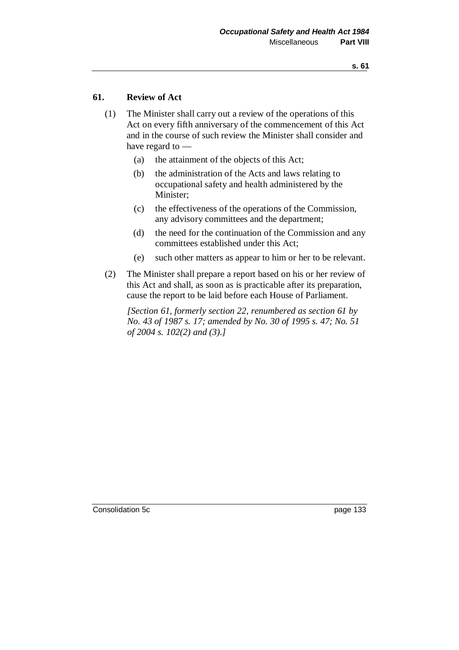## **61. Review of Act**

- (1) The Minister shall carry out a review of the operations of this Act on every fifth anniversary of the commencement of this Act and in the course of such review the Minister shall consider and have regard to —
	- (a) the attainment of the objects of this Act;
	- (b) the administration of the Acts and laws relating to occupational safety and health administered by the Minister;
	- (c) the effectiveness of the operations of the Commission, any advisory committees and the department;
	- (d) the need for the continuation of the Commission and any committees established under this Act;
	- (e) such other matters as appear to him or her to be relevant.
- (2) The Minister shall prepare a report based on his or her review of this Act and shall, as soon as is practicable after its preparation, cause the report to be laid before each House of Parliament.

*[Section 61, formerly section 22, renumbered as section 61 by No. 43 of 1987 s. 17; amended by No. 30 of 1995 s. 47; No. 51 of 2004 s. 102(2) and (3).]*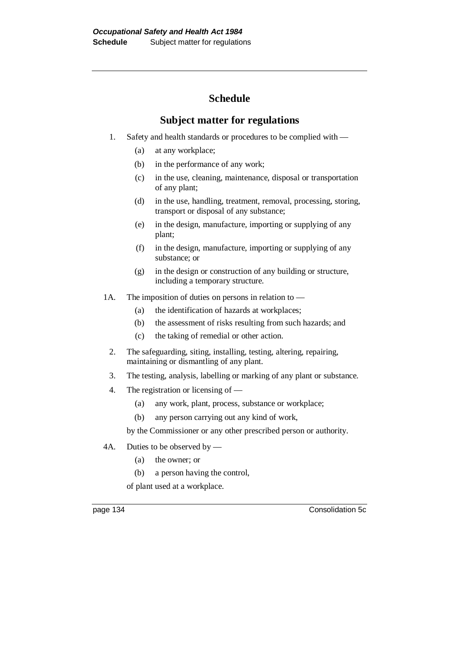# **Schedule**

# **Subject matter for regulations**

- 1. Safety and health standards or procedures to be complied with
	- (a) at any workplace;
	- (b) in the performance of any work;
	- (c) in the use, cleaning, maintenance, disposal or transportation of any plant;
	- (d) in the use, handling, treatment, removal, processing, storing, transport or disposal of any substance;
	- (e) in the design, manufacture, importing or supplying of any plant;
	- (f) in the design, manufacture, importing or supplying of any substance; or
	- (g) in the design or construction of any building or structure, including a temporary structure.
- 1A. The imposition of duties on persons in relation to
	- (a) the identification of hazards at workplaces;
	- (b) the assessment of risks resulting from such hazards; and
	- (c) the taking of remedial or other action.
	- 2. The safeguarding, siting, installing, testing, altering, repairing, maintaining or dismantling of any plant.
	- 3. The testing, analysis, labelling or marking of any plant or substance.
	- 4. The registration or licensing of
		- (a) any work, plant, process, substance or workplace;
		- (b) any person carrying out any kind of work,

by the Commissioner or any other prescribed person or authority.

- 4A. Duties to be observed by
	- (a) the owner; or
	- (b) a person having the control,

of plant used at a workplace.

page 134 Consolidation 5c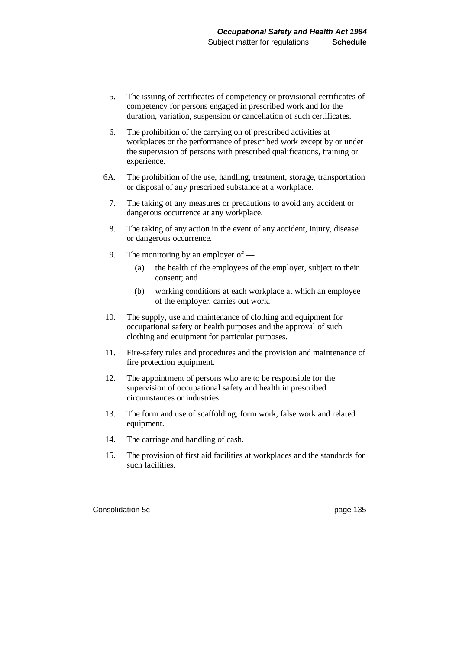- 5. The issuing of certificates of competency or provisional certificates of competency for persons engaged in prescribed work and for the duration, variation, suspension or cancellation of such certificates.
- 6. The prohibition of the carrying on of prescribed activities at workplaces or the performance of prescribed work except by or under the supervision of persons with prescribed qualifications, training or experience.
- 6A. The prohibition of the use, handling, treatment, storage, transportation or disposal of any prescribed substance at a workplace.
	- 7. The taking of any measures or precautions to avoid any accident or dangerous occurrence at any workplace.
	- 8. The taking of any action in the event of any accident, injury, disease or dangerous occurrence.
	- 9. The monitoring by an employer of
		- (a) the health of the employees of the employer, subject to their consent; and
		- (b) working conditions at each workplace at which an employee of the employer, carries out work.
- 10. The supply, use and maintenance of clothing and equipment for occupational safety or health purposes and the approval of such clothing and equipment for particular purposes.
- 11. Fire-safety rules and procedures and the provision and maintenance of fire protection equipment.
- 12. The appointment of persons who are to be responsible for the supervision of occupational safety and health in prescribed circumstances or industries.
- 13. The form and use of scaffolding, form work, false work and related equipment.
- 14. The carriage and handling of cash.
- 15. The provision of first aid facilities at workplaces and the standards for such facilities.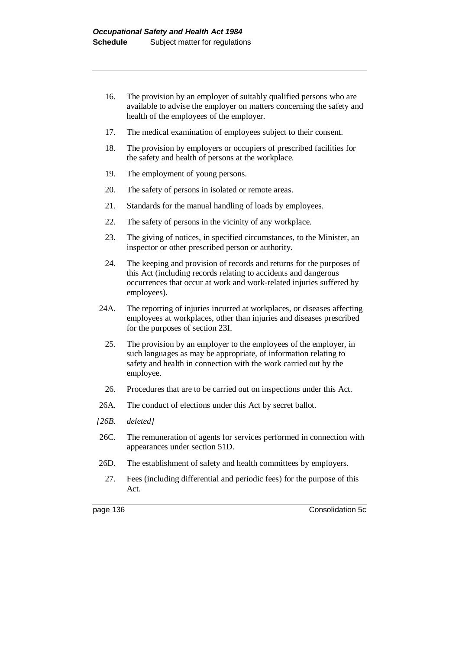- 16. The provision by an employer of suitably qualified persons who are available to advise the employer on matters concerning the safety and health of the employees of the employer.
- 17. The medical examination of employees subject to their consent.
- 18. The provision by employers or occupiers of prescribed facilities for the safety and health of persons at the workplace.
- 19. The employment of young persons.
- 20. The safety of persons in isolated or remote areas.
- 21. Standards for the manual handling of loads by employees.
- 22. The safety of persons in the vicinity of any workplace.
- 23. The giving of notices, in specified circumstances, to the Minister, an inspector or other prescribed person or authority.
- 24. The keeping and provision of records and returns for the purposes of this Act (including records relating to accidents and dangerous occurrences that occur at work and work-related injuries suffered by employees).
- 24A. The reporting of injuries incurred at workplaces, or diseases affecting employees at workplaces, other than injuries and diseases prescribed for the purposes of section 23I.
	- 25. The provision by an employer to the employees of the employer, in such languages as may be appropriate, of information relating to safety and health in connection with the work carried out by the employee.
	- 26. Procedures that are to be carried out on inspections under this Act.
- 26A. The conduct of elections under this Act by secret ballot.
- *[26B. deleted]*
- 26C. The remuneration of agents for services performed in connection with appearances under section 51D.
- 26D. The establishment of safety and health committees by employers.
	- 27. Fees (including differential and periodic fees) for the purpose of this Act.

page 136 Consolidation 5c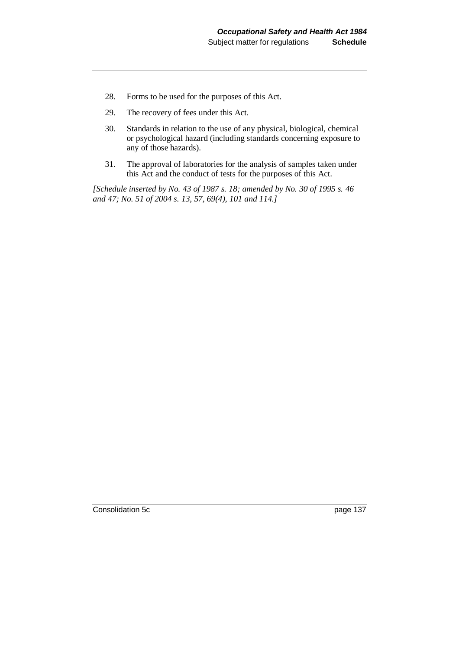- 28. Forms to be used for the purposes of this Act.
- 29. The recovery of fees under this Act.
- 30. Standards in relation to the use of any physical, biological, chemical or psychological hazard (including standards concerning exposure to any of those hazards).
- 31. The approval of laboratories for the analysis of samples taken under this Act and the conduct of tests for the purposes of this Act.

*[Schedule inserted by No. 43 of 1987 s. 18; amended by No. 30 of 1995 s. 46 and 47; No. 51 of 2004 s. 13, 57, 69(4), 101 and 114.]*

Consolidation 5c page 137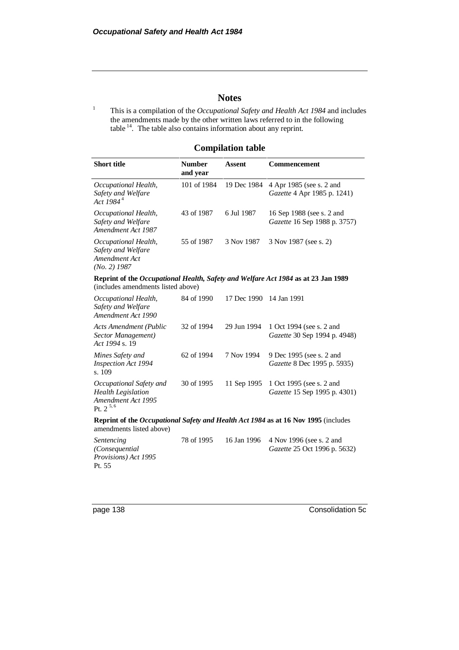# **Notes**

<sup>1</sup> This is a compilation of the *Occupational Safety and Health Act 1984* and includes the amendments made by the other written laws referred to in the following table  $14$ . The table also contains information about any reprint.

# **Compilation table**

| <b>Short title</b>                                                                          | <b>Number</b><br>and year | <b>Assent</b> | Commencement                                                                       |
|---------------------------------------------------------------------------------------------|---------------------------|---------------|------------------------------------------------------------------------------------|
| Occupational Health,<br>Safety and Welfare<br>Act 1984 <sup>4</sup>                         | 101 of 1984               | 19 Dec 1984   | 4 Apr 1985 (see s. 2 and<br>Gazette 4 Apr 1985 p. 1241)                            |
| Occupational Health,<br>Safety and Welfare<br>Amendment Act 1987                            | 43 of 1987                | 6 Jul 1987    | 16 Sep 1988 (see s. 2 and<br>Gazette 16 Sep 1988 p. 3757)                          |
| Occupational Health,<br>Safety and Welfare<br>Amendment Act<br>$(No. 2)$ 1987               | 55 of 1987                | 3 Nov 1987    | 3 Nov 1987 (see s. 2)                                                              |
| (includes amendments listed above)                                                          |                           |               | Reprint of the Occupational Health, Safety and Welfare Act 1984 as at 23 Jan 1989  |
| Occupational Health,<br>Safety and Welfare<br>Amendment Act 1990                            | 84 of 1990                | 17 Dec 1990   | 14 Jan 1991                                                                        |
| <b>Acts Amendment (Public</b><br>Sector Management)<br>Act 1994 s. 19                       | 32 of 1994                | 29 Jun 1994   | 1 Oct 1994 (see s. 2 and<br>Gazette 30 Sep 1994 p. 4948)                           |
| Mines Safety and<br><b>Inspection Act 1994</b><br>s. 109                                    | 62 of 1994                | 7 Nov 1994    | 9 Dec 1995 (see s. 2 and<br>Gazette 8 Dec 1995 p. 5935)                            |
| Occupational Safety and<br><b>Health Legislation</b><br>Amendment Act 1995<br>Pt. $2^{5,6}$ | 30 of 1995                | 11 Sep 1995   | 1 Oct 1995 (see s. 2 and<br>Gazette 15 Sep 1995 p. 4301)                           |
| amendments listed above)                                                                    |                           |               | Reprint of the Occupational Safety and Health Act 1984 as at 16 Nov 1995 (includes |

| <i>Sentencing</i>            | 78 of 1995 | 16 Jan 1996 4 Nov 1996 (see s. 2 and |
|------------------------------|------------|--------------------------------------|
| (Consequential               |            | <i>Gazette</i> 25 Oct 1996 p. 5632)  |
| <i>Provisions</i> ) Act 1995 |            |                                      |
| Pt. 55                       |            |                                      |

page 138 Consolidation 5c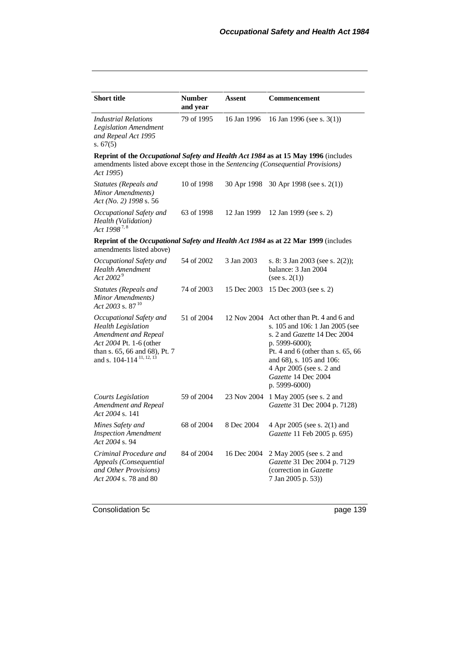| <b>Short title</b>                                                                                                                                                               | <b>Number</b><br>and year | Assent      | Commencement                                                                                                                                                                                                                                                      |
|----------------------------------------------------------------------------------------------------------------------------------------------------------------------------------|---------------------------|-------------|-------------------------------------------------------------------------------------------------------------------------------------------------------------------------------------------------------------------------------------------------------------------|
| <b>Industrial Relations</b><br>Legislation Amendment<br>and Repeal Act 1995<br>s. $67(5)$                                                                                        | 79 of 1995                | 16 Jan 1996 | 16 Jan 1996 (see s. $3(1)$ )                                                                                                                                                                                                                                      |
| amendments listed above except those in the Sentencing (Consequential Provisions)<br>Act 1995)                                                                                   |                           |             | Reprint of the Occupational Safety and Health Act 1984 as at 15 May 1996 (includes                                                                                                                                                                                |
| Statutes (Repeals and<br>Minor Amendments)<br>Act (No. 2) 1998 s. 56                                                                                                             | 10 of 1998                | 30 Apr 1998 | 30 Apr 1998 (see s. $2(1)$ )                                                                                                                                                                                                                                      |
| Occupational Safety and<br>Health (Validation)<br>Act 1998 <sup>7,8</sup>                                                                                                        | 63 of 1998                | 12 Jan 1999 | 12 Jan 1999 (see s. 2)                                                                                                                                                                                                                                            |
| amendments listed above)                                                                                                                                                         |                           |             | Reprint of the Occupational Safety and Health Act 1984 as at 22 Mar 1999 (includes                                                                                                                                                                                |
| Occupational Safety and<br>Health Amendment<br>Act 2002 <sup>9</sup>                                                                                                             | 54 of 2002                | 3 Jan 2003  | s. 8: 3 Jan 2003 (see s. 2(2));<br>balance: 3 Jan 2004<br>(see s. $2(1)$ )                                                                                                                                                                                        |
| Statutes (Repeals and<br>Minor Amendments)<br>Act 2003 s. 87 $10$                                                                                                                | 74 of 2003                | 15 Dec 2003 | 15 Dec 2003 (see s. 2)                                                                                                                                                                                                                                            |
| Occupational Safety and<br><b>Health Legislation</b><br>Amendment and Repeal<br>Act 2004 Pt. 1-6 (other<br>than s. 65, 66 and 68), Pt. 7<br>and s. 104-114 <sup>11, 12, 13</sup> | 51 of 2004                | 12 Nov 2004 | Act other than Pt. 4 and 6 and<br>s. 105 and 106: 1 Jan 2005 (see<br>s. 2 and <i>Gazette</i> 14 Dec 2004<br>p. 5999-6000);<br>Pt. 4 and 6 (other than s. $65, 66$<br>and 68), s. 105 and 106:<br>4 Apr 2005 (see s. 2 and<br>Gazette 14 Dec 2004<br>p. 5999-6000) |
| <b>Courts Legislation</b><br><b>Amendment and Repeal</b><br>Act 2004 s. 141                                                                                                      | 59 of 2004                | 23 Nov 2004 | 1 May 2005 (see s. 2 and<br>Gazette 31 Dec 2004 p. 7128)                                                                                                                                                                                                          |
| Mines Safety and<br><b>Inspection Amendment</b><br>Act 2004 s. 94                                                                                                                | 68 of 2004                | 8 Dec 2004  | 4 Apr 2005 (see s. 2(1) and<br>Gazette 11 Feb 2005 p. 695)                                                                                                                                                                                                        |
| Criminal Procedure and<br>Appeals (Consequential<br>and Other Provisions)<br>Act 2004 s. 78 and 80                                                                               | 84 of 2004                | 16 Dec 2004 | 2 May 2005 (see s. 2 and<br>Gazette 31 Dec 2004 p. 7129<br>(correction in Gazette<br>7 Jan 2005 p. 53))                                                                                                                                                           |

Consolidation 5c page 139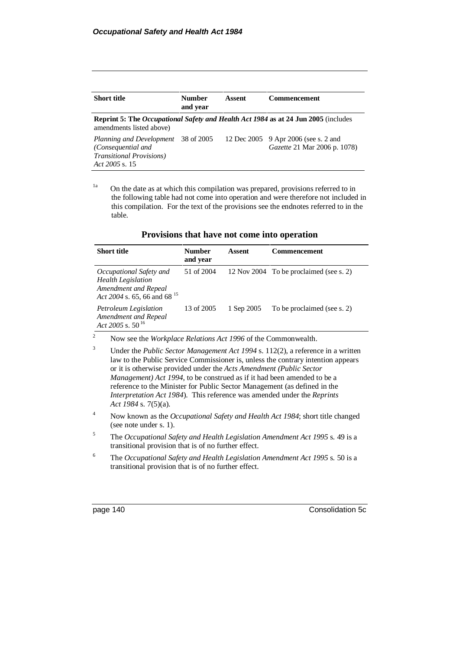| <b>Short title</b>                                                                                              | <b>Number</b><br>and year | Assent | <b>Commencement</b>                                                                       |
|-----------------------------------------------------------------------------------------------------------------|---------------------------|--------|-------------------------------------------------------------------------------------------|
| amendments listed above)                                                                                        |                           |        | <b>Reprint 5: The Occupational Safety and Health Act 1984 as at 24 Jun 2005</b> (includes |
| Planning and Development 38 of 2005<br>(Consequential and<br><b>Transitional Provisions</b> )<br>Act 2005 s. 15 |                           |        | 12 Dec 2005 9 Apr 2006 (see s. 2 and<br>Gazette 21 Mar 2006 p. 1078)                      |

<sup>1a</sup> On the date as at which this compilation was prepared, provisions referred to in the following table had not come into operation and were therefore not included in this compilation. For the text of the provisions see the endnotes referred to in the table.

| <b>Provisions that have not come into operation</b> |  |  |  |  |  |  |
|-----------------------------------------------------|--|--|--|--|--|--|
|-----------------------------------------------------|--|--|--|--|--|--|

| <b>Short title</b>                                                                                                | <b>Number</b><br>and year | Assent     | <b>Commencement</b>                     |
|-------------------------------------------------------------------------------------------------------------------|---------------------------|------------|-----------------------------------------|
| Occupational Safety and<br><b>Health Legislation</b><br>Amendment and Repeal<br>Act 2004 s. 65, 66 and 68 $^{15}$ | 51 of 2004                |            | 12 Nov 2004 To be proclaimed (see s. 2) |
| Petroleum Legislation<br>Amendment and Repeal<br>Act 2005 s. $50^{16}$                                            | 13 of 2005                | 1 Sep 2005 | To be proclaimed (see s. 2)             |

<sup>2</sup> Now see the *Workplace Relations Act 1996* of the Commonwealth.

- <sup>3</sup> Under the *Public Sector Management Act 1994* s. 112(2), a reference in a written law to the Public Service Commissioner is, unless the contrary intention appears or it is otherwise provided under the *Acts Amendment (Public Sector Management) Act 1994*, to be construed as if it had been amended to be a reference to the Minister for Public Sector Management (as defined in the *Interpretation Act 1984*). This reference was amended under the *Reprints Act 1984* s. 7(5)(a).
- <sup>4</sup> Now known as the *Occupational Safety and Health Act 1984*; short title changed (see note under s. 1).
- <sup>5</sup> The *Occupational Safety and Health Legislation Amendment Act 1995* s. 49 is a transitional provision that is of no further effect.
- <sup>6</sup> The *Occupational Safety and Health Legislation Amendment Act 1995* s. 50 is a transitional provision that is of no further effect.

page 140 Consolidation 5c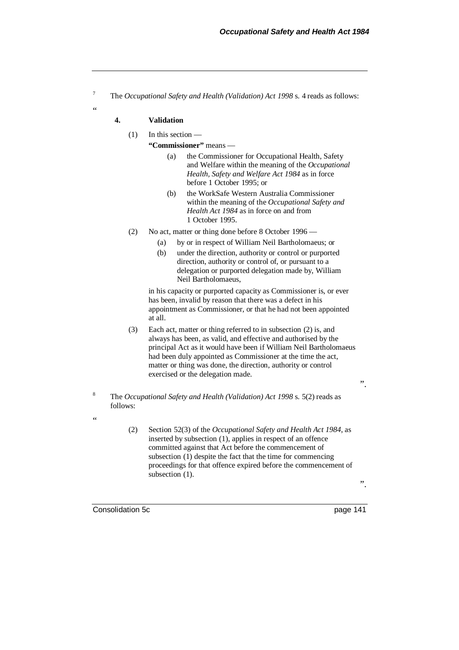<sup>7</sup> The *Occupational Safety and Health (Validation) Act 1998* s. 4 reads as follows:

### **4. Validation**

.<br>د د

## (1) In this section —

**"Commissioner"** means —

- (a) the Commissioner for Occupational Health, Safety and Welfare within the meaning of the *Occupational Health, Safety and Welfare Act 1984* as in force before 1 October 1995; or
- (b) the WorkSafe Western Australia Commissioner within the meaning of the *Occupational Safety and Health Act 1984* as in force on and from 1 October 1995.
- (2) No act, matter or thing done before 8 October 1996
	- (a) by or in respect of William Neil Bartholomaeus; or
	- (b) under the direction, authority or control or purported direction, authority or control of, or pursuant to a delegation or purported delegation made by, William Neil Bartholomaeus,

in his capacity or purported capacity as Commissioner is, or ever has been, invalid by reason that there was a defect in his appointment as Commissioner, or that he had not been appointed at all.

- (3) Each act, matter or thing referred to in subsection (2) is, and always has been, as valid, and effective and authorised by the principal Act as it would have been if William Neil Bartholomaeus had been duly appointed as Commissioner at the time the act, matter or thing was done, the direction, authority or control exercised or the delegation made.
- <sup>8</sup> The *Occupational Safety and Health (Validation) Act 1998* s. 5(2) reads as follows:
	- (2) Section 52(3) of the *Occupational Safety and Health Act 1984*, as inserted by subsection (1), applies in respect of an offence committed against that Act before the commencement of subsection (1) despite the fact that the time for commencing proceedings for that offence expired before the commencement of subsection  $(1)$ .

Consolidation 5c page 141

"

".

".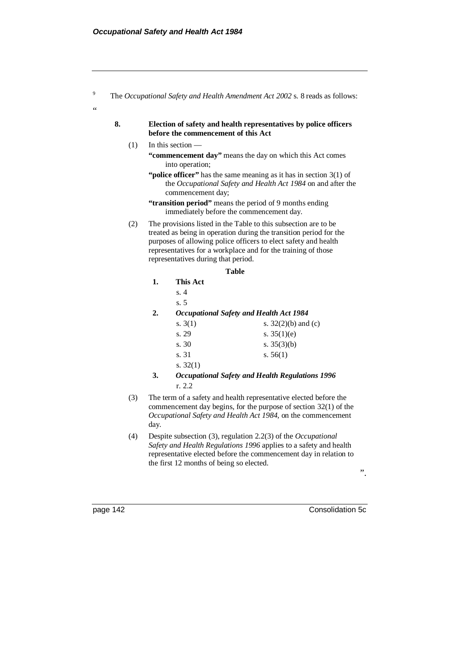| 8.  |    | before the commencement of this Act                                         | Election of safety and health representatives by police officers                                                                                                                                                                                                          |
|-----|----|-----------------------------------------------------------------------------|---------------------------------------------------------------------------------------------------------------------------------------------------------------------------------------------------------------------------------------------------------------------------|
| (1) |    | In this section -                                                           |                                                                                                                                                                                                                                                                           |
|     |    | "commencement day" means the day on which this Act comes<br>into operation; |                                                                                                                                                                                                                                                                           |
|     |    | commencement day;                                                           | "police officer" has the same meaning as it has in section $3(1)$ of<br>the Occupational Safety and Health Act 1984 on and after the                                                                                                                                      |
|     |    |                                                                             | "transition period" means the period of 9 months ending<br>immediately before the commencement day.                                                                                                                                                                       |
| (2) |    | representatives during that period.                                         | The provisions listed in the Table to this subsection are to be<br>treated as being in operation during the transition period for the<br>purposes of allowing police officers to elect safety and health<br>representatives for a workplace and for the training of those |
|     |    |                                                                             | <b>Table</b>                                                                                                                                                                                                                                                              |
|     | 1. | <b>This Act</b>                                                             |                                                                                                                                                                                                                                                                           |
|     |    | s.4                                                                         |                                                                                                                                                                                                                                                                           |
|     |    | s.5                                                                         |                                                                                                                                                                                                                                                                           |
|     | 2. |                                                                             | <b>Occupational Safety and Health Act 1984</b>                                                                                                                                                                                                                            |
|     |    | s. $3(1)$                                                                   | s. $32(2)(b)$ and (c)                                                                                                                                                                                                                                                     |
|     |    | s. 29                                                                       | s. $35(1)(e)$                                                                                                                                                                                                                                                             |
|     |    | s.30                                                                        | s. $35(3)(b)$                                                                                                                                                                                                                                                             |
|     |    | s. 31                                                                       | s. $56(1)$                                                                                                                                                                                                                                                                |
|     |    | s. $32(1)$                                                                  |                                                                                                                                                                                                                                                                           |
|     | 3. | r. 2.2                                                                      | <b>Occupational Safety and Health Regulations 1996</b>                                                                                                                                                                                                                    |
| (3) |    |                                                                             | The term of a safety and health representative elected before the                                                                                                                                                                                                         |

- *Occupational Safety and Health Act 1984*, on the commencement day.
- (4) Despite subsection (3), regulation 2.2(3) of the *Occupational Safety and Health Regulations 1996* applies to a safety and health representative elected before the commencement day in relation to the first 12 months of being so elected.

".

page 142 Consolidation 5c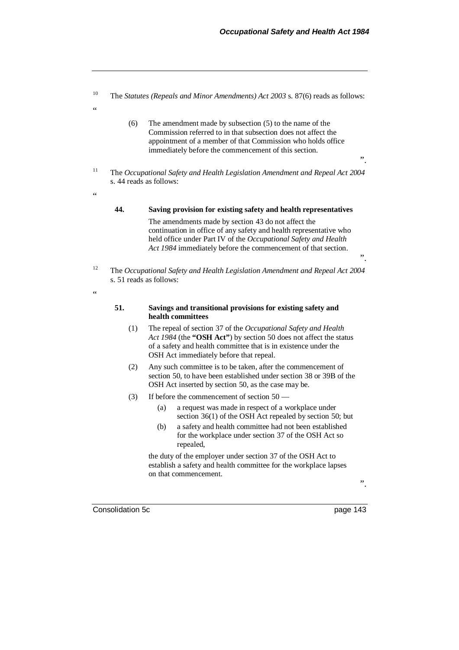<sup>10</sup> The *Statutes (Repeals and Minor Amendments) Act 2003* s. 87(6) reads as follows: .<br>"

- (6) The amendment made by subsection (5) to the name of the Commission referred to in that subsection does not affect the appointment of a member of that Commission who holds office immediately before the commencement of this section.
- ".

".

- <sup>11</sup> The *Occupational Safety and Health Legislation Amendment and Repeal Act 2004* s. 44 reads as follows:
	- **44. Saving provision for existing safety and health representatives** The amendments made by section 43 do not affect the continuation in office of any safety and health representative who

held office under Part IV of the *Occupational Safety and Health Act 1984* immediately before the commencement of that section.

<sup>12</sup> The *Occupational Safety and Health Legislation Amendment and Repeal Act 2004* s. 51 reads as follows:

**51. Savings and transitional provisions for existing safety and health committees**

- (1) The repeal of section 37 of the *Occupational Safety and Health Act 1984* (the **"OSH Act"**) by section 50 does not affect the status of a safety and health committee that is in existence under the OSH Act immediately before that repeal.
- (2) Any such committee is to be taken, after the commencement of section 50, to have been established under section 38 or 39B of the OSH Act inserted by section 50, as the case may be.
- (3) If before the commencement of section 50
	- (a) a request was made in respect of a workplace under section 36(1) of the OSH Act repealed by section 50; but
	- (b) a safety and health committee had not been established for the workplace under section 37 of the OSH Act so repealed,

the duty of the employer under section 37 of the OSH Act to establish a safety and health committee for the workplace lapses on that commencement.

".

Consolidation 5c page 143

 $\epsilon$ 

 $\epsilon$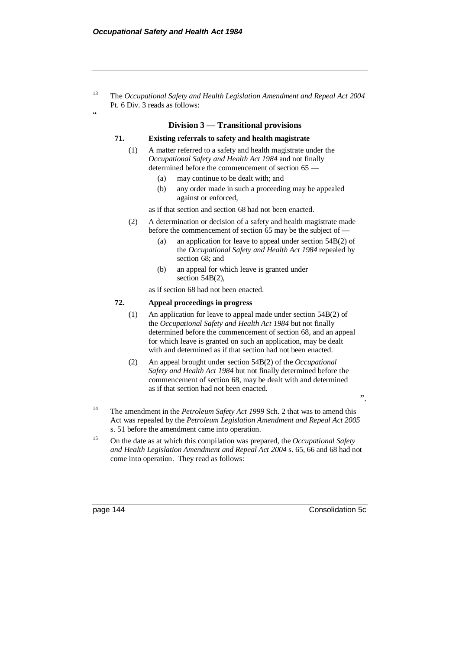"

<sup>13</sup> The *Occupational Safety and Health Legislation Amendment and Repeal Act 2004* Pt. 6 Div. 3 reads as follows:

#### **Division 3 — Transitional provisions**

### **71. Existing referrals to safety and health magistrate**

- (1) A matter referred to a safety and health magistrate under the *Occupational Safety and Health Act 1984* and not finally determined before the commencement of section 65 —
	- (a) may continue to be dealt with; and
	- (b) any order made in such a proceeding may be appealed against or enforced,

as if that section and section 68 had not been enacted.

- (2) A determination or decision of a safety and health magistrate made before the commencement of section 65 may be the subject of —
	- (a) an application for leave to appeal under section 54B(2) of the *Occupational Safety and Health Act 1984* repealed by section 68; and
	- (b) an appeal for which leave is granted under section 54B(2),

as if section 68 had not been enacted.

## **72. Appeal proceedings in progress**

- (1) An application for leave to appeal made under section 54B(2) of the *Occupational Safety and Health Act 1984* but not finally determined before the commencement of section 68, and an appeal for which leave is granted on such an application, may be dealt with and determined as if that section had not been enacted.
- (2) An appeal brought under section 54B(2) of the *Occupational Safety and Health Act 1984* but not finally determined before the commencement of section 68, may be dealt with and determined as if that section had not been enacted.

".

- <sup>14</sup> The amendment in the *Petroleum Safety Act 1999* Sch. 2 that was to amend this Act was repealed by the *Petroleum Legislation Amendment and Repeal Act 2005* s. 51 before the amendment came into operation.
- <sup>15</sup> On the date as at which this compilation was prepared, the *Occupational Safety and Health Legislation Amendment and Repeal Act 2004* s. 65, 66 and 68 had not come into operation. They read as follows:

page 144 Consolidation 5c